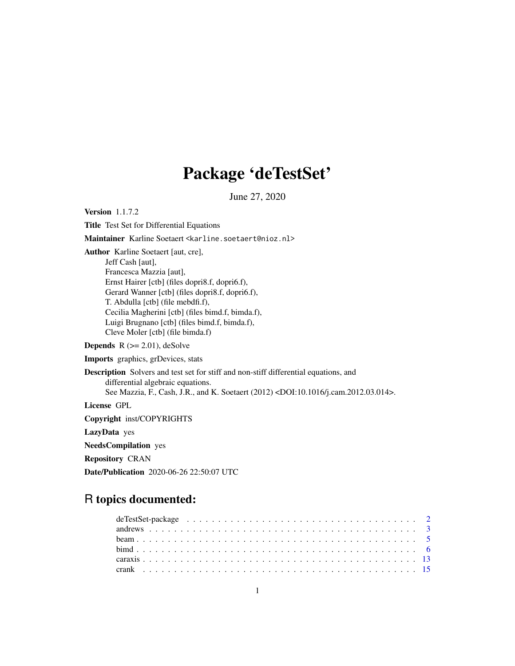# Package 'deTestSet'

June 27, 2020

<span id="page-0-0"></span>Version 1.1.7.2

Title Test Set for Differential Equations

Maintainer Karline Soetaert <karline.soetaert@nioz.nl>

Author Karline Soetaert [aut, cre],

Jeff Cash [aut], Francesca Mazzia [aut], Ernst Hairer [ctb] (files dopri8.f, dopri6.f), Gerard Wanner [ctb] (files dopri8.f, dopri6.f), T. Abdulla [ctb] (file mebdfi.f), Cecilia Magherini [ctb] (files bimd.f, bimda.f), Luigi Brugnano [ctb] (files bimd.f, bimda.f), Cleve Moler [ctb] (file bimda.f)

**Depends**  $R$  ( $>= 2.01$ ), deSolve

Imports graphics, grDevices, stats

Description Solvers and test set for stiff and non-stiff differential equations, and differential algebraic equations. See Mazzia, F., Cash, J.R., and K. Soetaert (2012) <DOI:10.1016/j.cam.2012.03.014>. License GPL Copyright inst/COPYRIGHTS

LazyData yes

NeedsCompilation yes

Repository CRAN

Date/Publication 2020-06-26 22:50:07 UTC

# R topics documented: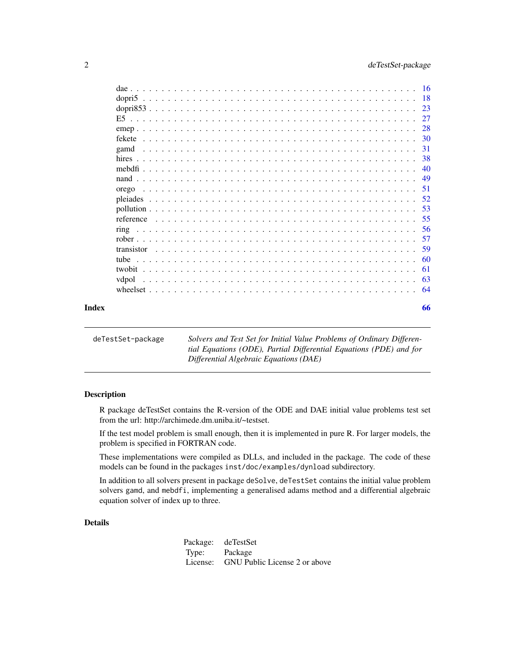<span id="page-1-0"></span>

|       |       |  |  |  |  |  |  |  |  |  |  |  |  |  |  |  |  |  |  |  | -30 |
|-------|-------|--|--|--|--|--|--|--|--|--|--|--|--|--|--|--|--|--|--|--|-----|
|       | gamd  |  |  |  |  |  |  |  |  |  |  |  |  |  |  |  |  |  |  |  |     |
|       |       |  |  |  |  |  |  |  |  |  |  |  |  |  |  |  |  |  |  |  |     |
|       |       |  |  |  |  |  |  |  |  |  |  |  |  |  |  |  |  |  |  |  | 40  |
|       |       |  |  |  |  |  |  |  |  |  |  |  |  |  |  |  |  |  |  |  |     |
|       | orego |  |  |  |  |  |  |  |  |  |  |  |  |  |  |  |  |  |  |  |     |
|       |       |  |  |  |  |  |  |  |  |  |  |  |  |  |  |  |  |  |  |  | 52  |
|       |       |  |  |  |  |  |  |  |  |  |  |  |  |  |  |  |  |  |  |  | 53  |
|       |       |  |  |  |  |  |  |  |  |  |  |  |  |  |  |  |  |  |  |  | -55 |
|       |       |  |  |  |  |  |  |  |  |  |  |  |  |  |  |  |  |  |  |  |     |
|       |       |  |  |  |  |  |  |  |  |  |  |  |  |  |  |  |  |  |  |  |     |
|       |       |  |  |  |  |  |  |  |  |  |  |  |  |  |  |  |  |  |  |  | -59 |
|       |       |  |  |  |  |  |  |  |  |  |  |  |  |  |  |  |  |  |  |  |     |
|       |       |  |  |  |  |  |  |  |  |  |  |  |  |  |  |  |  |  |  |  |     |
|       | vdpol |  |  |  |  |  |  |  |  |  |  |  |  |  |  |  |  |  |  |  | -63 |
|       |       |  |  |  |  |  |  |  |  |  |  |  |  |  |  |  |  |  |  |  | -64 |
| Index |       |  |  |  |  |  |  |  |  |  |  |  |  |  |  |  |  |  |  |  | 66  |

deTestSet-package *Solvers and Test Set for Initial Value Problems of Ordinary Differential Equations (ODE), Partial Differential Equations (PDE) and for Differential Algebraic Equations (DAE)*

# Description

R package deTestSet contains the R-version of the ODE and DAE initial value problems test set from the url: http://archimede.dm.uniba.it/~testset.

If the test model problem is small enough, then it is implemented in pure R. For larger models, the problem is specified in FORTRAN code.

These implementations were compiled as DLLs, and included in the package. The code of these models can be found in the packages inst/doc/examples/dynload subdirectory.

In addition to all solvers present in package deSolve, deTestSet contains the initial value problem solvers gamd, and mebdfi, implementing a generalised adams method and a differential algebraic equation solver of index up to three.

# Details

Package: deTestSet Type: Package License: GNU Public License 2 or above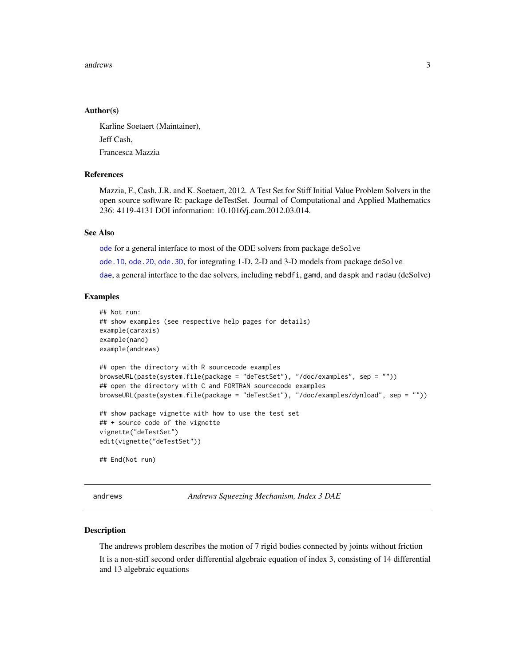#### <span id="page-2-0"></span>andrews 3

# Author(s)

Karline Soetaert (Maintainer), Jeff Cash, Francesca Mazzia

# References

Mazzia, F., Cash, J.R. and K. Soetaert, 2012. A Test Set for Stiff Initial Value Problem Solvers in the open source software R: package deTestSet. Journal of Computational and Applied Mathematics 236: 4119-4131 DOI information: 10.1016/j.cam.2012.03.014.

#### See Also

[ode](#page-0-0) for a general interface to most of the ODE solvers from package deSolve

[ode.1D](#page-0-0), [ode.2D](#page-0-0), [ode.3D](#page-0-0), for integrating 1-D, 2-D and 3-D models from package deSolve

[dae](#page-15-1), a general interface to the dae solvers, including mebdfi, gamd, and daspk and radau (deSolve)

#### Examples

```
## Not run:
## show examples (see respective help pages for details)
example(caraxis)
example(nand)
example(andrews)
## open the directory with R sourcecode examples
browseURL(paste(system.file(package = "deTestSet"), "/doc/examples", sep = ""))
## open the directory with C and FORTRAN sourcecode examples
browseURL(paste(system.file(package = "deTestSet"), "/doc/examples/dynload", sep = ""))
## show package vignette with how to use the test set
## + source code of the vignette
vignette("deTestSet")
edit(vignette("deTestSet"))
## End(Not run)
```
andrews *Andrews Squeezing Mechanism, Index 3 DAE*

#### Description

The andrews problem describes the motion of 7 rigid bodies connected by joints without friction It is a non-stiff second order differential algebraic equation of index 3, consisting of 14 differential and 13 algebraic equations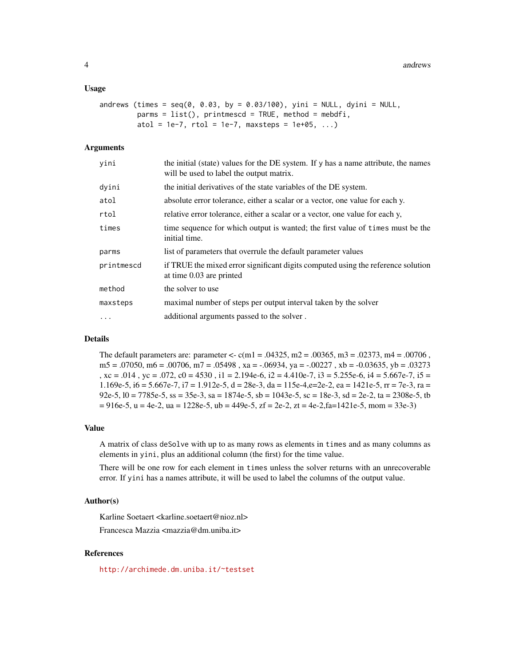# Usage

```
andrews (times = seq(0, 0.03, by = 0.03/100), yini = NULL, dyini = NULL,
         params = list(), printmescd = TRUE, method = mebdfi,atol = 1e-7, rtol = 1e-7, maxsteps = 1e+05, ...)
```
# Arguments

| vini       | the initial (state) values for the DE system. If y has a name attribute, the names<br>will be used to label the output matrix. |
|------------|--------------------------------------------------------------------------------------------------------------------------------|
| dyini      | the initial derivatives of the state variables of the DE system.                                                               |
| atol       | absolute error tolerance, either a scalar or a vector, one value for each y.                                                   |
| rtol       | relative error tolerance, either a scalar or a vector, one value for each y,                                                   |
| times      | time sequence for which output is wanted; the first value of times must be the<br>initial time.                                |
| parms      | list of parameters that overrule the default parameter values                                                                  |
| printmescd | if TRUE the mixed error significant digits computed using the reference solution<br>at time 0.03 are printed                   |
| method     | the solver to use                                                                                                              |
| maxsteps   | maximal number of steps per output interval taken by the solver                                                                |
| $\cdots$   | additional arguments passed to the solver.                                                                                     |

# Details

The default parameters are: parameter  $\lt\lt c$  c(m1 = .04325, m2 = .00365, m3 = .02373, m4 = .00706,  $m5 = .07050$ ,  $m6 = .00706$ ,  $m7 = .05498$ ,  $xa = -.06934$ ,  $ya = -.00227$ ,  $xb = -0.03635$ ,  $yb = .03273$ ,  $xc = .014$ ,  $yc = .072$ ,  $c0 = 4530$ ,  $i1 = 2.194e-6$ ,  $i2 = 4.410e-7$ ,  $i3 = 5.255e-6$ ,  $i4 = 5.667e-7$ ,  $i5 =$ 1.169e-5, i6 = 5.667e-7, i7 = 1.912e-5, d = 28e-3, da = 115e-4,e=2e-2, ea = 1421e-5, rr = 7e-3, ra = 92e-5,  $10 = 7785e-5$ ,  $ss = 35e-3$ ,  $sa = 1874e-5$ ,  $sb = 1043e-5$ ,  $sc = 18e-3$ ,  $sd = 2e-2$ ,  $ta = 2308e-5$ , tb  $= 916e-5$ ,  $u = 4e-2$ ,  $ua = 1228e-5$ ,  $ub = 449e-5$ ,  $zf = 2e-2$ ,  $zt = 4e-2$ ,  $fa = 1421e-5$ , mom = 33e-3)

#### Value

A matrix of class deSolve with up to as many rows as elements in times and as many columns as elements in yini, plus an additional column (the first) for the time value.

There will be one row for each element in times unless the solver returns with an unrecoverable error. If yini has a names attribute, it will be used to label the columns of the output value.

#### Author(s)

Karline Soetaert <karline.soetaert@nioz.nl>

Francesca Mazzia <mazzia@dm.uniba.it>

# References

<http://archimede.dm.uniba.it/~testset>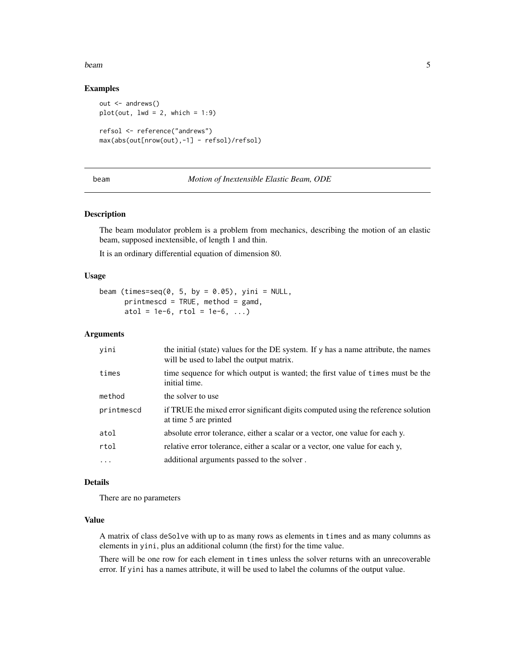#### <span id="page-4-0"></span>beam 5

# Examples

```
out <- andrews()
plot(out, lwd = 2, which = 1:9)refsol <- reference("andrews")
max(abs(out[nrow(out),-1] - refsol)/refsol)
```
#### beam *Motion of Inextensible Elastic Beam, ODE*

# Description

The beam modulator problem is a problem from mechanics, describing the motion of an elastic beam, supposed inextensible, of length 1 and thin.

It is an ordinary differential equation of dimension 80.

# Usage

```
beam (times=seq(0, 5, by = 0.05), yini = NULL,
     printmescd = TRUE, method = gamd,
     atol = 1e-6, rtol = 1e-6, ...)
```
# Arguments

| yini       | the initial (state) values for the DE system. If y has a name attribute, the names<br>will be used to label the output matrix. |
|------------|--------------------------------------------------------------------------------------------------------------------------------|
| times      | time sequence for which output is wanted; the first value of times must be the<br>initial time.                                |
| method     | the solver to use                                                                                                              |
| printmescd | if TRUE the mixed error significant digits computed using the reference solution<br>at time 5 are printed                      |
| atol       | absolute error tolerance, either a scalar or a vector, one value for each y.                                                   |
| rtol       | relative error tolerance, either a scalar or a vector, one value for each y,                                                   |
| $\ddots$   | additional arguments passed to the solver.                                                                                     |

# Details

There are no parameters

# Value

A matrix of class deSolve with up to as many rows as elements in times and as many columns as elements in yini, plus an additional column (the first) for the time value.

There will be one row for each element in times unless the solver returns with an unrecoverable error. If yini has a names attribute, it will be used to label the columns of the output value.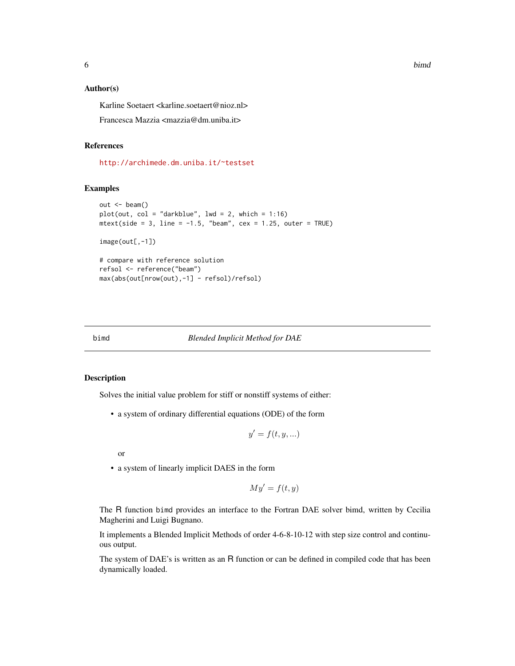<span id="page-5-0"></span>

# Author(s)

Karline Soetaert <karline.soetaert@nioz.nl>

Francesca Mazzia <mazzia@dm.uniba.it>

# References

<http://archimede.dm.uniba.it/~testset>

# Examples

```
out < - beam()
plot(out, col = "darkblue", lw = 2, which = 1:16)mtext{text(side = 3, line = -1.5, "beam", cex = 1.25, outer = TRUE)}image(out[, -1])# compare with reference solution
refsol <- reference("beam")
max(abs(out[nrow(out),-1] - refsol)/refsol)
```
<span id="page-5-1"></span>bimd *Blended Implicit Method for DAE*

# Description

Solves the initial value problem for stiff or nonstiff systems of either:

• a system of ordinary differential equations (ODE) of the form

$$
y' = f(t, y, \ldots)
$$

or

• a system of linearly implicit DAES in the form

$$
My' = f(t, y)
$$

The R function bimd provides an interface to the Fortran DAE solver bimd, written by Cecilia Magherini and Luigi Bugnano.

It implements a Blended Implicit Methods of order 4-6-8-10-12 with step size control and continuous output.

The system of DAE's is written as an R function or can be defined in compiled code that has been dynamically loaded.

6 bimd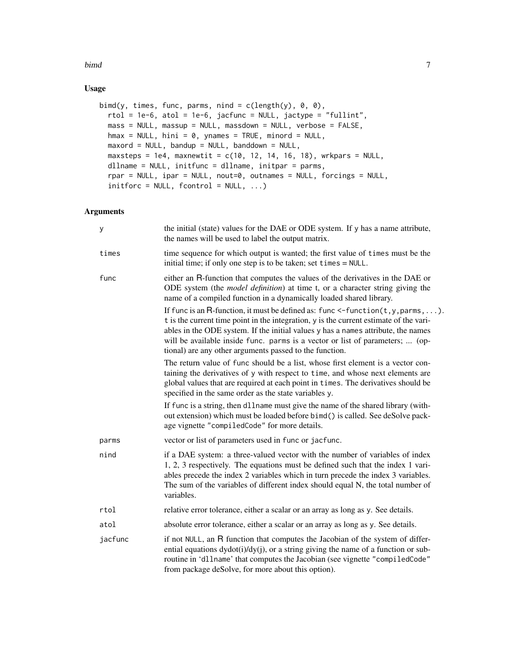#### bimd **7**

# Usage

```
bimd(y, times, func, parms, nind = c(length(y), 0, 0),
 rtol = 1e-6, atol = 1e-6, jacfunc = NULL, jactype = "fullint",
 mass = NULL, massup = NULL, massdown = NULL, verbose = FALSE,
 hmax = NULL, hini = 0, ynames = TRUE, minord = NULL,
 maxord = NULL, bandup = NULL, bandown = NULL,
 maxsteps = 1e4, maxnewtit = c(10, 12, 14, 16, 18), wrkpars = NULL,
 dllname = NULL, initfunc = dllname, initpar = parms,
  rpar = NULL, ipar = NULL, nout=0, outnames = NULL, forcings = NULL,
  initforce = NULL, fcontrol = NULL, ...)
```
# Arguments

| У       | the initial (state) values for the DAE or ODE system. If y has a name attribute,<br>the names will be used to label the output matrix.                                                                                                                                                                                                                                                                                |
|---------|-----------------------------------------------------------------------------------------------------------------------------------------------------------------------------------------------------------------------------------------------------------------------------------------------------------------------------------------------------------------------------------------------------------------------|
| times   | time sequence for which output is wanted; the first value of times must be the<br>initial time; if only one step is to be taken; set times = NULL.                                                                                                                                                                                                                                                                    |
| func    | either an R-function that computes the values of the derivatives in the DAE or<br>ODE system (the <i>model definition</i> ) at time t, or a character string giving the<br>name of a compiled function in a dynamically loaded shared library.                                                                                                                                                                        |
|         | If func is an R-function, it must be defined as: func $\leq$ -function( $t, y, p$ arms, ).<br>t is the current time point in the integration, y is the current estimate of the vari-<br>ables in the ODE system. If the initial values y has a names attribute, the names<br>will be available inside func. parms is a vector or list of parameters;  (op-<br>tional) are any other arguments passed to the function. |
|         | The return value of func should be a list, whose first element is a vector con-<br>taining the derivatives of y with respect to time, and whose next elements are<br>global values that are required at each point in times. The derivatives should be<br>specified in the same order as the state variables y.                                                                                                       |
|         | If func is a string, then dllname must give the name of the shared library (with-<br>out extension) which must be loaded before bimd() is called. See deSolve pack-<br>age vignette "compiledCode" for more details.                                                                                                                                                                                                  |
| parms   | vector or list of parameters used in func or jacfunc.                                                                                                                                                                                                                                                                                                                                                                 |
| nind    | if a DAE system: a three-valued vector with the number of variables of index<br>1, 2, 3 respectively. The equations must be defined such that the index 1 vari-<br>ables precede the index 2 variables which in turn precede the index 3 variables.<br>The sum of the variables of different index should equal N, the total number of<br>variables.                                                                  |
| rtol    | relative error tolerance, either a scalar or an array as long as y. See details.                                                                                                                                                                                                                                                                                                                                      |
| atol    | absolute error tolerance, either a scalar or an array as long as y. See details.                                                                                                                                                                                                                                                                                                                                      |
| jacfunc | if not NULL, an R function that computes the Jacobian of the system of differ-<br>ential equations dydot(i)/dy(j), or a string giving the name of a function or sub-<br>routine in 'dllname' that computes the Jacobian (see vignette "compiledCode"<br>from package deSolve, for more about this option).                                                                                                            |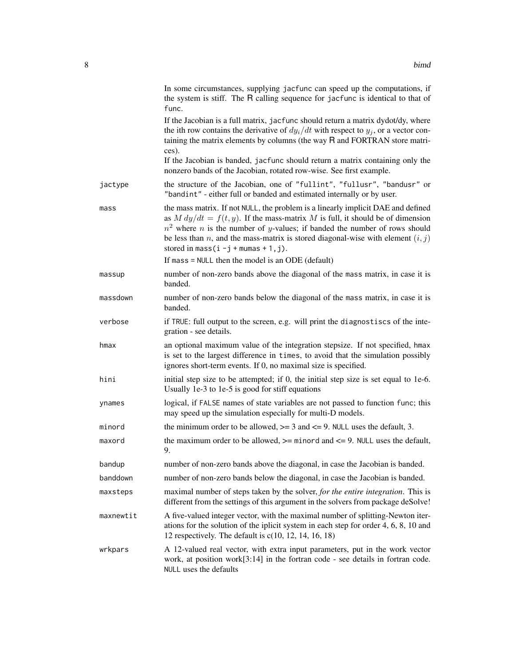|           | In some circumstances, supplying jacfunc can speed up the computations, if<br>the system is stiff. The R calling sequence for jacfunc is identical to that of<br>func.                                                                                                                                                                                                                                      |
|-----------|-------------------------------------------------------------------------------------------------------------------------------------------------------------------------------------------------------------------------------------------------------------------------------------------------------------------------------------------------------------------------------------------------------------|
|           | If the Jacobian is a full matrix, jacfunc should return a matrix dydot/dy, where<br>the ith row contains the derivative of $dy_i/dt$ with respect to $y_i$ , or a vector con-<br>taining the matrix elements by columns (the way R and FORTRAN store matri-<br>ces).                                                                                                                                        |
|           | If the Jacobian is banded, jacfunc should return a matrix containing only the<br>nonzero bands of the Jacobian, rotated row-wise. See first example.                                                                                                                                                                                                                                                        |
| jactype   | the structure of the Jacobian, one of "fullint", "fullusr", "bandusr" or<br>"bandint" - either full or banded and estimated internally or by user.                                                                                                                                                                                                                                                          |
| mass      | the mass matrix. If not NULL, the problem is a linearly implicit DAE and defined<br>as $M dy/dt = f(t, y)$ . If the mass-matrix M is full, it should be of dimension<br>$n2$ where <i>n</i> is the number of <i>y</i> -values; if banded the number of rows should<br>be less than n, and the mass-matrix is stored diagonal-wise with element $(i, j)$<br>stored in mass $(i - j + \text{mumas} + 1, j)$ . |
|           | If mass $=$ NULL then the model is an ODE (default)                                                                                                                                                                                                                                                                                                                                                         |
| massup    | number of non-zero bands above the diagonal of the mass matrix, in case it is<br>banded.                                                                                                                                                                                                                                                                                                                    |
| massdown  | number of non-zero bands below the diagonal of the mass matrix, in case it is<br>banded.                                                                                                                                                                                                                                                                                                                    |
| verbose   | if TRUE: full output to the screen, e.g. will print the diagnostiscs of the inte-<br>gration - see details.                                                                                                                                                                                                                                                                                                 |
| hmax      | an optional maximum value of the integration stepsize. If not specified, hmax<br>is set to the largest difference in times, to avoid that the simulation possibly<br>ignores short-term events. If 0, no maximal size is specified.                                                                                                                                                                         |
| hini      | initial step size to be attempted; if 0, the initial step size is set equal to 1e-6.<br>Usually 1e-3 to 1e-5 is good for stiff equations                                                                                                                                                                                                                                                                    |
| ynames    | logical, if FALSE names of state variables are not passed to function func; this<br>may speed up the simulation especially for multi-D models.                                                                                                                                                                                                                                                              |
| minord    | the minimum order to be allowed, $>= 3$ and $<= 9$ . NULL uses the default, 3.                                                                                                                                                                                                                                                                                                                              |
| maxord    | the maximum order to be allowed, $\ge$ = minord and $\le$ = 9. NULL uses the default,<br>9.                                                                                                                                                                                                                                                                                                                 |
| bandup    | number of non-zero bands above the diagonal, in case the Jacobian is banded.                                                                                                                                                                                                                                                                                                                                |
| banddown  | number of non-zero bands below the diagonal, in case the Jacobian is banded.                                                                                                                                                                                                                                                                                                                                |
| maxsteps  | maximal number of steps taken by the solver, for the entire integration. This is<br>different from the settings of this argument in the solvers from package deSolve!                                                                                                                                                                                                                                       |
| maxnewtit | A five-valued integer vector, with the maximal number of splitting-Newton iter-<br>ations for the solution of the iplicit system in each step for order $4, 6, 8, 10$ and<br>12 respectively. The default is $c(10, 12, 14, 16, 18)$                                                                                                                                                                        |
| wrkpars   | A 12-valued real vector, with extra input parameters, put in the work vector<br>work, at position work[3:14] in the fortran code - see details in fortran code.<br>NULL uses the defaults                                                                                                                                                                                                                   |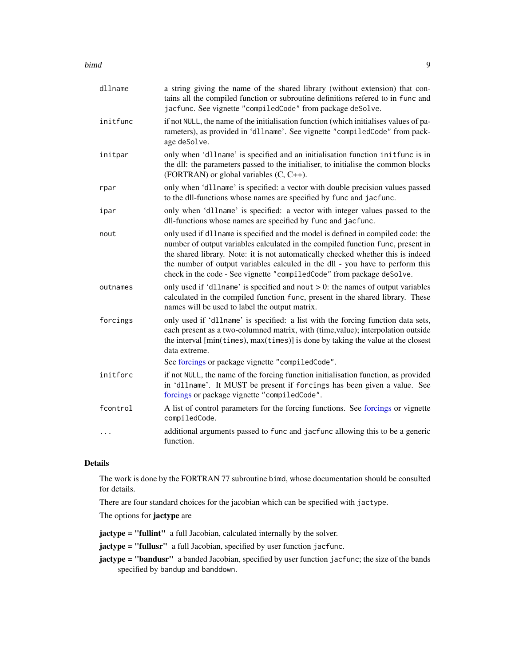#### <span id="page-8-0"></span>bimd 9

| dllname  | a string giving the name of the shared library (without extension) that con-<br>tains all the compiled function or subroutine definitions refered to in func and<br>jacfunc. See vignette "compiledCode" from package deSolve.                                                                                                                                                                                    |
|----------|-------------------------------------------------------------------------------------------------------------------------------------------------------------------------------------------------------------------------------------------------------------------------------------------------------------------------------------------------------------------------------------------------------------------|
| initfunc | if not NULL, the name of the initialisation function (which initialises values of pa-<br>rameters), as provided in 'dllname'. See vignette "compiledCode" from pack-<br>age deSolve.                                                                                                                                                                                                                              |
| initpar  | only when 'dllname' is specified and an initialisation function initfunc is in<br>the dll: the parameters passed to the initialiser, to initialise the common blocks<br>(FORTRAN) or global variables $(C, C++)$ .                                                                                                                                                                                                |
| rpar     | only when 'dllname' is specified: a vector with double precision values passed<br>to the dll-functions whose names are specified by func and jacfunc.                                                                                                                                                                                                                                                             |
| ipar     | only when 'dllname' is specified: a vector with integer values passed to the<br>dll-functions whose names are specified by func and jacfunc.                                                                                                                                                                                                                                                                      |
| nout     | only used if dllname is specified and the model is defined in compiled code: the<br>number of output variables calculated in the compiled function func, present in<br>the shared library. Note: it is not automatically checked whether this is indeed<br>the number of output variables calculed in the dll - you have to perform this<br>check in the code - See vignette "compiledCode" from package deSolve. |
| outnames | only used if 'dllname' is specified and nout $> 0$ : the names of output variables<br>calculated in the compiled function func, present in the shared library. These<br>names will be used to label the output matrix.                                                                                                                                                                                            |
| forcings | only used if 'dllname' is specified: a list with the forcing function data sets,<br>each present as a two-columned matrix, with (time, value); interpolation outside<br>the interval [min(times), max(times)] is done by taking the value at the closest<br>data extreme.                                                                                                                                         |
|          | See forcings or package vignette "compiledCode".                                                                                                                                                                                                                                                                                                                                                                  |
| initforc | if not NULL, the name of the forcing function initialisation function, as provided<br>in 'dllname'. It MUST be present if forcings has been given a value. See<br>forcings or package vignette "compiledCode".                                                                                                                                                                                                    |
| fcontrol | A list of control parameters for the forcing functions. See forcings or vignette<br>compiledCode.                                                                                                                                                                                                                                                                                                                 |
| .        | additional arguments passed to func and jacfunc allowing this to be a generic<br>function.                                                                                                                                                                                                                                                                                                                        |

# Details

The work is done by the FORTRAN 77 subroutine bimd, whose documentation should be consulted for details.

There are four standard choices for the jacobian which can be specified with jactype.

The options for jactype are

jactype = "fullint" a full Jacobian, calculated internally by the solver.

jactype = "fullusr" a full Jacobian, specified by user function jacfunc.

jactype = "bandusr" a banded Jacobian, specified by user function jacfunc; the size of the bands specified by bandup and banddown.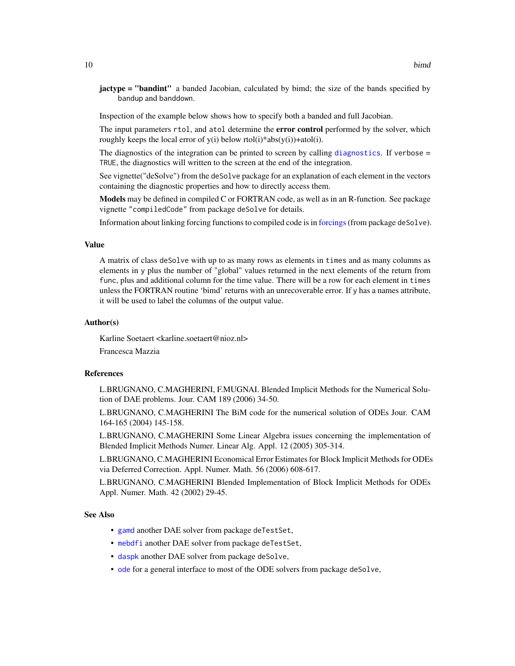<span id="page-9-0"></span>jactype = "bandint" a banded Jacobian, calculated by bimd; the size of the bands specified by bandup and banddown.

Inspection of the example below shows how to specify both a banded and full Jacobian.

The input parameters rtol, and atol determine the error control performed by the solver, which roughly keeps the local error of  $y(i)$  below rtol(i)\*abs( $y(i)$ )+atol(i).

The [diagnostics](#page-0-0) of the integration can be printed to screen by calling diagnostics. If verbose = TRUE, the diagnostics will written to the screen at the end of the integration.

See vignette("deSolve") from the deSolve package for an explanation of each element in the vectors containing the diagnostic properties and how to directly access them.

Models may be defined in compiled C or FORTRAN code, as well as in an R-function. See package vignette "compiledCode" from package deSolve for details.

Information about linking forcing functions to compiled code is in [forcings](#page-0-0)(from package deSolve).

# Value

A matrix of class deSolve with up to as many rows as elements in times and as many columns as elements in y plus the number of "global" values returned in the next elements of the return from func, plus and additional column for the time value. There will be a row for each element in times unless the FORTRAN routine 'bimd' returns with an unrecoverable error. If y has a names attribute, it will be used to label the columns of the output value.

# Author(s)

Karline Soetaert <karline.soetaert@nioz.nl>

Francesca Mazzia

# References

L.BRUGNANO, C.MAGHERINI, F.MUGNAI. Blended Implicit Methods for the Numerical Solution of DAE problems. Jour. CAM 189 (2006) 34-50.

L.BRUGNANO, C.MAGHERINI The BiM code for the numerical solution of ODEs Jour. CAM 164-165 (2004) 145-158.

L.BRUGNANO, C.MAGHERINI Some Linear Algebra issues concerning the implementation of Blended Implicit Methods Numer. Linear Alg. Appl. 12 (2005) 305-314.

L.BRUGNANO, C.MAGHERINI Economical Error Estimates for Block Implicit Methods for ODEs via Deferred Correction. Appl. Numer. Math. 56 (2006) 608-617.

L.BRUGNANO, C.MAGHERINI Blended Implementation of Block Implicit Methods for ODEs Appl. Numer. Math. 42 (2002) 29-45.

# See Also

- [gamd](#page-30-1) another DAE solver from package deTestSet,
- [mebdfi](#page-39-1) another DAE solver from package deTestSet,
- [daspk](#page-0-0) another DAE solver from package deSolve,
- [ode](#page-0-0) for a general interface to most of the ODE solvers from package deSolve,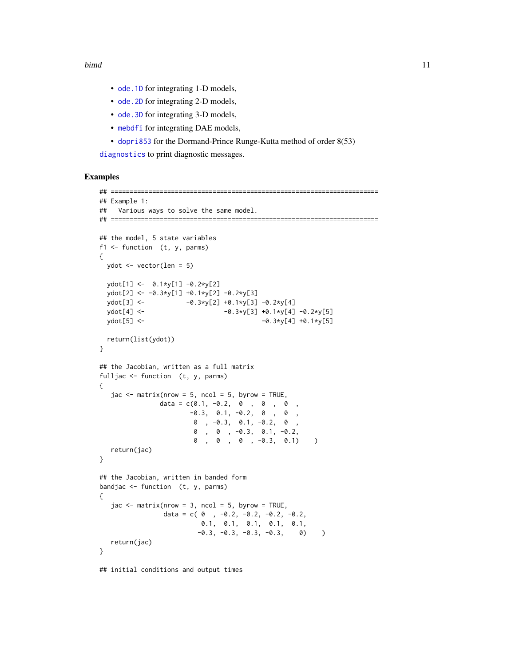- <span id="page-10-0"></span>• ode. 1D for integrating 1-D models,
- ode. 2D for integrating 2-D models,
- ode. 3D for integrating 3-D models,
- [mebdfi](#page-39-1) for integrating DAE models,
- [dopri853](#page-22-1) for the Dormand-Prince Runge-Kutta method of order 8(53)

[diagnostics](#page-0-0) to print diagnostic messages.

# Examples

```
## =======================================================================
## Example 1:
## Various ways to solve the same model.
## =======================================================================
## the model, 5 state variables
f1 \leftarrow function (t, y, parms)
{
 ydot <- vector(len = 5)
 ydot[1] <- 0.1*y[1] -0.2*y[2]
 ydot[2] <- -0.3*y[1] +0.1*y[2] -0.2*y[3]
 ydot[3] <- -0.3*y[2] +0.1*y[3] -0.2*y[4]
 ydot[4] <- -0.3*y[3] +0.1*y[4] -0.2*y[5]
 ydot[5] <- -0.3*y[4] +0.1*y[5]
 return(list(ydot))
}
## the Jacobian, written as a full matrix
fulljac <- function (t, y, parms)
{
  jac \leq matrix(nrow = 5, ncol = 5, byrow = TRUE,
               data = c(0.1, -0.2, 0, 0, 0, 0,-0.3, 0.1, -0.2, 0, 0,0 , -0.3, 0.1, -0.2, 0 ,
                       0 , 0 , -0.3, 0.1, -0.2,
                       0 , 0 , 0 , -0.3, 0.1) )
  return(jac)
}
## the Jacobian, written in banded form
bandjac <- function (t, y, parms)
{
  \text{jac} <- matrix(nrow = 3, ncol = 5, byrow = TRUE,
               data = c(0, -0.2, -0.2, -0.2, -0.2, -0.20.1, 0.1, 0.1, 0.1, 0.1,
                        -0.3, -0.3, -0.3, -0.3, 0)return(jac)
}
```
## initial conditions and output times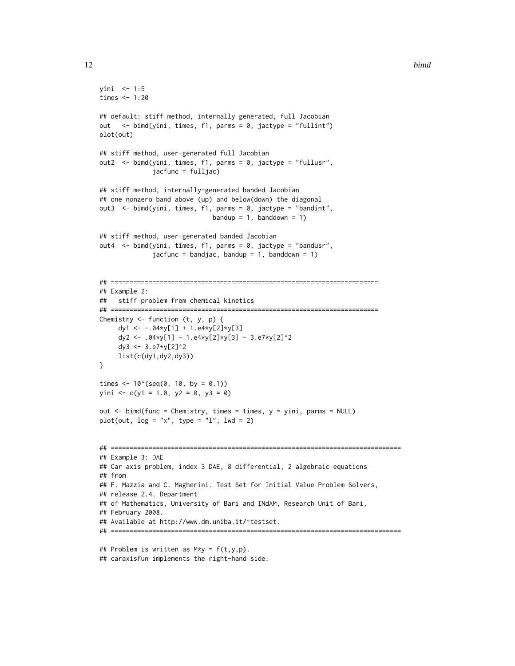#### 12 bimd

```
yini <- 1:5
times <- 1:20
## default: stiff method, internally generated, full Jacobian
out <- bimd(yini, times, f1, parms = 0, jactype = "fullint")
plot(out)
## stiff method, user-generated full Jacobian
out2 <- bimd(yini, times, f1, parms = 0, jactype = "fullusr",
              jacfunc = fulljac)
## stiff method, internally-generated banded Jacobian
## one nonzero band above (up) and below(down) the diagonal
out3 <- bimd(yini, times, f1, parms = 0, jactype = "bandint",
                              bandup = 1, banddown = 1)
## stiff method, user-generated banded Jacobian
out4 <- bimd(yini, times, f1, parms = 0, jactype = "bandusr",
              jacfunc = bandjac, bandup = 1, banddown = 1)
## =======================================================================
## Example 2:
## stiff problem from chemical kinetics
## =======================================================================
Chemistry \leq function (t, y, p) {
     dy1 <- -.04*y[1] + 1.e4*y[2]*y[3]
     dy2 <- .04*y[1] - 1.e4*y[2]*y[3] - 3.e7*y[2]^2
     dy3 <- 3.e7*y[2]^2
     list(c(dy1,dy2,dy3))
}
times <- 10^(seq(0, 10, by = 0.1))yini <- c(y1 = 1.0, y2 = 0, y3 = 0)out <- bimd(func = Chemistry, times = times, y = yini, parms = NULL)
plot(out, log = "x", type = "l", lwd = 2)## =============================================================================
## Example 3: DAE
## Car axis problem, index 3 DAE, 8 differential, 2 algebraic equations
## from
## F. Mazzia and C. Magherini. Test Set for Initial Value Problem Solvers,
## release 2.4. Department
## of Mathematics, University of Bari and INdAM, Research Unit of Bari,
## February 2008.
## Available at http://www.dm.uniba.it/~testset.
## =============================================================================
## Problem is written as M*y = f(t,y,p).
```

```
## caraxisfun implements the right-hand side:
```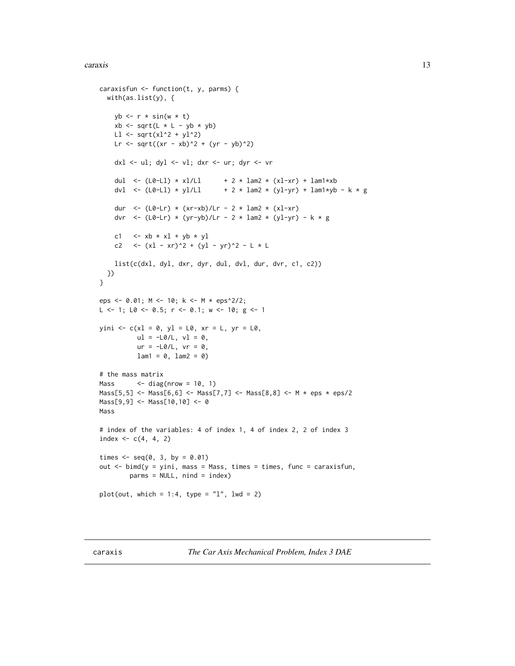#### <span id="page-12-0"></span>caraxis and the contract of the contract of the contract of the contract of the contract of the contract of the contract of the contract of the contract of the contract of the contract of the contract of the contract of th

```
caraxisfun <- function(t, y, parms) {
  with(as.list(y), {
   yb \leftarrow r * sin(w * t)xb \leq sqrt(L * L - yb * yb)Ll \leq sqrt(xl^2 + yl^2)
   Lr <- sqrt((xr - xb)^2 + (yr - yb)^2)
   dxl <- ul; dyl <- vl; dxr <- ur; dyr <- vr
   dul <- (L0-L1) * xl/Ll + 2 * lam2 * (xl-xr) + lam1*xb
   dvl <- (L0-L1) * yl/L1 + 2 * lam2 * (yl-yr) + lam1*yb - k * g
    dur <- (L0-Lr) * (xr-xb)/Lr - 2 * lam2 * (x1-xr)dvr <- (L0-Lr) * (yr-yb)/Lr - 2 * lam2 * (yl-yr) - k * g
    c1 \langle -x_0 + x_1 + y_0 + y_1 \ranglec2 <- (xl - xr)^2 + (yl - yr)^2 - L * Llist(c(dxl, dyl, dxr, dyr, dul, dvl, dur, dvr, c1, c2))
 })
}
eps <- 0.01; M <- 10; k <- M * eps^2/2;
L <- 1; L0 <- 0.5; r <- 0.1; w <- 10; g <- 1
yini \leq c(x) = 0, yl = L0, xr = L, yr = L0,
          ul = -L0/L, vl = 0,ur = -L0/L, vr = 0,
          lam1 = 0, lam2 = 0)
# the mass matrix
Mass \leq diag(nrow = 10, 1)
Mass[5,5] <- Mass[6,6] <- Mass[7,7] <- Mass[8,8] <- M * eps * eps/2
Mass[9,9] <- Mass[10,10] <- 0
Mass
# index of the variables: 4 of index 1, 4 of index 2, 2 of index 3
index <-c(4, 4, 2)times \leq - seq(0, 3, by = 0.01)
out <- bimd(y = yini, mass = Mass, times = times, func = caraxisfun,
        parms = NULL, nind = index)
plot(out, which = 1:4, type = "l", lwd = 2)
```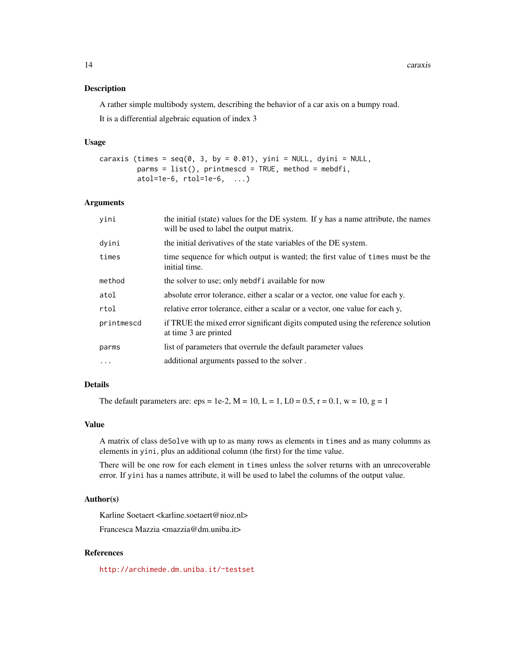14 caraxis

#### Description

A rather simple multibody system, describing the behavior of a car axis on a bumpy road.

It is a differential algebraic equation of index 3

# Usage

```
caraxis (times = seq(0, 3, by = 0.01), yini = NULL, dyini = NULL,
         params = list(), printmescd = TRUE, method = mebdfi,
         atol=1e-6, rtol=1e-6, \ldots)
```
# Arguments

| yini       | the initial (state) values for the DE system. If y has a name attribute, the names<br>will be used to label the output matrix. |
|------------|--------------------------------------------------------------------------------------------------------------------------------|
| dyini      | the initial derivatives of the state variables of the DE system.                                                               |
| times      | time sequence for which output is wanted; the first value of times must be the<br>initial time.                                |
| method     | the solver to use; only mebdfi available for now                                                                               |
| atol       | absolute error tolerance, either a scalar or a vector, one value for each y.                                                   |
| rtol       | relative error tolerance, either a scalar or a vector, one value for each y,                                                   |
| printmescd | if TRUE the mixed error significant digits computed using the reference solution<br>at time 3 are printed                      |
| parms      | list of parameters that overrule the default parameter values                                                                  |
| $\ddotsc$  | additional arguments passed to the solver.                                                                                     |

# Details

The default parameters are: eps = 1e-2,  $M = 10$ ,  $L = 1$ ,  $L0 = 0.5$ ,  $r = 0.1$ ,  $w = 10$ ,  $g = 1$ 

# Value

A matrix of class deSolve with up to as many rows as elements in times and as many columns as elements in yini, plus an additional column (the first) for the time value.

There will be one row for each element in times unless the solver returns with an unrecoverable error. If yini has a names attribute, it will be used to label the columns of the output value.

# Author(s)

Karline Soetaert <karline.soetaert@nioz.nl>

Francesca Mazzia <mazzia@dm.uniba.it>

# References

<http://archimede.dm.uniba.it/~testset>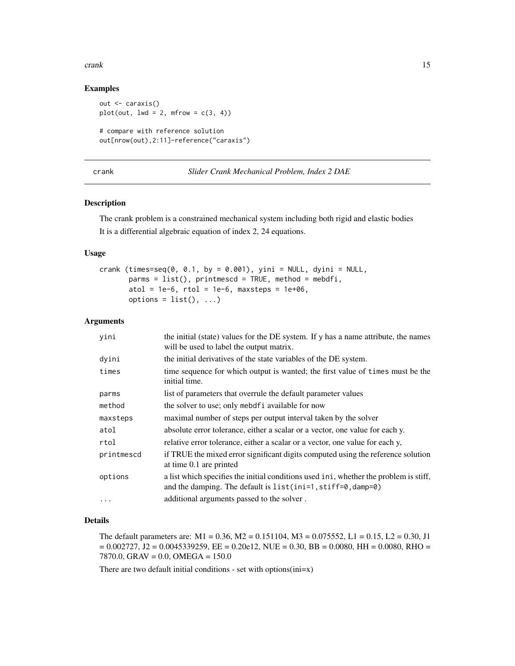#### <span id="page-14-0"></span>crank the contract of the contract of the contract of the contract of the contract of the contract of the contract of the contract of the contract of the contract of the contract of the contract of the contract of the cont

# Examples

```
out <- caraxis()
plot(out, lwd = 2, mfrow = c(3, 4))
# compare with reference solution
out[nrow(out),2:11]-reference("caraxis")
```
# crank *Slider Crank Mechanical Problem, Index 2 DAE*

# Description

The crank problem is a constrained mechanical system including both rigid and elastic bodies It is a differential algebraic equation of index 2, 24 equations.

# Usage

```
crank (times=seq(0, 0.1, by = 0.001), yini = NULL, dyini = NULL,
       params = list(), printmescd = TRUE, method = mebdfi,atol = 1e-6, rtol = 1e-6, maxsteps = 1e+06,
      options = list(), ...)
```
# Arguments

| yini       | the initial (state) values for the DE system. If y has a name attribute, the names<br>will be used to label the output matrix.                         |
|------------|--------------------------------------------------------------------------------------------------------------------------------------------------------|
| dyini      | the initial derivatives of the state variables of the DE system.                                                                                       |
| times      | time sequence for which output is wanted; the first value of times must be the<br>initial time.                                                        |
| parms      | list of parameters that overrule the default parameter values                                                                                          |
| method     | the solver to use; only mebdf i available for now                                                                                                      |
| maxsteps   | maximal number of steps per output interval taken by the solver                                                                                        |
| atol       | absolute error tolerance, either a scalar or a vector, one value for each y.                                                                           |
| rtol       | relative error tolerance, either a scalar or a vector, one value for each y,                                                                           |
| printmescd | if TRUE the mixed error significant digits computed using the reference solution<br>at time 0.1 are printed                                            |
| options    | a list which specifies the initial conditions used in i, whether the problem is stiff,<br>and the damping. The default is list(ini=1, stiff=0, damp=0) |
| $\cdots$   | additional arguments passed to the solver.                                                                                                             |

# Details

The default parameters are:  $M1 = 0.36$ ,  $M2 = 0.151104$ ,  $M3 = 0.075552$ ,  $L1 = 0.15$ ,  $L2 = 0.30$ , J1  $= 0.002727$ , J2 = 0.0045339259, EE = 0.20e12, NUE = 0.30, BB = 0.0080, HH = 0.0080, RHO = 7870.0, GRAV = 0.0, OMEGA = 150.0

There are two default initial conditions - set with options(ini=x)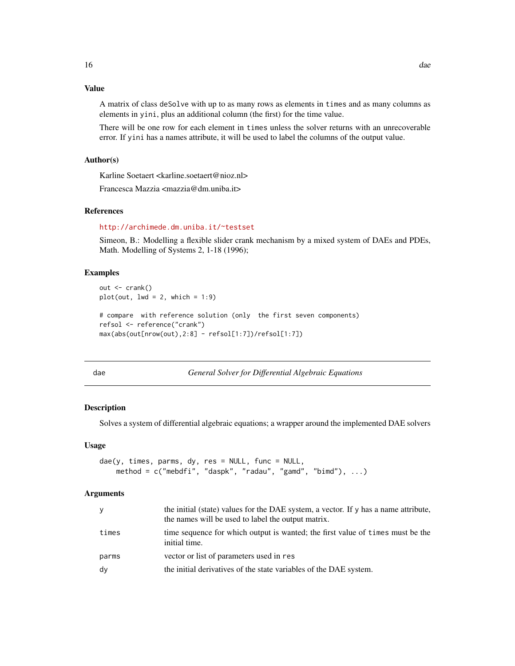# <span id="page-15-0"></span>Value

A matrix of class deSolve with up to as many rows as elements in times and as many columns as elements in yini, plus an additional column (the first) for the time value.

There will be one row for each element in times unless the solver returns with an unrecoverable error. If yini has a names attribute, it will be used to label the columns of the output value.

# Author(s)

Karline Soetaert <karline.soetaert@nioz.nl>

Francesca Mazzia <mazzia@dm.uniba.it>

# References

# <http://archimede.dm.uniba.it/~testset>

Simeon, B.: Modelling a flexible slider crank mechanism by a mixed system of DAEs and PDEs, Math. Modelling of Systems 2, 1-18 (1996);

# Examples

```
out \leq crank()
plot(out, lwd = 2, which = 1:9)# compare with reference solution (only the first seven components)
refsol <- reference("crank")
max(abs(out[nrow(out),2:8] - refsol[1:7])/refsol[1:7])
```
<span id="page-15-1"></span>

dae *General Solver for Differential Algebraic Equations*

#### Description

Solves a system of differential algebraic equations; a wrapper around the implemented DAE solvers

#### Usage

```
dae(y, times, parms, dy, res = NULL, func = NULL,
   method = c("mebdfi", "daspk", "radau", "gamd", "bimd"), ...)
```
#### Arguments

| the names will be used to label the output matrix.                                                       |
|----------------------------------------------------------------------------------------------------------|
| time sequence for which output is wanted; the first value of times must be the<br>times<br>initial time. |
| vector or list of parameters used in res<br>parms                                                        |
| dy<br>the initial derivatives of the state variables of the DAE system.                                  |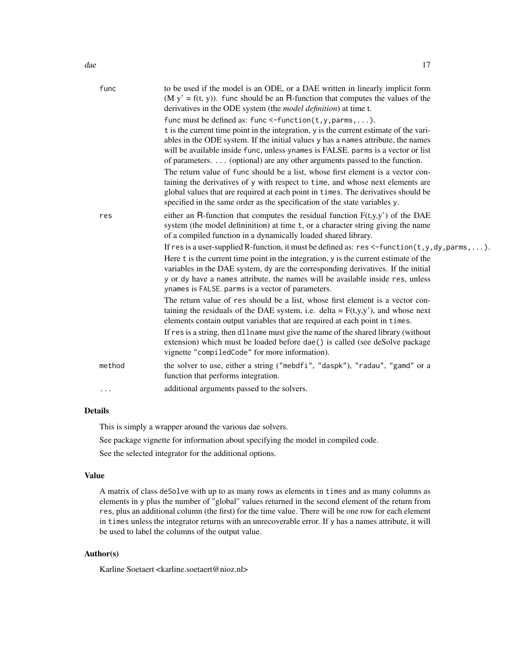| func   | to be used if the model is an ODE, or a DAE written in linearly implicit form<br>$(M y' = f(t, y))$ . func should be an R-function that computes the values of the<br>derivatives in the ODE system (the <i>model definition</i> ) at time t.                                                                                                                                                                       |
|--------|---------------------------------------------------------------------------------------------------------------------------------------------------------------------------------------------------------------------------------------------------------------------------------------------------------------------------------------------------------------------------------------------------------------------|
|        | func must be defined as: func $\leq$ -function(t,y,parms,).<br>t is the current time point in the integration, y is the current estimate of the vari-<br>ables in the ODE system. If the initial values y has a names attribute, the names<br>will be available inside func, unless ynames is FALSE. parms is a vector or list<br>of parameters. $\dots$ (optional) are any other arguments passed to the function. |
|        | The return value of func should be a list, whose first element is a vector con-<br>taining the derivatives of y with respect to time, and whose next elements are<br>global values that are required at each point in times. The derivatives should be<br>specified in the same order as the specification of the state variables y.                                                                                |
| res    | either an R-function that computes the residual function $F(t,y,y')$ of the DAE<br>system (the model defininition) at time t, or a character string giving the name<br>of a compiled function in a dynamically loaded shared library.                                                                                                                                                                               |
|        | If res is a user-supplied R-function, it must be defined as: res <-function( $t, y, dy,$ parms, ).                                                                                                                                                                                                                                                                                                                  |
|        | Here t is the current time point in the integration, y is the current estimate of the<br>variables in the DAE system, dy are the corresponding derivatives. If the initial<br>y or dy have a names attribute, the names will be available inside res, unless<br>ynames is FALSE. parms is a vector of parameters.                                                                                                   |
|        | The return value of res should be a list, whose first element is a vector con-<br>taining the residuals of the DAE system, i.e. delta = $F(t,y,y')$ , and whose next<br>elements contain output variables that are required at each point in times.                                                                                                                                                                 |
|        | If res is a string, then dllname must give the name of the shared library (without<br>extension) which must be loaded before dae() is called (see deSolve package<br>vignette "compiledCode" for more information).                                                                                                                                                                                                 |
| method | the solver to use, either a string ("mebdfi", "daspk"), "radau", "gamd" or a<br>function that performs integration.                                                                                                                                                                                                                                                                                                 |
| .      | additional arguments passed to the solvers.                                                                                                                                                                                                                                                                                                                                                                         |

# Details

This is simply a wrapper around the various dae solvers.

See package vignette for information about specifying the model in compiled code.

See the selected integrator for the additional options.

#### Value

A matrix of class deSolve with up to as many rows as elements in times and as many columns as elements in y plus the number of "global" values returned in the second element of the return from res, plus an additional column (the first) for the time value. There will be one row for each element in times unless the integrator returns with an unrecoverable error. If y has a names attribute, it will be used to label the columns of the output value.

# Author(s)

Karline Soetaert <karline.soetaert@nioz.nl>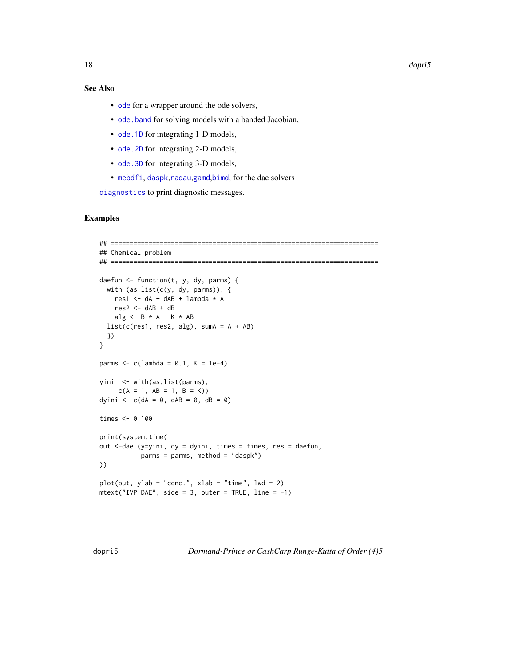<span id="page-17-0"></span>18 dopri5

# See Also

- [ode](#page-0-0) for a wrapper around the ode solvers,
- [ode.band](#page-0-0) for solving models with a banded Jacobian,
- [ode.1D](#page-0-0) for integrating 1-D models,
- ode. 2D for integrating 2-D models,
- ode. 3D for integrating 3-D models,
- [mebdfi](#page-39-1), [daspk](#page-0-0),[radau](#page-0-0),[gamd](#page-30-1),[bimd](#page-5-1), for the dae solvers

[diagnostics](#page-0-0) to print diagnostic messages.

# Examples

```
## =======================================================================
## Chemical problem
## =======================================================================
daefun <- function(t, y, dy, parms) {
  with (as.list(c(y, dy, parms)), {
   res1 \leq -dA + dAB + lambda * Ares2 <- dAB + dB
   alg \leq - B \star A - K \star AB
  list(c(res1, res2, alg), sumA = A + AB)})
}
parms <-c(lambda = 0.1, K = 1e-4)
yini <- with(as.list(parms),
     c(A = 1, AB = 1, B = K))dyini \leq -c (dA = 0, dAB = 0, dB = 0)
times <- 0:100
print(system.time(
out <-dae (y=yini, dy = dyini, times = times, res = daefun,
           parms = parms, method = "daspk")
))
plot(out, ylab = "conc.", xlab = "time". lwd = 2)mtext("IVP DAE", side = 3, outer = TRUE, line = -1)
```
dopri5 *Dormand-Prince or CashCarp Runge-Kutta of Order (4)5*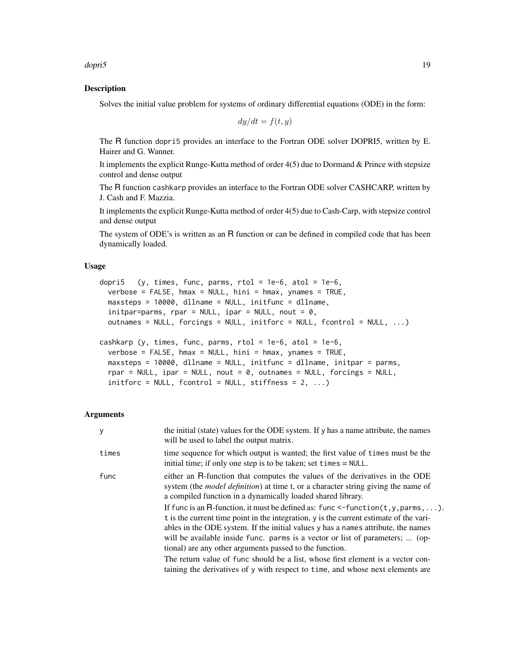dopri5 19

# Description

Solves the initial value problem for systems of ordinary differential equations (ODE) in the form:

$$
dy/dt = f(t, y)
$$

The R function dopri5 provides an interface to the Fortran ODE solver DOPRI5, written by E. Hairer and G. Wanner.

It implements the explicit Runge-Kutta method of order 4(5) due to Dormand & Prince with stepsize control and dense output

The R function cashkarp provides an interface to the Fortran ODE solver CASHCARP, written by J. Cash and F. Mazzia.

It implements the explicit Runge-Kutta method of order 4(5) due to Cash-Carp, with stepsize control and dense output

The system of ODE's is written as an R function or can be defined in compiled code that has been dynamically loaded.

#### Usage

```
dopri5 (y, times, func, parms, rtol = 1e-6, atol = 1e-6,
 verbose = FALSE, hmax = NULL, hini = hmax, ynames = TRUE,
 maxsteps = 10000, dllname = NULL, initfunc = dllname,
  initpar=parms, rpar = NULL, ipar = NULL, nout = 0,
 outnames = NULL, forcings = NULL, initforc = NULL, fcontrol = NULL, ...)
cashkarp (y, times, func, parms, rtol = 1e-6, atol = 1e-6,
```

```
verbose = FALSE, hmax = NULL, hini = hmax, ynames = TRUE,maxsteps = 10000, dllname = NULL, initfunc = dllname, initpar = parms,
rpar = NULL, ipar = NULL, nout = 0, outnames = NULL, forcings = NULL,
initforce = NULL, fcontrol = NULL, stiffness = 2, ...)
```
#### Arguments

| У     | the initial (state) values for the ODE system. If y has a name attribute, the names<br>will be used to label the output matrix.                                                                                                                                                                                                                                                                                                   |
|-------|-----------------------------------------------------------------------------------------------------------------------------------------------------------------------------------------------------------------------------------------------------------------------------------------------------------------------------------------------------------------------------------------------------------------------------------|
| times | time sequence for which output is wanted; the first value of times must be the<br>initial time; if only one step is to be taken; set times $= \text{NULL}$ .                                                                                                                                                                                                                                                                      |
| func  | either an R-function that computes the values of the derivatives in the ODE<br>system (the <i>model definition</i> ) at time t, or a character string giving the name of<br>a compiled function in a dynamically loaded shared library.                                                                                                                                                                                           |
|       | If func is an R-function, it must be defined as: func $\le$ -function $(t, y, \text{params}, \dots)$ .<br>t is the current time point in the integration, y is the current estimate of the vari-<br>ables in the ODE system. If the initial values y has a names attribute, the names<br>will be available inside func. parms is a vector or list of parameters;  (op-<br>tional) are any other arguments passed to the function. |
|       | The return value of func should be a list, whose first element is a vector con-<br>taining the derivatives of y with respect to time, and whose next elements are                                                                                                                                                                                                                                                                 |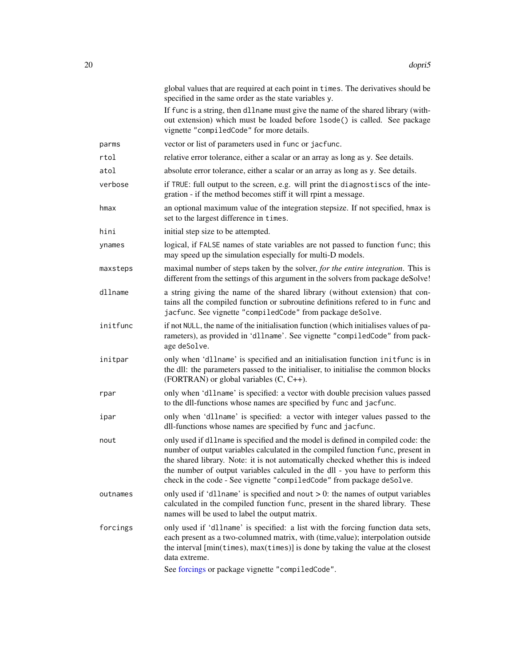<span id="page-19-0"></span>

|          | global values that are required at each point in times. The derivatives should be<br>specified in the same order as the state variables y.<br>If func is a string, then d11name must give the name of the shared library (with-<br>out extension) which must be loaded before 1sode() is called. See package<br>vignette "compiledCode" for more details.                                                         |
|----------|-------------------------------------------------------------------------------------------------------------------------------------------------------------------------------------------------------------------------------------------------------------------------------------------------------------------------------------------------------------------------------------------------------------------|
| parms    | vector or list of parameters used in func or jacfunc.                                                                                                                                                                                                                                                                                                                                                             |
| rtol     | relative error tolerance, either a scalar or an array as long as y. See details.                                                                                                                                                                                                                                                                                                                                  |
| atol     | absolute error tolerance, either a scalar or an array as long as y. See details.                                                                                                                                                                                                                                                                                                                                  |
| verbose  | if TRUE: full output to the screen, e.g. will print the diagnostiscs of the inte-<br>gration - if the method becomes stiff it will rpint a message.                                                                                                                                                                                                                                                               |
| hmax     | an optional maximum value of the integration stepsize. If not specified, hmax is<br>set to the largest difference in times.                                                                                                                                                                                                                                                                                       |
| hini     | initial step size to be attempted.                                                                                                                                                                                                                                                                                                                                                                                |
| ynames   | logical, if FALSE names of state variables are not passed to function func; this<br>may speed up the simulation especially for multi-D models.                                                                                                                                                                                                                                                                    |
| maxsteps | maximal number of steps taken by the solver, for the entire integration. This is<br>different from the settings of this argument in the solvers from package deSolve!                                                                                                                                                                                                                                             |
| dllname  | a string giving the name of the shared library (without extension) that con-<br>tains all the compiled function or subroutine definitions refered to in func and<br>jacfunc. See vignette "compiledCode" from package deSolve.                                                                                                                                                                                    |
| initfunc | if not NULL, the name of the initialisation function (which initialises values of pa-<br>rameters), as provided in 'dllname'. See vignette "compiledCode" from pack-<br>age deSolve.                                                                                                                                                                                                                              |
| initpar  | only when 'dllname' is specified and an initialisation function initfunc is in<br>the dll: the parameters passed to the initialiser, to initialise the common blocks<br>(FORTRAN) or global variables $(C, C++)$ .                                                                                                                                                                                                |
| rpar     | only when 'dllname' is specified: a vector with double precision values passed<br>to the dll-functions whose names are specified by func and jacfunc.                                                                                                                                                                                                                                                             |
| ipar     | only when 'dllname' is specified: a vector with integer values passed to the<br>dll-functions whose names are specified by func and jacfunc.                                                                                                                                                                                                                                                                      |
| nout     | only used if dllname is specified and the model is defined in compiled code: the<br>number of output variables calculated in the compiled function func, present in<br>the shared library. Note: it is not automatically checked whether this is indeed<br>the number of output variables calculed in the dll - you have to perform this<br>check in the code - See vignette "compiledCode" from package deSolve. |
| outnames | only used if 'dllname' is specified and nout $> 0$ : the names of output variables<br>calculated in the compiled function func, present in the shared library. These<br>names will be used to label the output matrix.                                                                                                                                                                                            |
| forcings | only used if 'dllname' is specified: a list with the forcing function data sets,<br>each present as a two-columned matrix, with (time, value); interpolation outside<br>the interval [min(times), max(times)] is done by taking the value at the closest<br>data extreme.                                                                                                                                         |
|          | See forcings or package vignette "compiledCode".                                                                                                                                                                                                                                                                                                                                                                  |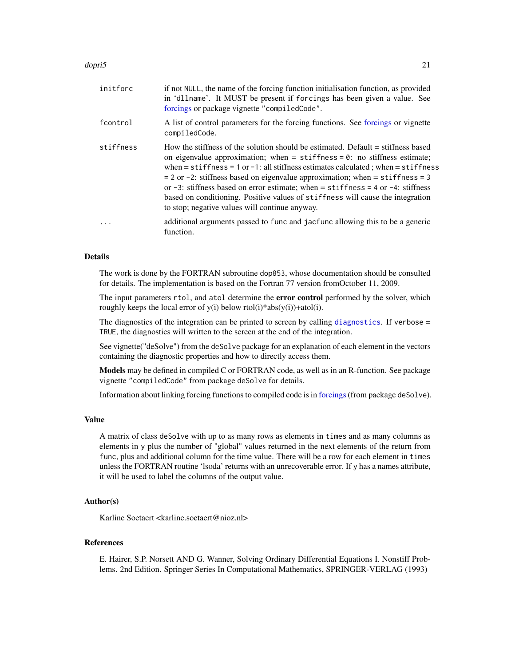### <span id="page-20-0"></span>dopri5 21

| initforc  | if not NULL, the name of the forcing function initialisation function, as provided<br>in 'dllname'. It MUST be present if forcings has been given a value. See<br>forcings or package vignette "compiledCode".                                                                                                                                                                                                                                                                                                                                                              |
|-----------|-----------------------------------------------------------------------------------------------------------------------------------------------------------------------------------------------------------------------------------------------------------------------------------------------------------------------------------------------------------------------------------------------------------------------------------------------------------------------------------------------------------------------------------------------------------------------------|
| fcontrol  | A list of control parameters for the forcing functions. See forcings or vignette<br>compiledCode.                                                                                                                                                                                                                                                                                                                                                                                                                                                                           |
| stiffness | How the stiffness of the solution should be estimated. Default = stiffness based<br>on eigenvalue approximation; when $=$ stiffness $=$ 0: no stiffness estimate;<br>when = stiffness = 1 or -1: all stiffness estimates calculated; when = stiffness<br>$= 2$ or $-2$ : stiffness based on eigenvalue approximation; when $=$ stiffness $= 3$<br>or $-3$ : stiffness based on error estimate; when = stiffness = 4 or $-4$ : stiffness<br>based on conditioning. Positive values of stiffness will cause the integration<br>to stop; negative values will continue anyway. |
| .         | additional arguments passed to func and jacfunc allowing this to be a generic<br>function.                                                                                                                                                                                                                                                                                                                                                                                                                                                                                  |

# **Details**

The work is done by the FORTRAN subroutine dop853, whose documentation should be consulted for details. The implementation is based on the Fortran 77 version fromOctober 11, 2009.

The input parameters rtol, and atol determine the **error control** performed by the solver, which roughly keeps the local error of  $y(i)$  below rtol $(i)*abs(y(i)) +atol(i)$ .

The [diagnostics](#page-0-0) of the integration can be printed to screen by calling diagnostics. If verbose = TRUE, the diagnostics will written to the screen at the end of the integration.

See vignette("deSolve") from the deSolve package for an explanation of each element in the vectors containing the diagnostic properties and how to directly access them.

Models may be defined in compiled C or FORTRAN code, as well as in an R-function. See package vignette "compiledCode" from package deSolve for details.

Information about linking forcing functions to compiled code is in [forcings](#page-0-0)(from package deSolve).

#### Value

A matrix of class deSolve with up to as many rows as elements in times and as many columns as elements in y plus the number of "global" values returned in the next elements of the return from func, plus and additional column for the time value. There will be a row for each element in times unless the FORTRAN routine 'lsoda' returns with an unrecoverable error. If y has a names attribute, it will be used to label the columns of the output value.

# Author(s)

Karline Soetaert <karline.soetaert@nioz.nl>

#### References

E. Hairer, S.P. Norsett AND G. Wanner, Solving Ordinary Differential Equations I. Nonstiff Problems. 2nd Edition. Springer Series In Computational Mathematics, SPRINGER-VERLAG (1993)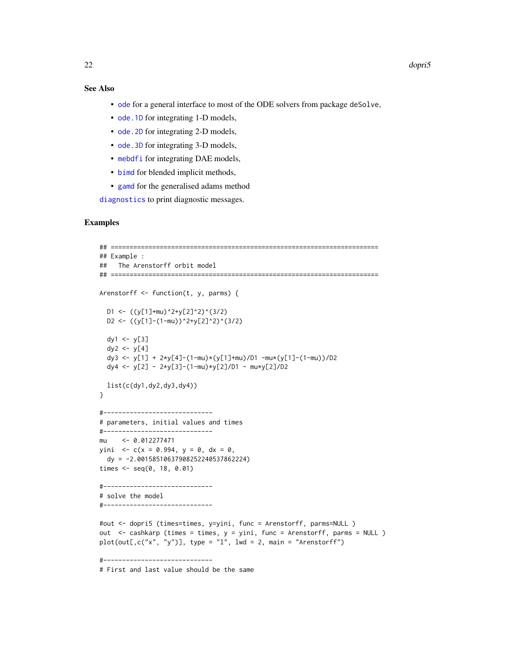# <span id="page-21-0"></span>See Also

- [ode](#page-0-0) for a general interface to most of the ODE solvers from package deSolve,
- ode. 1D for integrating 1-D models,
- ode. 2D for integrating 2-D models,
- ode. 3D for integrating 3-D models,
- [mebdfi](#page-39-1) for integrating DAE models,
- [bimd](#page-5-1) for blended implicit methods,
- [gamd](#page-30-1) for the generalised adams method

[diagnostics](#page-0-0) to print diagnostic messages.

# Examples

```
## =======================================================================
## Example :
## The Arenstorff orbit model
## =======================================================================
Arenstorff <- function(t, y, parms) {
  D1 <- ((y[1]+mu)^2+y[2]^2)(3/2)D2 <- ((y[1]-(1-mu))^2+y[2]^2)(3/2)dy1 < -y[3]dy2 < -y[4]dy3 <- y[1] + 2*y[4]-(1-mu)*(y[1]+mu)/D1 -mu*(y[1]-(1-mu))/D2
  dy4 <- y[2] - 2*y[3]-(1-mu)*y[2]/D1 - mu*y[2]/D2
  list(c(dy1,dy2,dy3,dy4))
}
#-----------------------------
# parameters, initial values and times
#-----------------------------
mu <- 0.012277471
yini <- c(x = 0.994, y = 0, dx = 0,dy = -2.00158510637908252240537862224)
times \leq seq(0, 18, 0.01)
#-----------------------------
# solve the model
#-----------------------------
#out <- dopri5 (times=times, y=yini, func = Arenstorff, parms=NULL )
out <- cashkarp (times = times, y = yini, func = Arenstorff, parms = NULL )
plot(out[,c("x", "y")], type = "l", lwd = 2, main = "Arenstorff")#-----------------------------
# First and last value should be the same
```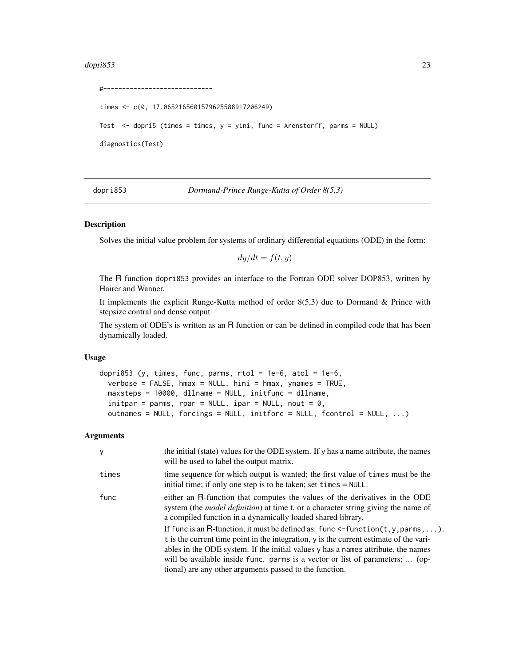#### <span id="page-22-0"></span>dopri853 23

```
#-----------------------------
times <- c(0, 17.0652165601579625588917206249)
Test \leq dopri5 (times = times, y = yini, func = Arenstorff, parms = NULL)
diagnostics(Test)
```
<span id="page-22-1"></span>dopri853 *Dormand-Prince Runge-Kutta of Order 8(5,3)*

# Description

Solves the initial value problem for systems of ordinary differential equations (ODE) in the form:

 $dy/dt = f(t, y)$ 

The R function dopri853 provides an interface to the Fortran ODE solver DOP853, written by Hairer and Wanner.

It implements the explicit Runge-Kutta method of order 8(5,3) due to Dormand & Prince with stepsize contral and dense output

The system of ODE's is written as an R function or can be defined in compiled code that has been dynamically loaded.

#### Usage

```
dopri853 (y, times, func, parms, rtol = 1e-6, atol = 1e-6,
 verbose = FALSE, hmax = NULL, hini = hmax, ynames = TRUE,
 maxsteps = 10000, dllname = NULL, initfunc = dllname,
 initpar = parms, rpar = NULL, ipar = NULL, nout = 0,
 outnames = NULL, forcings = NULL, initforc = NULL, fcontrol = NULL, ...)
```
# Arguments

| y     | the initial (state) values for the ODE system. If y has a name attribute, the names<br>will be used to label the output matrix.                                                                                                                                                                                                                                                                                   |
|-------|-------------------------------------------------------------------------------------------------------------------------------------------------------------------------------------------------------------------------------------------------------------------------------------------------------------------------------------------------------------------------------------------------------------------|
| times | time sequence for which output is wanted; the first value of times must be the<br>initial time; if only one step is to be taken; set times $=$ NULL.                                                                                                                                                                                                                                                              |
| func  | either an R-function that computes the values of the derivatives in the ODE<br>system (the <i>model definition</i> ) at time t, or a character string giving the name of<br>a compiled function in a dynamically loaded shared library.                                                                                                                                                                           |
|       | If func is an R-function, it must be defined as: func $\leq$ -function(t, y, parms, ).<br>t is the current time point in the integration, y is the current estimate of the vari-<br>ables in the ODE system. If the initial values y has a names attribute, the names<br>will be available inside func. parms is a vector or list of parameters;  (op-<br>tional) are any other arguments passed to the function. |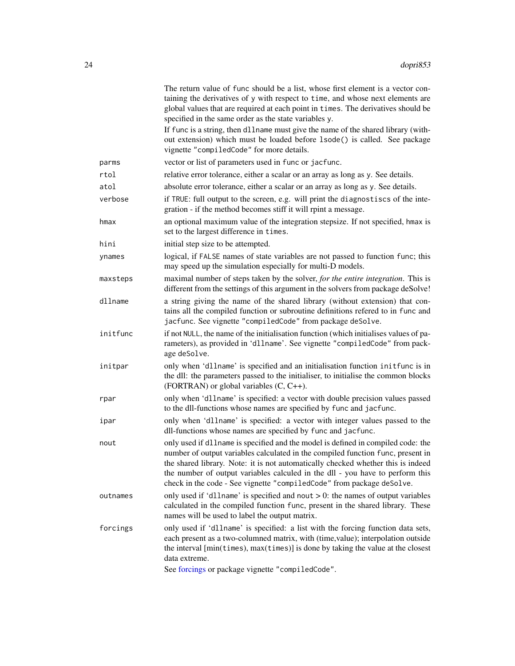<span id="page-23-0"></span>

|          | The return value of func should be a list, whose first element is a vector con-<br>taining the derivatives of y with respect to time, and whose next elements are<br>global values that are required at each point in times. The derivatives should be<br>specified in the same order as the state variables y.<br>If func is a string, then d11name must give the name of the shared library (with-              |
|----------|-------------------------------------------------------------------------------------------------------------------------------------------------------------------------------------------------------------------------------------------------------------------------------------------------------------------------------------------------------------------------------------------------------------------|
|          | out extension) which must be loaded before 1sode() is called. See package<br>vignette "compiledCode" for more details.                                                                                                                                                                                                                                                                                            |
| parms    | vector or list of parameters used in func or jacfunc.                                                                                                                                                                                                                                                                                                                                                             |
| rtol     | relative error tolerance, either a scalar or an array as long as y. See details.                                                                                                                                                                                                                                                                                                                                  |
| atol     | absolute error tolerance, either a scalar or an array as long as y. See details.                                                                                                                                                                                                                                                                                                                                  |
| verbose  | if TRUE: full output to the screen, e.g. will print the diagnostiscs of the inte-<br>gration - if the method becomes stiff it will rpint a message.                                                                                                                                                                                                                                                               |
| hmax     | an optional maximum value of the integration stepsize. If not specified, hmax is<br>set to the largest difference in times.                                                                                                                                                                                                                                                                                       |
| hini     | initial step size to be attempted.                                                                                                                                                                                                                                                                                                                                                                                |
| ynames   | logical, if FALSE names of state variables are not passed to function func; this<br>may speed up the simulation especially for multi-D models.                                                                                                                                                                                                                                                                    |
| maxsteps | maximal number of steps taken by the solver, for the entire integration. This is<br>different from the settings of this argument in the solvers from package deSolve!                                                                                                                                                                                                                                             |
| dllname  | a string giving the name of the shared library (without extension) that con-<br>tains all the compiled function or subroutine definitions refered to in func and<br>jacfunc. See vignette "compiledCode" from package deSolve.                                                                                                                                                                                    |
| initfunc | if not NULL, the name of the initialisation function (which initialises values of pa-<br>rameters), as provided in 'dllname'. See vignette "compiledCode" from pack-<br>age deSolve.                                                                                                                                                                                                                              |
| initpar  | only when 'dllname' is specified and an initialisation function initfunc is in<br>the dll: the parameters passed to the initialiser, to initialise the common blocks<br>(FORTRAN) or global variables $(C, C++)$ .                                                                                                                                                                                                |
| rpar     | only when 'dllname' is specified: a vector with double precision values passed<br>to the dll-functions whose names are specified by func and jacfunc.                                                                                                                                                                                                                                                             |
| ipar     | only when 'dllname' is specified: a vector with integer values passed to the<br>dll-functions whose names are specified by func and jacfunc.                                                                                                                                                                                                                                                                      |
| nout     | only used if dllname is specified and the model is defined in compiled code: the<br>number of output variables calculated in the compiled function func, present in<br>the shared library. Note: it is not automatically checked whether this is indeed<br>the number of output variables calculed in the dll - you have to perform this<br>check in the code - See vignette "compiledCode" from package deSolve. |
| outnames | only used if 'dllname' is specified and nout $> 0$ : the names of output variables<br>calculated in the compiled function func, present in the shared library. These<br>names will be used to label the output matrix.                                                                                                                                                                                            |
| forcings | only used if 'dllname' is specified: a list with the forcing function data sets,<br>each present as a two-columned matrix, with (time, value); interpolation outside<br>the interval [min(times), max(times)] is done by taking the value at the closest<br>data extreme.<br>See forcings or package vignette "compiledCode".                                                                                     |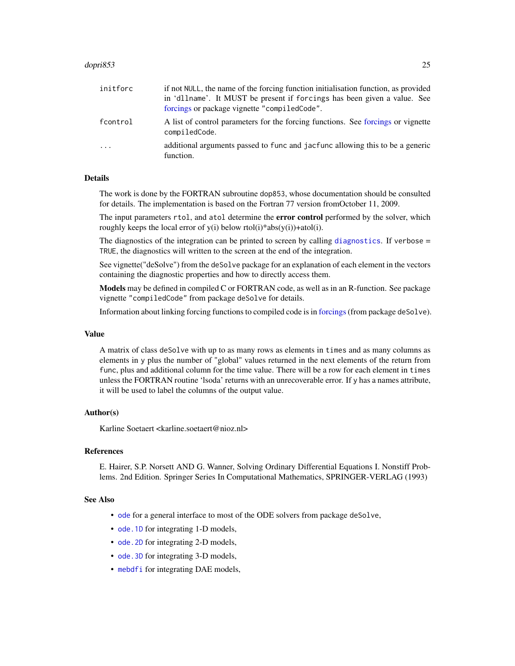# <span id="page-24-0"></span>dopri853 25

| initforc | if not NULL, the name of the forcing function initialisation function, as provided<br>in 'dllname'. It MUST be present if forcings has been given a value. See<br>forcings or package vignette "compiledCode". |
|----------|----------------------------------------------------------------------------------------------------------------------------------------------------------------------------------------------------------------|
| fcontrol | A list of control parameters for the forcing functions. See forcings or vignette<br>compiledCode.                                                                                                              |
| $\cdot$  | additional arguments passed to func and jacfunc allowing this to be a generic<br>function.                                                                                                                     |

# Details

The work is done by the FORTRAN subroutine dop853, whose documentation should be consulted for details. The implementation is based on the Fortran 77 version fromOctober 11, 2009.

The input parameters rtol, and atol determine the **error control** performed by the solver, which roughly keeps the local error of  $y(i)$  below rtol(i)\*abs( $y(i)$ )+atol(i).

The [diagnostics](#page-0-0) of the integration can be printed to screen by calling diagnostics. If verbose = TRUE, the diagnostics will written to the screen at the end of the integration.

See vignette("deSolve") from the deSolve package for an explanation of each element in the vectors containing the diagnostic properties and how to directly access them.

Models may be defined in compiled C or FORTRAN code, as well as in an R-function. See package vignette "compiledCode" from package deSolve for details.

Information about linking forcing functions to compiled code is in [forcings](#page-0-0)(from package deSolve).

#### Value

A matrix of class deSolve with up to as many rows as elements in times and as many columns as elements in y plus the number of "global" values returned in the next elements of the return from func, plus and additional column for the time value. There will be a row for each element in times unless the FORTRAN routine 'lsoda' returns with an unrecoverable error. If y has a names attribute, it will be used to label the columns of the output value.

#### Author(s)

Karline Soetaert <karline.soetaert@nioz.nl>

# References

E. Hairer, S.P. Norsett AND G. Wanner, Solving Ordinary Differential Equations I. Nonstiff Problems. 2nd Edition. Springer Series In Computational Mathematics, SPRINGER-VERLAG (1993)

# See Also

- [ode](#page-0-0) for a general interface to most of the ODE solvers from package deSolve,
- ode. 1D for integrating 1-D models,
- ode. 2D for integrating 2-D models,
- ode. 3D for integrating 3-D models,
- [mebdfi](#page-39-1) for integrating DAE models,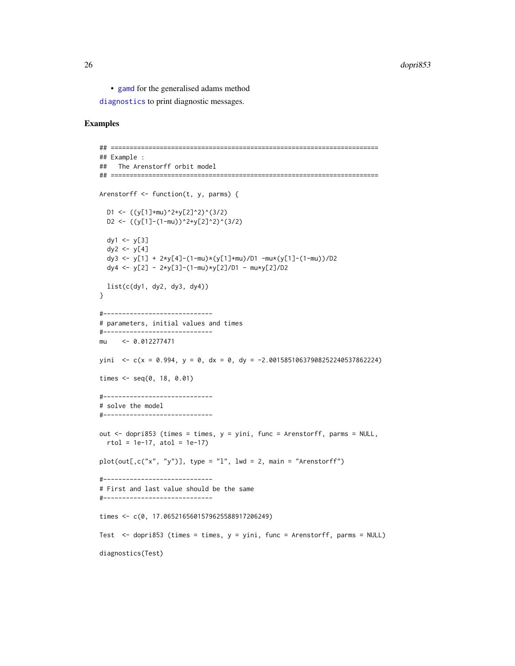<span id="page-25-0"></span>• [gamd](#page-30-1) for the generalised adams method

[diagnostics](#page-0-0) to print diagnostic messages.

# Examples

```
## =======================================================================
## Example :
## The Arenstorff orbit model
## =======================================================================
Arenstorff <- function(t, y, parms) {
  D1 <- ((y[1]+mu)^2+y[2]^2)(3/2)D2 <- ((y[1]-(1-mu))^2+y[2]^2)(3/2)dy1 <- y[3]
  dy2 <- y[4]
  dy3 <- y[1] + 2*y[4]-(1-mu)*(y[1]+mu)/D1 -mu*(y[1]-(1-mu))/D2
  dy4 <- y[2] - 2*y[3]-(1-mu)*y[2]/D1 - mu*y[2]/D2
  list(c(dy1, dy2, dy3, dy4))
}
#-----------------------------
# parameters, initial values and times
#-----------------------------
mu <- 0.012277471
yini \langle c(x = 0.994, y = 0, dx = 0, dy = -2.00158510637908252240537862224)
times <- seq(0, 18, 0.01)
#-----------------------------
# solve the model
#-----------------------------
out <- dopri853 (times = times, y = yini, func = Arenstorff, parms = NULL,
  rtol = 1e-17, atol = 1e-17plot(out[,c("x", "y")], type = "1", lwd = 2, main = "Arenstorff")#-----------------------------
# First and last value should be the same
#-----------------------------
times <- c(0, 17.0652165601579625588917206249)
Test <- dopri853 (times = times, y = yini, func = Arenstorff, parms = NULL)
diagnostics(Test)
```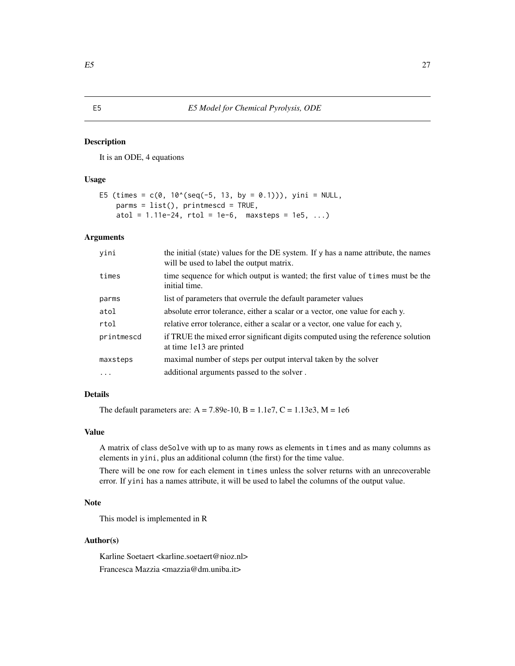#### <span id="page-26-0"></span>Description

It is an ODE, 4 equations

# Usage

```
E5 (times = c(0, 10^(seq(-5, 13, by = 0.1))), yini = NULL,
   params = list(), printmescd = TRUE,
    atol = 1.11e-24, rtol = 1e-6, maxsteps = 1e5, ...)
```
# Arguments

| yini       | the initial (state) values for the DE system. If y has a name attribute, the names<br>will be used to label the output matrix. |
|------------|--------------------------------------------------------------------------------------------------------------------------------|
| times      | time sequence for which output is wanted; the first value of times must be the<br>initial time.                                |
| parms      | list of parameters that overrule the default parameter values                                                                  |
| atol       | absolute error tolerance, either a scalar or a vector, one value for each y.                                                   |
| rtol       | relative error tolerance, either a scalar or a vector, one value for each y,                                                   |
| printmescd | if TRUE the mixed error significant digits computed using the reference solution<br>at time 1e13 are printed                   |
| maxsteps   | maximal number of steps per output interval taken by the solver                                                                |
| $\cdot$    | additional arguments passed to the solver.                                                                                     |

# Details

The default parameters are:  $A = 7.89e-10$ ,  $B = 1.1e7$ ,  $C = 1.13e3$ ,  $M = 1e6$ 

# Value

A matrix of class deSolve with up to as many rows as elements in times and as many columns as elements in yini, plus an additional column (the first) for the time value.

There will be one row for each element in times unless the solver returns with an unrecoverable error. If yini has a names attribute, it will be used to label the columns of the output value.

# Note

This model is implemented in R

# Author(s)

Karline Soetaert <karline.soetaert@nioz.nl> Francesca Mazzia <mazzia@dm.uniba.it>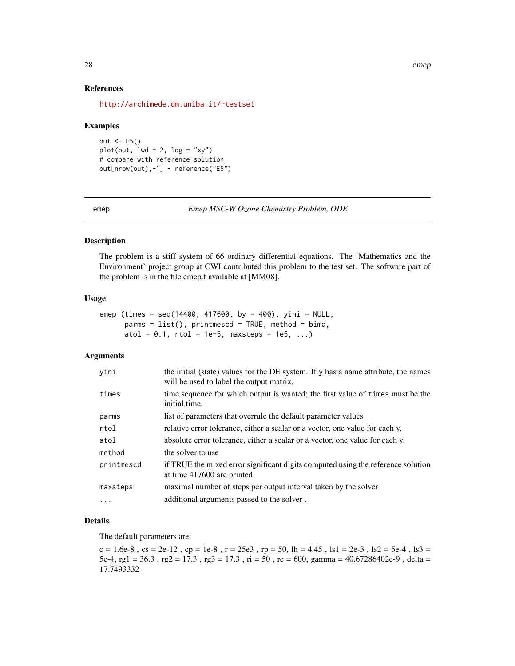# References

<http://archimede.dm.uniba.it/~testset>

#### Examples

```
out <-E5()plot(out, lwd = 2, log = "xy")# compare with reference solution
out[nrow(out),-1] - reference("E5")
```
emep *Emep MSC-W Ozone Chemistry Problem, ODE*

# Description

The problem is a stiff system of 66 ordinary differential equations. The 'Mathematics and the Environment' project group at CWI contributed this problem to the test set. The software part of the problem is in the file emep.f available at [MM08].

#### Usage

```
emep (times = seq(14400, 417600, by = 400), yini = NULL,
     params = list(), printmescd = TRUE, method = bimd,
     atol = 0.1, rtol = 1e-5, maxsteps = 1e5, ...)
```
# Arguments

| yini       | the initial (state) values for the DE system. If y has a name attribute, the names<br>will be used to label the output matrix. |
|------------|--------------------------------------------------------------------------------------------------------------------------------|
| times      | time sequence for which output is wanted; the first value of times must be the<br>initial time.                                |
| parms      | list of parameters that overrule the default parameter values                                                                  |
| rtol       | relative error tolerance, either a scalar or a vector, one value for each y,                                                   |
| atol       | absolute error tolerance, either a scalar or a vector, one value for each y.                                                   |
| method     | the solver to use                                                                                                              |
| printmescd | if TRUE the mixed error significant digits computed using the reference solution<br>at time 417600 are printed                 |
| maxsteps   | maximal number of steps per output interval taken by the solver                                                                |
| .          | additional arguments passed to the solver.                                                                                     |
|            |                                                                                                                                |

#### Details

The default parameters are:

 $c = 1.6e-8$ ,  $cs = 2e-12$ ,  $cp = 1e-8$ ,  $r = 25e-3$ ,  $rp = 50$ ,  $lh = 4.45$ ,  $ls1 = 2e-3$ ,  $ls2 = 5e-4$ ,  $ls3 = 5e-4$ 5e-4, rg1 = 36.3 , rg2 = 17.3 , rg3 = 17.3 , ri = 50 , rc = 600, gamma = 40.67286402e-9 , delta = 17.7493332

<span id="page-27-0"></span>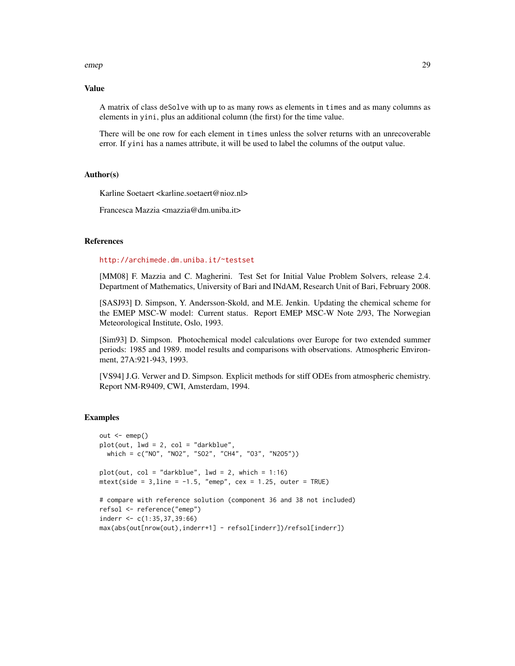#### emep 29

#### Value

A matrix of class deSolve with up to as many rows as elements in times and as many columns as elements in yini, plus an additional column (the first) for the time value.

There will be one row for each element in times unless the solver returns with an unrecoverable error. If yini has a names attribute, it will be used to label the columns of the output value.

# Author(s)

Karline Soetaert <karline.soetaert@nioz.nl>

Francesca Mazzia <mazzia@dm.uniba.it>

# References

<http://archimede.dm.uniba.it/~testset>

[MM08] F. Mazzia and C. Magherini. Test Set for Initial Value Problem Solvers, release 2.4. Department of Mathematics, University of Bari and INdAM, Research Unit of Bari, February 2008.

[SASJ93] D. Simpson, Y. Andersson-Skold, and M.E. Jenkin. Updating the chemical scheme for the EMEP MSC-W model: Current status. Report EMEP MSC-W Note 2/93, The Norwegian Meteorological Institute, Oslo, 1993.

[Sim93] D. Simpson. Photochemical model calculations over Europe for two extended summer periods: 1985 and 1989. model results and comparisons with observations. Atmospheric Environment, 27A:921-943, 1993.

[VS94] J.G. Verwer and D. Simpson. Explicit methods for stiff ODEs from atmospheric chemistry. Report NM-R9409, CWI, Amsterdam, 1994.

# Examples

```
out < - emep()
plot(out, lwd = 2, col = "darkblue",
 which = c("NO", "NO2", "SO2", "CH4", "O3", "N2O5"))
plot(out, col = "darkblue", lw = 2, which = 1:16)mtext{text(side = 3, line = -1.5, "emep", cex = 1.25, outer = TRUE)}# compare with reference solution (component 36 and 38 not included)
refsol <- reference("emep")
inderr <- c(1:35,37,39:66)
max(abs(out[nrow(out),inderr+1] - refsol[inderr])/refsol[inderr])
```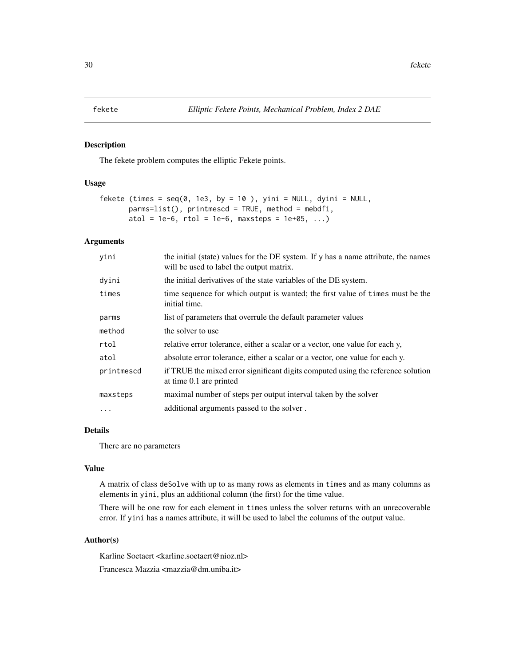<span id="page-29-0"></span>

# Description

The fekete problem computes the elliptic Fekete points.

# Usage

```
fekete (times = seq(0, 1e3, by = 10), yini = NULL, dyini = NULL,
       params=list(), printmescd = TRUE, method = mebdfi,
       atol = 1e-6, rtol = 1e-6, maxsteps = 1e+05, ...)
```
# Arguments

| yini       | the initial (state) values for the DE system. If y has a name attribute, the names<br>will be used to label the output matrix. |
|------------|--------------------------------------------------------------------------------------------------------------------------------|
| dyini      | the initial derivatives of the state variables of the DE system.                                                               |
| times      | time sequence for which output is wanted; the first value of times must be the<br>initial time.                                |
| parms      | list of parameters that overrule the default parameter values                                                                  |
| method     | the solver to use                                                                                                              |
| rtol       | relative error tolerance, either a scalar or a vector, one value for each y,                                                   |
| atol       | absolute error tolerance, either a scalar or a vector, one value for each y.                                                   |
| printmescd | if TRUE the mixed error significant digits computed using the reference solution<br>at time 0.1 are printed                    |
| maxsteps   | maximal number of steps per output interval taken by the solver                                                                |
| $\cdots$   | additional arguments passed to the solver.                                                                                     |

# Details

There are no parameters

# Value

A matrix of class deSolve with up to as many rows as elements in times and as many columns as elements in yini, plus an additional column (the first) for the time value.

There will be one row for each element in times unless the solver returns with an unrecoverable error. If yini has a names attribute, it will be used to label the columns of the output value.

# Author(s)

Karline Soetaert <karline.soetaert@nioz.nl> Francesca Mazzia <mazzia@dm.uniba.it>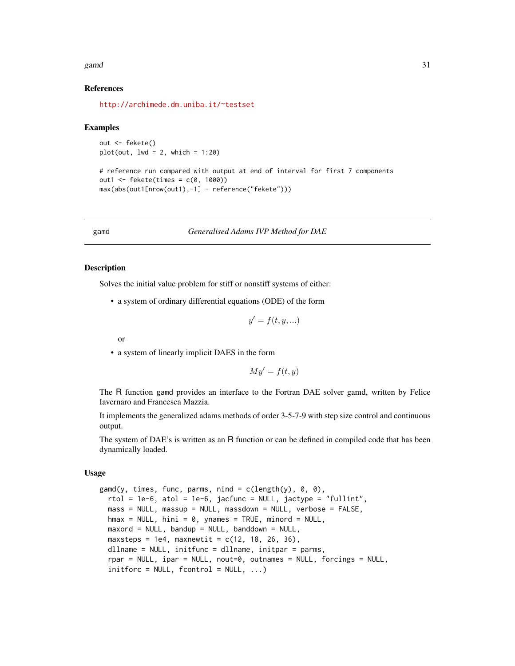#### <span id="page-30-0"></span>gamd 31

# References

<http://archimede.dm.uniba.it/~testset>

#### Examples

out <- fekete()  $plot(out, lwd = 2, which = 1:20)$ 

```
# reference run compared with output at end of interval for first 7 components
out1 <- fekete(times = c(0, 1000))
max(abs(out1[nrow(out1),-1] - reference("fekete")))
```
# <span id="page-30-1"></span>gamd *Generalised Adams IVP Method for DAE*

# Description

Solves the initial value problem for stiff or nonstiff systems of either:

• a system of ordinary differential equations (ODE) of the form

$$
y' = f(t, y, \ldots)
$$

or

• a system of linearly implicit DAES in the form

$$
My' = f(t, y)
$$

The R function gamd provides an interface to the Fortran DAE solver gamd, written by Felice Iavernaro and Francesca Mazzia.

It implements the generalized adams methods of order 3-5-7-9 with step size control and continuous output.

The system of DAE's is written as an R function or can be defined in compiled code that has been dynamically loaded.

# Usage

```
gamd(y, times, func, parms, nind = c(length(y), 0, 0),
 rtol = 1e-6, atol = 1e-6, jacfunc = NULL, jactype = "fullint",
 mass = NULL, massup = NULL, massdown = NULL, verbose = FALSE,
 hmax = NULL, hini = 0, ynames = TRUE, minord = NULL,
 maxord = NULL, bandup = NULL, bandown = NULL,
 maxsteps = 1e4, maxnewtit = c(12, 18, 26, 36),
 dllname = NULL, initfunc = dllname, initpar = parms,
  rpar = NULL, ipar = NULL, nout=0, outnames = NULL, forcings = NULL,
  initforce = NULL, fcontrol = NULL, ...)
```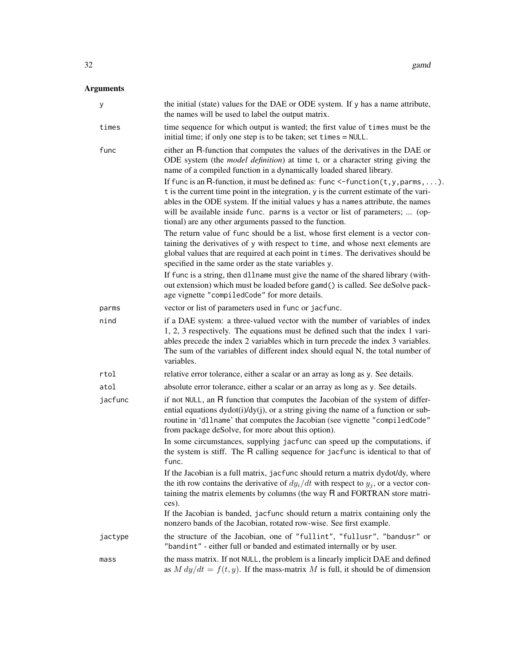# Arguments

| У       | the initial (state) values for the DAE or ODE system. If y has a name attribute,<br>the names will be used to label the output matrix.                                                                                                                                                                                                                                                                                                                                                                                                                                                                  |
|---------|---------------------------------------------------------------------------------------------------------------------------------------------------------------------------------------------------------------------------------------------------------------------------------------------------------------------------------------------------------------------------------------------------------------------------------------------------------------------------------------------------------------------------------------------------------------------------------------------------------|
| times   | time sequence for which output is wanted; the first value of times must be the<br>initial time; if only one step is to be taken; set times = NULL.                                                                                                                                                                                                                                                                                                                                                                                                                                                      |
| func    | either an R-function that computes the values of the derivatives in the DAE or<br>ODE system (the <i>model definition</i> ) at time t, or a character string giving the<br>name of a compiled function in a dynamically loaded shared library.<br>If func is an R-function, it must be defined as: func $\le$ -function(t, y, parms, ).<br>t is the current time point in the integration, y is the current estimate of the vari-<br>ables in the ODE system. If the initial values y has a names attribute, the names<br>will be available inside func. parms is a vector or list of parameters;  (op- |
|         | tional) are any other arguments passed to the function.<br>The return value of func should be a list, whose first element is a vector con-<br>taining the derivatives of y with respect to time, and whose next elements are<br>global values that are required at each point in times. The derivatives should be<br>specified in the same order as the state variables y.                                                                                                                                                                                                                              |
|         | If func is a string, then d11name must give the name of the shared library (with-<br>out extension) which must be loaded before gamd() is called. See deSolve pack-<br>age vignette "compiledCode" for more details.                                                                                                                                                                                                                                                                                                                                                                                    |
| parms   | vector or list of parameters used in func or jacfunc.                                                                                                                                                                                                                                                                                                                                                                                                                                                                                                                                                   |
| nind    | if a DAE system: a three-valued vector with the number of variables of index<br>1, 2, 3 respectively. The equations must be defined such that the index 1 vari-<br>ables precede the index 2 variables which in turn precede the index 3 variables.<br>The sum of the variables of different index should equal N, the total number of<br>variables.                                                                                                                                                                                                                                                    |
| rtol    | relative error tolerance, either a scalar or an array as long as y. See details.                                                                                                                                                                                                                                                                                                                                                                                                                                                                                                                        |
| atol    | absolute error tolerance, either a scalar or an array as long as y. See details.                                                                                                                                                                                                                                                                                                                                                                                                                                                                                                                        |
| jacfunc | if not NULL, an R function that computes the Jacobian of the system of differ-<br>ential equations $dydot(i)/dy(j)$ , or a string giving the name of a function or sub-<br>routine in 'dllname' that computes the Jacobian (see vignette "compiledCode"<br>from package deSolve, for more about this option).                                                                                                                                                                                                                                                                                           |
|         | In some circumstances, supplying jacfunc can speed up the computations, if<br>the system is stiff. The R calling sequence for jacfunc is identical to that of<br>func.                                                                                                                                                                                                                                                                                                                                                                                                                                  |
|         | If the Jacobian is a full matrix, jacfunc should return a matrix dydot/dy, where<br>the ith row contains the derivative of $dy_i/dt$ with respect to $y_i$ , or a vector con-<br>taining the matrix elements by columns (the way R and FORTRAN store matri-<br>ces).                                                                                                                                                                                                                                                                                                                                    |
|         | If the Jacobian is banded, jacfunc should return a matrix containing only the<br>nonzero bands of the Jacobian, rotated row-wise. See first example.                                                                                                                                                                                                                                                                                                                                                                                                                                                    |
| jactype | the structure of the Jacobian, one of "fullint", "fullusr", "bandusr" or<br>"bandint" - either full or banded and estimated internally or by user.                                                                                                                                                                                                                                                                                                                                                                                                                                                      |
| mass    | the mass matrix. If not NULL, the problem is a linearly implicit DAE and defined<br>as $M dy/dt = f(t, y)$ . If the mass-matrix M is full, it should be of dimension                                                                                                                                                                                                                                                                                                                                                                                                                                    |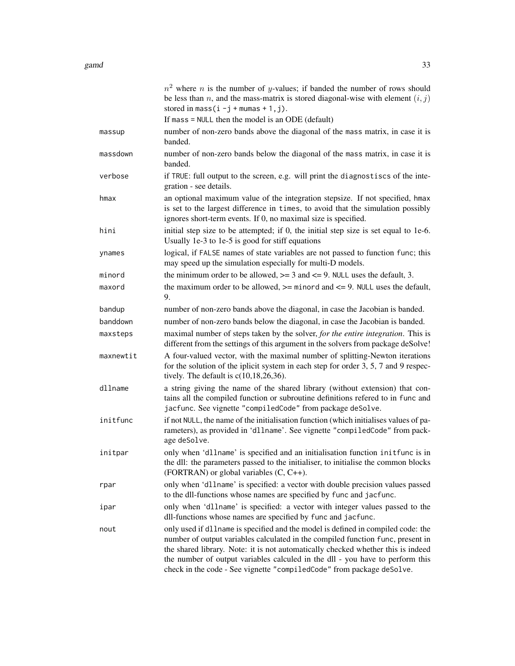|           | $n2$ where <i>n</i> is the number of <i>y</i> -values; if banded the number of rows should<br>be less than n, and the mass-matrix is stored diagonal-wise with element $(i, j)$<br>stored in mass $(i - j + m \text{umas} + 1, j)$ .                                                                                                                                                                              |
|-----------|-------------------------------------------------------------------------------------------------------------------------------------------------------------------------------------------------------------------------------------------------------------------------------------------------------------------------------------------------------------------------------------------------------------------|
|           | If mass $=$ NULL then the model is an ODE (default)                                                                                                                                                                                                                                                                                                                                                               |
| massup    | number of non-zero bands above the diagonal of the mass matrix, in case it is<br>banded.                                                                                                                                                                                                                                                                                                                          |
| massdown  | number of non-zero bands below the diagonal of the mass matrix, in case it is<br>banded.                                                                                                                                                                                                                                                                                                                          |
| verbose   | if TRUE: full output to the screen, e.g. will print the diagnostiscs of the inte-<br>gration - see details.                                                                                                                                                                                                                                                                                                       |
| hmax      | an optional maximum value of the integration stepsize. If not specified, hmax<br>is set to the largest difference in times, to avoid that the simulation possibly<br>ignores short-term events. If 0, no maximal size is specified.                                                                                                                                                                               |
| hini      | initial step size to be attempted; if 0, the initial step size is set equal to 1e-6.<br>Usually 1e-3 to 1e-5 is good for stiff equations                                                                                                                                                                                                                                                                          |
| ynames    | logical, if FALSE names of state variables are not passed to function func; this<br>may speed up the simulation especially for multi-D models.                                                                                                                                                                                                                                                                    |
| minord    | the minimum order to be allowed, $>= 3$ and $<= 9$ . NULL uses the default, 3.                                                                                                                                                                                                                                                                                                                                    |
| maxord    | the maximum order to be allowed, $>=$ minord and $<=$ 9. NULL uses the default,<br>9.                                                                                                                                                                                                                                                                                                                             |
| bandup    | number of non-zero bands above the diagonal, in case the Jacobian is banded.                                                                                                                                                                                                                                                                                                                                      |
| banddown  | number of non-zero bands below the diagonal, in case the Jacobian is banded.                                                                                                                                                                                                                                                                                                                                      |
| maxsteps  | maximal number of steps taken by the solver, for the entire integration. This is<br>different from the settings of this argument in the solvers from package deSolve!                                                                                                                                                                                                                                             |
| maxnewtit | A four-valued vector, with the maximal number of splitting-Newton iterations<br>for the solution of the iplicit system in each step for order 3, 5, 7 and 9 respec-<br>tively. The default is $c(10,18,26,36)$ .                                                                                                                                                                                                  |
| dllname   | a string giving the name of the shared library (without extension) that con-<br>tains all the compiled function or subroutine definitions refered to in func and<br>jacfunc. See vignette "compiledCode" from package deSolve.                                                                                                                                                                                    |
| initfunc  | if not NULL, the name of the initialisation function (which initialises values of pa-<br>rameters), as provided in 'dllname'. See vignette "compiledCode" from pack-<br>age deSolve.                                                                                                                                                                                                                              |
| initpar   | only when 'dllname' is specified and an initialisation function initfunc is in<br>the dll: the parameters passed to the initialiser, to initialise the common blocks<br>(FORTRAN) or global variables $(C, C++)$ .                                                                                                                                                                                                |
| rpar      | only when 'dllname' is specified: a vector with double precision values passed<br>to the dll-functions whose names are specified by func and jacfunc.                                                                                                                                                                                                                                                             |
| ipar      | only when 'dllname' is specified: a vector with integer values passed to the<br>dll-functions whose names are specified by func and jacfunc.                                                                                                                                                                                                                                                                      |
| nout      | only used if dllname is specified and the model is defined in compiled code: the<br>number of output variables calculated in the compiled function func, present in<br>the shared library. Note: it is not automatically checked whether this is indeed<br>the number of output variables calculed in the dll - you have to perform this<br>check in the code - See vignette "compiledCode" from package deSolve. |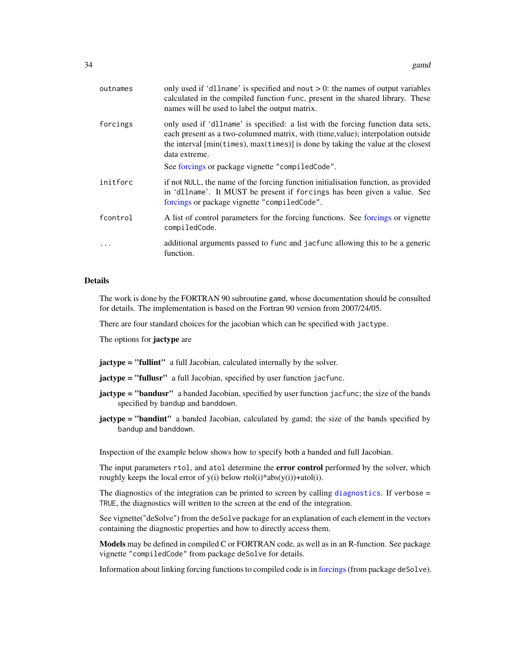<span id="page-33-0"></span>

| outnames | only used if 'dllname' is specified and nout $> 0$ : the names of output variables<br>calculated in the compiled function func, present in the shared library. These<br>names will be used to label the output matrix.                                                    |
|----------|---------------------------------------------------------------------------------------------------------------------------------------------------------------------------------------------------------------------------------------------------------------------------|
| forcings | only used if 'dllname' is specified: a list with the forcing function data sets,<br>each present as a two-columned matrix, with (time, value); interpolation outside<br>the interval [min(times), max(times)] is done by taking the value at the closest<br>data extreme. |
|          | See forcings or package vignette "compiledCode".                                                                                                                                                                                                                          |
| initforc | if not NULL, the name of the forcing function initialisation function, as provided<br>in 'dllname'. It MUST be present if forcings has been given a value. See<br>forcings or package vignette "compiledCode".                                                            |
| fcontrol | A list of control parameters for the forcing functions. See forcings or vignette<br>compiledCode.                                                                                                                                                                         |
|          | additional arguments passed to func and jacfunc allowing this to be a generic<br>function.                                                                                                                                                                                |
|          |                                                                                                                                                                                                                                                                           |

# Details

The work is done by the FORTRAN 90 subroutine gamd, whose documentation should be consulted for details. The implementation is based on the Fortran 90 version from 2007/24/05.

There are four standard choices for the jacobian which can be specified with jactype.

The options for **jactype** are

jactype = "fullint" a full Jacobian, calculated internally by the solver.

jactype = "fullusr" a full Jacobian, specified by user function jacfunc.

- jactype = "bandusr" a banded Jacobian, specified by user function jacfunc; the size of the bands specified by bandup and banddown.
- jactype = "bandint" a banded Jacobian, calculated by gamd; the size of the bands specified by bandup and banddown.

Inspection of the example below shows how to specify both a banded and full Jacobian.

The input parameters rtol, and atol determine the **error control** performed by the solver, which roughly keeps the local error of  $y(i)$  below rtol $(i)*abs(y(i)) +atol(i)$ .

The [diagnostics](#page-0-0) of the integration can be printed to screen by calling diagnostics. If verbose = TRUE, the diagnostics will written to the screen at the end of the integration.

See vignette("deSolve") from the deSolve package for an explanation of each element in the vectors containing the diagnostic properties and how to directly access them.

Models may be defined in compiled C or FORTRAN code, as well as in an R-function. See package vignette "compiledCode" from package deSolve for details.

Information about linking forcing functions to compiled code is in [forcings](#page-0-0)(from package deSolve).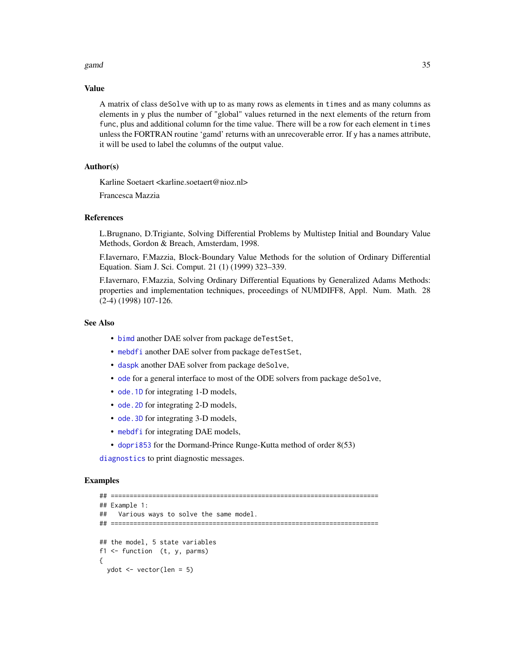#### <span id="page-34-0"></span>gamd 35

# Value

A matrix of class deSolve with up to as many rows as elements in times and as many columns as elements in y plus the number of "global" values returned in the next elements of the return from func, plus and additional column for the time value. There will be a row for each element in times unless the FORTRAN routine 'gamd' returns with an unrecoverable error. If y has a names attribute, it will be used to label the columns of the output value.

# Author(s)

Karline Soetaert <karline.soetaert@nioz.nl>

Francesca Mazzia

# References

L.Brugnano, D.Trigiante, Solving Differential Problems by Multistep Initial and Boundary Value Methods, Gordon & Breach, Amsterdam, 1998.

F.Iavernaro, F.Mazzia, Block-Boundary Value Methods for the solution of Ordinary Differential Equation. Siam J. Sci. Comput. 21 (1) (1999) 323–339.

F.Iavernaro, F.Mazzia, Solving Ordinary Differential Equations by Generalized Adams Methods: properties and implementation techniques, proceedings of NUMDIFF8, Appl. Num. Math. 28 (2-4) (1998) 107-126.

# See Also

- [bimd](#page-5-1) another DAE solver from package deTestSet,
- [mebdfi](#page-39-1) another DAE solver from package deTestSet,
- [daspk](#page-0-0) another DAE solver from package deSolve,
- [ode](#page-0-0) for a general interface to most of the ODE solvers from package deSolve,
- ode. 1D for integrating 1-D models,
- ode. 2D for integrating 2-D models,
- [ode.3D](#page-0-0) for integrating 3-D models,
- [mebdfi](#page-39-1) for integrating DAE models,
- [dopri853](#page-22-1) for the Dormand-Prince Runge-Kutta method of order 8(53)

[diagnostics](#page-0-0) to print diagnostic messages.

# Examples

```
## =======================================================================
## Example 1:
## Various ways to solve the same model.
## =======================================================================
## the model, 5 state variables
f1 \leftarrow function (t, y, parms)
{
  ydot <- vector(len = 5)
```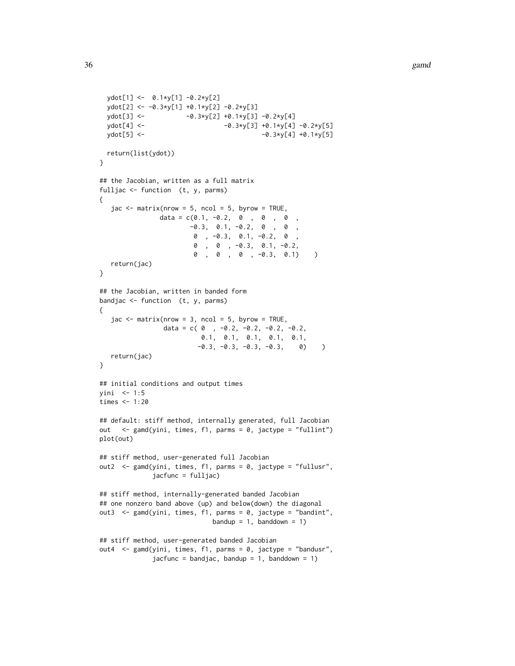```
ydot[1] <- 0.1*y[1] -0.2*y[2]
 ydot[2] <- -0.3*y[1] +0.1*y[2] -0.2*y[3]
 ydot[3] <- -0.3*y[2] +0.1*y[3] -0.2*y[4]
 ydot[4] <- - -0.3*y[3] +0.1*y[4] -0.2*y[5]
 ydot[5] <- -0.3*y[4] +0.1*y[5]
 return(list(ydot))
}
## the Jacobian, written as a full matrix
fulljac <- function (t, y, parms)
{
  jac \leq matrix(nrow = 5, ncol = 5, byrow = TRUE,
               data = c(0.1, -0.2, 0, 0, 0, 0, 0)-0.3, 0.1, -0.2, 0, 0,0 , -0.3, 0.1, -0.2, 0 ,
                       0 , 0 , -0.3, 0.1, -0.2,
                       0 , 0 , 0 , -0.3, 0.1) )
   return(jac)
}
## the Jacobian, written in banded form
bandjac \le function (t, y, parms)
{
   jac < - matrix(nrow = 3, ncol = 5, byrow = TRUE,
                data = c(0, -0.2, -0.2, -0.2, -0.2, -0.2,0.1, 0.1, 0.1, 0.1, 0.1,
                        -0.3, -0.3, -0.3, -0.3, 0) )
  return(jac)
}
## initial conditions and output times
yini <- 1:5
times <- 1:20
## default: stiff method, internally generated, full Jacobian
out <- gamd(yini, times, f1, parms = 0, jactype = "fullint")
plot(out)
## stiff method, user-generated full Jacobian
out2 <- gamd(yini, times, f1, parms = 0, jactype = "fullusr",
             jacfunc = fulljac)
## stiff method, internally-generated banded Jacobian
## one nonzero band above (up) and below(down) the diagonal
out3 <- gamd(yini, times, f1, parms = 0, jactype = "bandint",
                            bandup = 1, banddown = 1)
## stiff method, user-generated banded Jacobian
out4 <- gamd(yini, times, f1, parms = 0, jactype = "bandusr",
             jacfunc = bandjac, bandup = 1, banddown = 1)
```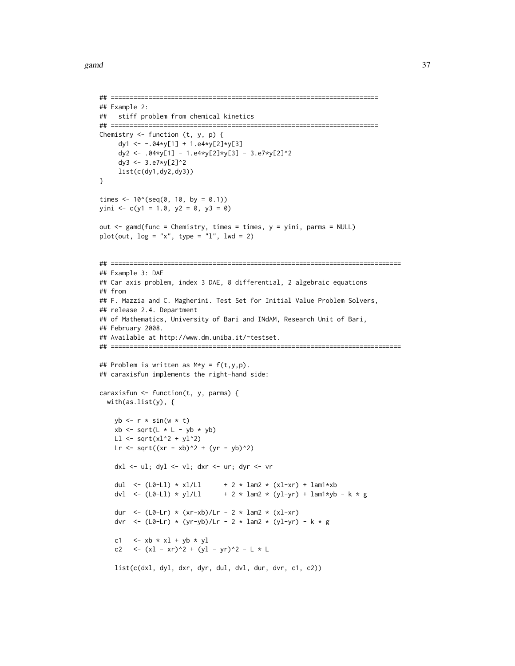```
## =======================================================================
## Example 2:
## stiff problem from chemical kinetics
## =======================================================================
Chemistry \leq function (t, y, p) {
     dy1 <- -.04*y[1] + 1.e4*y[2]*y[3]
     dy2 <- .04*y[1] - 1.e4*y[2]*y[3] - 3.e7*y[2]^2
     dy3 <- 3.e7*y[2]^2
    list(c(dy1,dy2,dy3))
}
times <- 10^(seq(0, 10, by = 0.1))yini <- c(y1 = 1.0, y2 = 0, y3 = 0)out <- gamd(func = Chemistry, times = times, y = yini, parms = NULL)
plot(out, log = "x", type = "l", lwd = 2)## =============================================================================
## Example 3: DAE
## Car axis problem, index 3 DAE, 8 differential, 2 algebraic equations
## from
## F. Mazzia and C. Magherini. Test Set for Initial Value Problem Solvers,
## release 2.4. Department
## of Mathematics, University of Bari and INdAM, Research Unit of Bari,
## February 2008.
## Available at http://www.dm.uniba.it/~testset.
## =============================================================================
## Problem is written as M*y = f(t,y,p).
## caraxisfun implements the right-hand side:
caraxisfun <- function(t, y, parms) {
  with(as.list(y), {
   yb \leftarrow r * sin(w * t)xb \leq sqrt(L * L - yb * yb)L1 \leftarrow sqrt(x1^2 + y1^2)Lr <- sqrt((xr - xb)^2 + (yr - yb)^2)
   dxl <- ul; dyl <- vl; dxr <- ur; dyr <- vr
    dul <- (L0-L1) * x1/L1 + 2 * lam2 * (x1-xr) + lam1*xb
    dvl <- (L0-L1) * yl/L1 + 2 * lam2 * (yl-yr) + lam1*yb - k * g
    dur <- (L0-Lr) * (xr-xb)/Lr - 2 * lam2 * (x1-xr)dvr <- (L0-Lr) * (yr-yb)/Lr - 2 * lam2 * (yl-yr) - k * g
    c1 \langle -x_0 + x_1 + y_0 + y_1 \ranglec2 <- (xl - xr)^2 + (yl - yr)^2 - L * Llist(c(dxl, dyl, dxr, dyr, dul, dvl, dur, dvr, c1, c2))
```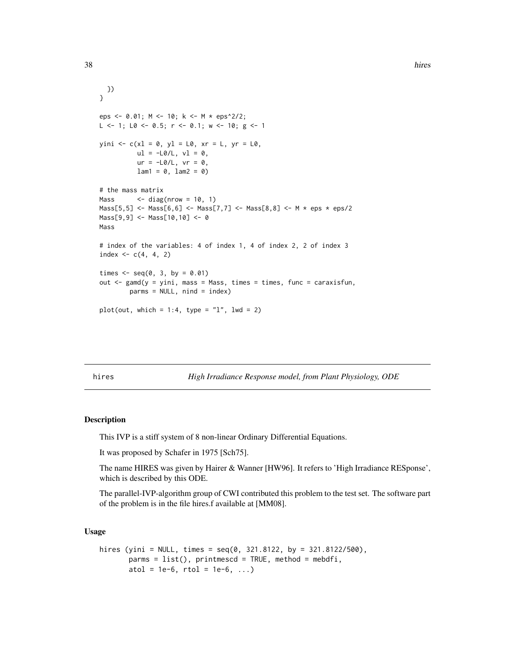```
})
}
eps <- 0.01; M <- 10; k <- M * eps^2/2;
L \le -1; L0 \le -0.5; r \le -0.1; w \le -10; g \le -1yini <- c(xl = 0, yl = L0, xr = L, yr = L0,ul = -L0/L, vl = 0,ur = -LØ/L, vr = 0,
          lam1 = 0, lam2 = 0# the mass matrix
Mass \le - diag(nrow = 10, 1)
Mass[5,5] <- Mass[6,6] <- Mass[7,7] <- Mass[8,8] <- M * eps * eps/2
Mass[9,9] <- Mass[10,10] <- 0
Mass
# index of the variables: 4 of index 1, 4 of index 2, 2 of index 3
index <-c(4, 4, 2)times \leq seq(0, 3, by = 0.01)
out \leq gamd(y = yini, mass = Mass, times = times, func = caraxisfun,
        parms = NULL, nind = index)
plot(out, which = 1:4, type = "l", lwd = 2)
```
hires *High Irradiance Response model, from Plant Physiology, ODE*

#### Description

This IVP is a stiff system of 8 non-linear Ordinary Differential Equations.

It was proposed by Schafer in 1975 [Sch75].

The name HIRES was given by Hairer & Wanner [HW96]. It refers to 'High Irradiance RESponse', which is described by this ODE.

The parallel-IVP-algorithm group of CWI contributed this problem to the test set. The software part of the problem is in the file hires.f available at [MM08].

# Usage

```
hires (yini = NULL, times = seq(0, 321.8122, by = 321.8122/500),
       params = list(), printmescd = TRUE, method = mebdfi,atol = 1e-6, rtol = 1e-6, ...)
```
<span id="page-37-0"></span>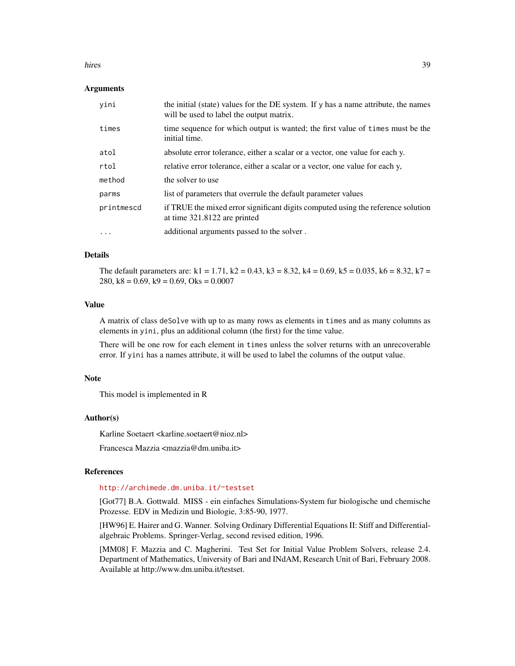#### hires 39

# Arguments

| yini       | the initial (state) values for the DE system. If y has a name attribute, the names<br>will be used to label the output matrix. |
|------------|--------------------------------------------------------------------------------------------------------------------------------|
| times      | time sequence for which output is wanted; the first value of times must be the<br>initial time.                                |
| atol       | absolute error tolerance, either a scalar or a vector, one value for each y.                                                   |
| rtol       | relative error tolerance, either a scalar or a vector, one value for each y,                                                   |
| method     | the solver to use                                                                                                              |
| parms      | list of parameters that overrule the default parameter values                                                                  |
| printmescd | if TRUE the mixed error significant digits computed using the reference solution<br>at time 321.8122 are printed               |
| $\cdots$   | additional arguments passed to the solver.                                                                                     |

# Details

The default parameters are:  $k1 = 1.71$ ,  $k2 = 0.43$ ,  $k3 = 8.32$ ,  $k4 = 0.69$ ,  $k5 = 0.035$ ,  $k6 = 8.32$ ,  $k7 = 0.69$ 280,  $k8 = 0.69$ ,  $k9 = 0.69$ , Oks = 0.0007

# Value

A matrix of class deSolve with up to as many rows as elements in times and as many columns as elements in yini, plus an additional column (the first) for the time value.

There will be one row for each element in times unless the solver returns with an unrecoverable error. If yini has a names attribute, it will be used to label the columns of the output value.

#### Note

This model is implemented in R

#### Author(s)

Karline Soetaert <karline.soetaert@nioz.nl>

Francesca Mazzia <mazzia@dm.uniba.it>

# References

#### <http://archimede.dm.uniba.it/~testset>

[Got77] B.A. Gottwald. MISS - ein einfaches Simulations-System fur biologische und chemische Prozesse. EDV in Medizin und Biologie, 3:85-90, 1977.

[HW96] E. Hairer and G. Wanner. Solving Ordinary Differential Equations II: Stiff and Differentialalgebraic Problems. Springer-Verlag, second revised edition, 1996.

[MM08] F. Mazzia and C. Magherini. Test Set for Initial Value Problem Solvers, release 2.4. Department of Mathematics, University of Bari and INdAM, Research Unit of Bari, February 2008. Available at http://www.dm.uniba.it/testset.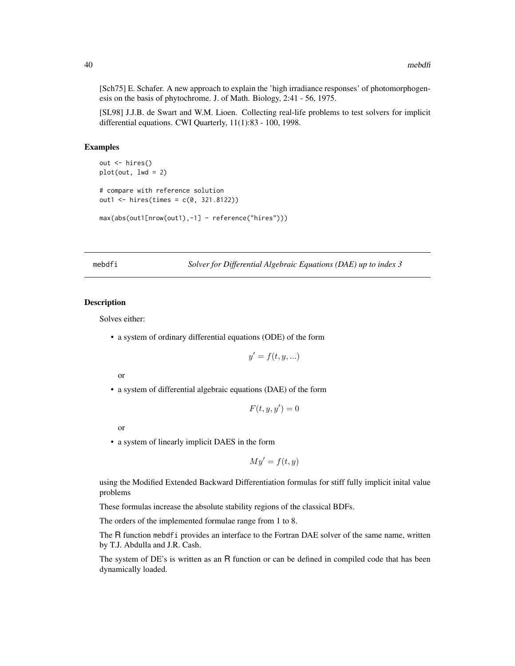[Sch75] E. Schafer. A new approach to explain the 'high irradiance responses' of photomorphogenesis on the basis of phytochrome. J. of Math. Biology, 2:41 - 56, 1975.

[SL98] J.J.B. de Swart and W.M. Lioen. Collecting real-life problems to test solvers for implicit differential equations. CWI Quarterly, 11(1):83 - 100, 1998.

#### Examples

```
out <- hires()
plot(out, lwd = 2)
# compare with reference solution
out1 <- hires(times = c(0, 321.8122))
max(abs(out1[nrow(out1),-1] - reference("hires")))
```
<span id="page-39-1"></span>mebdfi *Solver for Differential Algebraic Equations (DAE) up to index 3*

#### Description

Solves either:

• a system of ordinary differential equations (ODE) of the form

$$
y' = f(t, y, \ldots)
$$

or

• a system of differential algebraic equations (DAE) of the form

$$
F(t, y, y') = 0
$$

or

• a system of linearly implicit DAES in the form

$$
My' = f(t, y)
$$

using the Modified Extended Backward Differentiation formulas for stiff fully implicit inital value problems

These formulas increase the absolute stability regions of the classical BDFs.

The orders of the implemented formulae range from 1 to 8.

The R function mebdfi provides an interface to the Fortran DAE solver of the same name, written by T.J. Abdulla and J.R. Cash.

The system of DE's is written as an R function or can be defined in compiled code that has been dynamically loaded.

<span id="page-39-0"></span>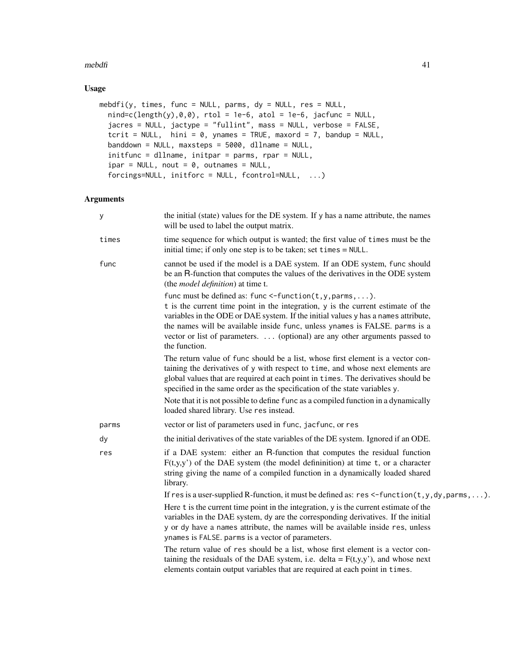# $m$ ebdfi  $41$

# Usage

```
mebdfi(y, times, func = NULL, parms, dy = NULL, res = NULL,
  nind=c(length(y),\emptyset,\emptyset), rtol = 1e-6, atol = 1e-6, jacfunc = NULL,
  jacres = NULL, jactype = "fullint", mass = NULL, verbose = FALSE,
  tcrit = NULL, hini = 0, ynames = TRUE, maxord = 7, bandup = NULL,
  banddown = NULL, maxsteps = 5000, dllname = NULL,
  initfunc = dllname, initpar = parms, rpar = NULL,
  ipar = NULL, nout = 0, outnames = NULL,
  forcings=NULL, initforc = NULL, fcontrol=NULL, ...)
```
# Arguments

| У     | the initial (state) values for the DE system. If y has a name attribute, the names<br>will be used to label the output matrix.                                                                                                                                                                                                                                                                                            |
|-------|---------------------------------------------------------------------------------------------------------------------------------------------------------------------------------------------------------------------------------------------------------------------------------------------------------------------------------------------------------------------------------------------------------------------------|
| times | time sequence for which output is wanted; the first value of times must be the<br>initial time; if only one step is to be taken; set times = NULL.                                                                                                                                                                                                                                                                        |
| func  | cannot be used if the model is a DAE system. If an ODE system, func should<br>be an R-function that computes the values of the derivatives in the ODE system<br>(the <i>model definition</i> ) at time t.                                                                                                                                                                                                                 |
|       | func must be defined as: func <-function $(t, y, p_1, \ldots)$ .<br>t is the current time point in the integration, y is the current estimate of the<br>variables in the ODE or DAE system. If the initial values y has a names attribute,<br>the names will be available inside func, unless ynames is FALSE. parms is a<br>vector or list of parameters.  (optional) are any other arguments passed to<br>the function. |
|       | The return value of func should be a list, whose first element is a vector con-<br>taining the derivatives of y with respect to time, and whose next elements are<br>global values that are required at each point in times. The derivatives should be<br>specified in the same order as the specification of the state variables y.                                                                                      |
|       | Note that it is not possible to define func as a compiled function in a dynamically<br>loaded shared library. Use res instead.                                                                                                                                                                                                                                                                                            |
| parms | vector or list of parameters used in func, jacfunc, or res                                                                                                                                                                                                                                                                                                                                                                |
| dy    | the initial derivatives of the state variables of the DE system. Ignored if an ODE.                                                                                                                                                                                                                                                                                                                                       |
| res   | if a DAE system: either an R-function that computes the residual function<br>$F(t,y,y')$ of the DAE system (the model defininition) at time t, or a character<br>string giving the name of a compiled function in a dynamically loaded shared<br>library.                                                                                                                                                                 |
|       | If res is a user-supplied R-function, it must be defined as: res <-function( $t, y, dy,$ parms, ).                                                                                                                                                                                                                                                                                                                        |
|       | Here t is the current time point in the integration, y is the current estimate of the<br>variables in the DAE system, dy are the corresponding derivatives. If the initial<br>y or dy have a names attribute, the names will be available inside res, unless<br>ynames is FALSE. parms is a vector of parameters.                                                                                                         |
|       | The return value of res should be a list, whose first element is a vector con-<br>taining the residuals of the DAE system, i.e. delta = $F(t,y,y')$ , and whose next<br>elements contain output variables that are required at each point in times.                                                                                                                                                                       |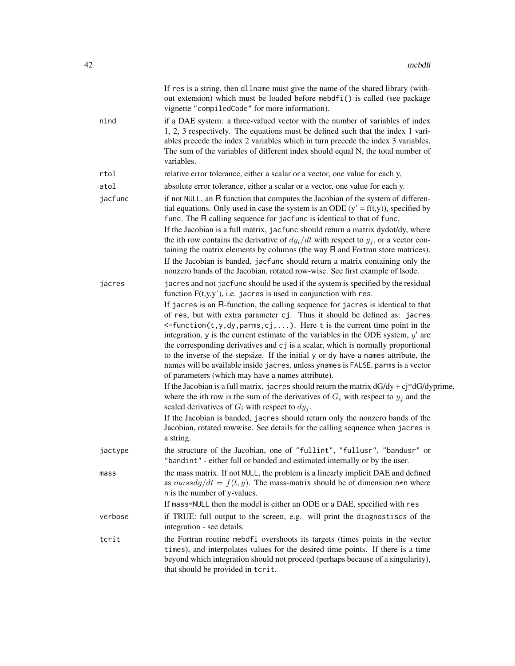|      |         | If res is a string, then dllname must give the name of the shared library (with-<br>out extension) which must be loaded before mebdfi() is called (see package<br>vignette "compiledCode" for more information).                                                                                                                                                                                                                                                                                                                                                                                                                                       |
|------|---------|--------------------------------------------------------------------------------------------------------------------------------------------------------------------------------------------------------------------------------------------------------------------------------------------------------------------------------------------------------------------------------------------------------------------------------------------------------------------------------------------------------------------------------------------------------------------------------------------------------------------------------------------------------|
| nind |         | if a DAE system: a three-valued vector with the number of variables of index<br>1, 2, 3 respectively. The equations must be defined such that the index 1 vari-<br>ables precede the index 2 variables which in turn precede the index 3 variables.<br>The sum of the variables of different index should equal N, the total number of<br>variables.                                                                                                                                                                                                                                                                                                   |
| rtol |         | relative error tolerance, either a scalar or a vector, one value for each y,                                                                                                                                                                                                                                                                                                                                                                                                                                                                                                                                                                           |
| atol |         | absolute error tolerance, either a scalar or a vector, one value for each y.                                                                                                                                                                                                                                                                                                                                                                                                                                                                                                                                                                           |
|      | jacfunc | if not NULL, an R function that computes the Jacobian of the system of differen-<br>tial equations. Only used in case the system is an ODE $(y' = f(t, y))$ , specified by<br>func. The R calling sequence for jacfunc is identical to that of func.<br>If the Jacobian is a full matrix, jacfunc should return a matrix dydot/dy, where                                                                                                                                                                                                                                                                                                               |
|      |         | the ith row contains the derivative of $dy_i/dt$ with respect to $y_i$ , or a vector con-<br>taining the matrix elements by columns (the way R and Fortran store matrices).<br>If the Jacobian is banded, jacfunc should return a matrix containing only the                                                                                                                                                                                                                                                                                                                                                                                           |
|      |         | nonzero bands of the Jacobian, rotated row-wise. See first example of lsode.                                                                                                                                                                                                                                                                                                                                                                                                                                                                                                                                                                           |
|      | jacres  | jacres and not jacfunc should be used if the system is specified by the residual<br>function $F(t,y,y')$ , i.e. jacres is used in conjunction with res.                                                                                                                                                                                                                                                                                                                                                                                                                                                                                                |
|      |         | If jacres is an R-function, the calling sequence for jacres is identical to that<br>of res, but with extra parameter cj. Thus it should be defined as: jacres<br>$\leq$ -function(t,y,dy,parms,cj,). Here t is the current time point in the<br>integration, y is the current estimate of the variables in the ODE system, $y'$ are<br>the corresponding derivatives and cj is a scalar, which is normally proportional<br>to the inverse of the stepsize. If the initial y or dy have a names attribute, the<br>names will be available inside jacres, unless ynames is FALSE. parms is a vector<br>of parameters (which may have a names attribute). |
|      |         | If the Jacobian is a full matrix, jacres should return the matrix $dG/dy + cj* dG/dy$ prime,<br>where the ith row is the sum of the derivatives of $G_i$ with respect to $y_i$ and the<br>scaled derivatives of $G_i$ with respect to $dy_j$ .                                                                                                                                                                                                                                                                                                                                                                                                         |
|      |         | If the Jacobian is banded, jacres should return only the nonzero bands of the<br>Jacobian, rotated rowwise. See details for the calling sequence when jacres is<br>a string.                                                                                                                                                                                                                                                                                                                                                                                                                                                                           |
|      | jactype | the structure of the Jacobian, one of "fullint", "fullusr", "bandusr" or<br>"bandint" - either full or banded and estimated internally or by the user.                                                                                                                                                                                                                                                                                                                                                                                                                                                                                                 |
| mass |         | the mass matrix. If not NULL, the problem is a linearly implicit DAE and defined<br>as $massdy/dt = f(t, y)$ . The mass-matrix should be of dimension n*n where<br>n is the number of y-values.                                                                                                                                                                                                                                                                                                                                                                                                                                                        |
|      |         | If mass=NULL then the model is either an ODE or a DAE, specified with res                                                                                                                                                                                                                                                                                                                                                                                                                                                                                                                                                                              |
|      | verbose | if TRUE: full output to the screen, e.g. will print the diagnostiscs of the<br>integration - see details.                                                                                                                                                                                                                                                                                                                                                                                                                                                                                                                                              |
|      | tcrit   | the Fortran routine mebdfi overshoots its targets (times points in the vector<br>times), and interpolates values for the desired time points. If there is a time<br>beyond which integration should not proceed (perhaps because of a singularity),<br>that should be provided in tcrit.                                                                                                                                                                                                                                                                                                                                                               |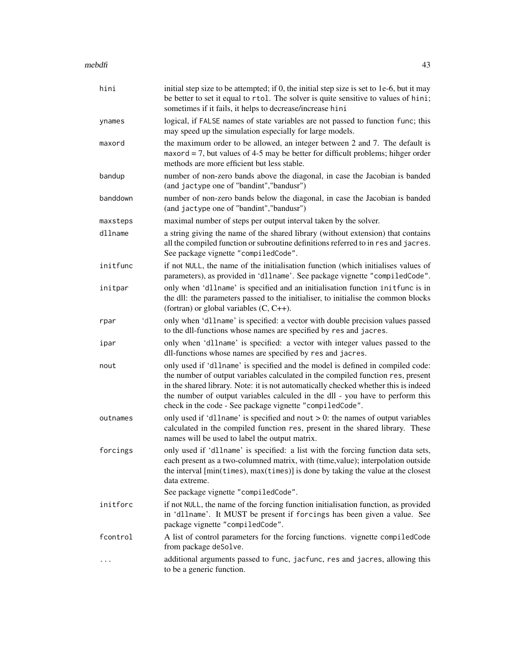# $m$ ebdfi  $43$

| hini     | initial step size to be attempted; if 0, the initial step size is set to 1e-6, but it may<br>be better to set it equal to rtol. The solver is quite sensitive to values of hini;<br>sometimes if it fails, it helps to decrease/increase hini                                                                                                                                                         |
|----------|-------------------------------------------------------------------------------------------------------------------------------------------------------------------------------------------------------------------------------------------------------------------------------------------------------------------------------------------------------------------------------------------------------|
| ynames   | logical, if FALSE names of state variables are not passed to function func; this<br>may speed up the simulation especially for large models.                                                                                                                                                                                                                                                          |
| maxord   | the maximum order to be allowed, an integer between 2 and 7. The default is<br>maxord $= 7$ , but values of 4-5 may be better for difficult problems; hihger order<br>methods are more efficient but less stable.                                                                                                                                                                                     |
| bandup   | number of non-zero bands above the diagonal, in case the Jacobian is banded<br>(and jactype one of "bandint", "bandusr")                                                                                                                                                                                                                                                                              |
| banddown | number of non-zero bands below the diagonal, in case the Jacobian is banded<br>(and jactype one of "bandint", "bandusr")                                                                                                                                                                                                                                                                              |
| maxsteps | maximal number of steps per output interval taken by the solver.                                                                                                                                                                                                                                                                                                                                      |
| dllname  | a string giving the name of the shared library (without extension) that contains<br>all the compiled function or subroutine definitions referred to in res and jacres.<br>See package vignette "compiledCode".                                                                                                                                                                                        |
| initfunc | if not NULL, the name of the initialisation function (which initialises values of<br>parameters), as provided in 'dllname'. See package vignette "compiledCode".                                                                                                                                                                                                                                      |
| initpar  | only when 'dllname' is specified and an initialisation function initfunc is in<br>the dll: the parameters passed to the initialiser, to initialise the common blocks<br>(fortran) or global variables $(C, C++)$ .                                                                                                                                                                                    |
| rpar     | only when 'dllname' is specified: a vector with double precision values passed<br>to the dll-functions whose names are specified by res and jacres.                                                                                                                                                                                                                                                   |
| ipar     | only when 'dllname' is specified: a vector with integer values passed to the<br>dll-functions whose names are specified by res and jacres.                                                                                                                                                                                                                                                            |
| nout     | only used if 'dllname' is specified and the model is defined in compiled code:<br>the number of output variables calculated in the compiled function res, present<br>in the shared library. Note: it is not automatically checked whether this is indeed<br>the number of output variables calculed in the dll - you have to perform this<br>check in the code - See package vignette "compiledCode". |
| outnames | only used if 'dllname' is specified and nout $> 0$ : the names of output variables<br>calculated in the compiled function res, present in the shared library. These<br>names will be used to label the output matrix.                                                                                                                                                                                 |
| forcings | only used if 'dllname' is specified: a list with the forcing function data sets,<br>each present as a two-columned matrix, with (time, value); interpolation outside<br>the interval [min(times), max(times)] is done by taking the value at the closest<br>data extreme.                                                                                                                             |
|          | See package vignette "compiledCode".                                                                                                                                                                                                                                                                                                                                                                  |
| initforc | if not NULL, the name of the forcing function initialisation function, as provided<br>in 'dllname'. It MUST be present if forcings has been given a value. See<br>package vignette "compiledCode".                                                                                                                                                                                                    |
| fcontrol | A list of control parameters for the forcing functions. vignette compiledCode<br>from package deSolve.                                                                                                                                                                                                                                                                                                |
|          | additional arguments passed to func, jacfunc, res and jacres, allowing this<br>to be a generic function.                                                                                                                                                                                                                                                                                              |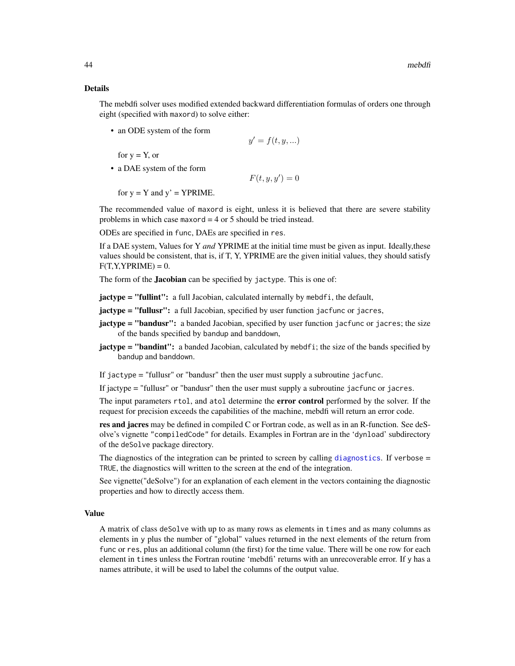# <span id="page-43-0"></span>Details

The mebdfi solver uses modified extended backward differentiation formulas of orders one through eight (specified with maxord) to solve either:

• an ODE system of the form

$$
y' = f(t, y, \ldots)
$$

for  $y = Y$ , or

• a DAE system of the form

 $F(t, y, y') = 0$ 

for  $y = Y$  and  $y' = YPRIME$ .

The recommended value of maxord is eight, unless it is believed that there are severe stability problems in which case maxord  $=$  4 or 5 should be tried instead.

ODEs are specified in func, DAEs are specified in res.

If a DAE system, Values for Y *and* YPRIME at the initial time must be given as input. Ideally,these values should be consistent, that is, if T, Y, YPRIME are the given initial values, they should satisfy  $F(T, Y, YPRIME) = 0.$ 

The form of the **Jacobian** can be specified by jactype. This is one of:

**jactype = "fullint":** a full Jacobian, calculated internally by mebdfi, the default,

- **jactype = "fullusr":** a full Jacobian, specified by user function jacfunc or jacres,
- jactype = "bandusr": a banded Jacobian, specified by user function jacfunc or jacres; the size of the bands specified by bandup and banddown,
- jactype = "bandint": a banded Jacobian, calculated by mebdfi; the size of the bands specified by bandup and banddown.

If jactype = "fullusr" or "bandusr" then the user must supply a subroutine jacfunc.

If jactype = "fullusr" or "bandusr" then the user must supply a subroutine jacfunc or jacres.

The input parameters rtol, and atol determine the **error control** performed by the solver. If the request for precision exceeds the capabilities of the machine, mebdfi will return an error code.

res and jacres may be defined in compiled C or Fortran code, as well as in an R-function. See deSolve's vignette "compiledCode" for details. Examples in Fortran are in the 'dynload' subdirectory of the deSolve package directory.

The [diagnostics](#page-0-0) of the integration can be printed to screen by calling diagnostics. If verbose = TRUE, the diagnostics will written to the screen at the end of the integration.

See vignette("deSolve") for an explanation of each element in the vectors containing the diagnostic properties and how to directly access them.

# Value

A matrix of class deSolve with up to as many rows as elements in times and as many columns as elements in y plus the number of "global" values returned in the next elements of the return from func or res, plus an additional column (the first) for the time value. There will be one row for each element in times unless the Fortran routine 'mebdfi' returns with an unrecoverable error. If y has a names attribute, it will be used to label the columns of the output value.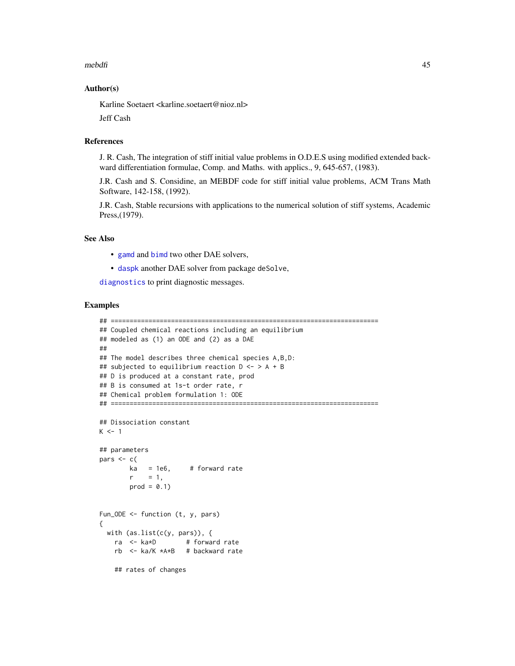#### <span id="page-44-0"></span> $m$ ebdfi  $45$

# Author(s)

Karline Soetaert <karline.soetaert@nioz.nl>

Jeff Cash

#### References

J. R. Cash, The integration of stiff initial value problems in O.D.E.S using modified extended backward differentiation formulae, Comp. and Maths. with applics., 9, 645-657, (1983).

J.R. Cash and S. Considine, an MEBDF code for stiff initial value problems, ACM Trans Math Software, 142-158, (1992).

J.R. Cash, Stable recursions with applications to the numerical solution of stiff systems, Academic Press,(1979).

# See Also

- [gamd](#page-30-1) and [bimd](#page-5-1) two other DAE solvers,
- [daspk](#page-0-0) another DAE solver from package deSolve,

[diagnostics](#page-0-0) to print diagnostic messages.

# Examples

```
## =======================================================================
## Coupled chemical reactions including an equilibrium
## modeled as (1) an ODE and (2) as a DAE
##
## The model describes three chemical species A,B,D:
## subjected to equilibrium reaction D <- > A + B
## D is produced at a constant rate, prod
## B is consumed at 1s-t order rate, r
## Chemical problem formulation 1: ODE
## =======================================================================
## Dissociation constant
K < -1## parameters
pars <- c(
       ka = 1e6, # forward rate
       r = 1,
       prod = 0.1Fun_ODE <- function (t, y, pars)
{
 with (as.list(c(y, pars)), {
   ra <- ka*D # forward rate
   rb <- ka/K *A*B # backward rate
   ## rates of changes
```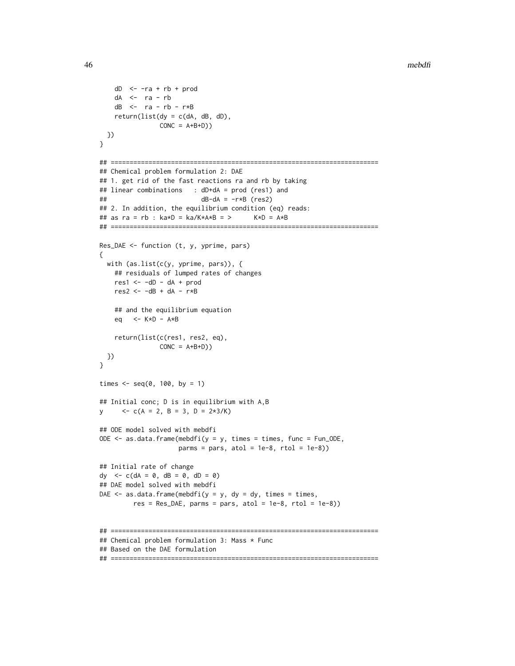```
dD \le -ra + rb + proddA <- ra - rb
   dB <- ra - rb - r*B
   return(list(dy = c(dA, dB, dB)),CONC = A+B+D)})
}
## =======================================================================
## Chemical problem formulation 2: DAE
## 1. get rid of the fast reactions ra and rb by taking
## linear combinations : dD+dA = prod (res1) and
## dB-dA = -r*B (res2)
## 2. In addition, the equilibrium condition (eq) reads:
## as ra = rb : ka*D = ka/K*A*B = > K*D = A*B
## =======================================================================
Res_DAE <- function (t, y, yprime, pars)
{
 with (as.list(c(y, yprime, pars)), {
   ## residuals of lumped rates of changes
   res1 < -dD - dA + prodres2 < -dB + dA - r*B## and the equilibrium equation
   eq <- K*D - A*B
   return(list(c(res1, res2, eq),
               CONC = A+B+D)})
}
times \leq - seq(0, 100, by = 1)
## Initial conc; D is in equilibrium with A,B
y \langle -c(A = 2, B = 3, D = 2*3/K) \rangle## ODE model solved with mebdfi
ODE \leq as.data.frame(mebdfi(y = y, times = times, func = Fun_ODE,
                    params = pars, atol = 1e-8, rtol = 1e-8)## Initial rate of change
dy \leftarrow c(dA = 0, dB = 0, dD = 0)
## DAE model solved with mebdfi
DAE \leq as.data.frame(mebdfi(y = y, dy = dy, times = times,
        res = Res\_DAE, parms = pars, atol = 1e-8, rtol = 1e-8))
## =======================================================================
## Chemical problem formulation 3: Mass * Func
## Based on the DAE formulation
```
## =======================================================================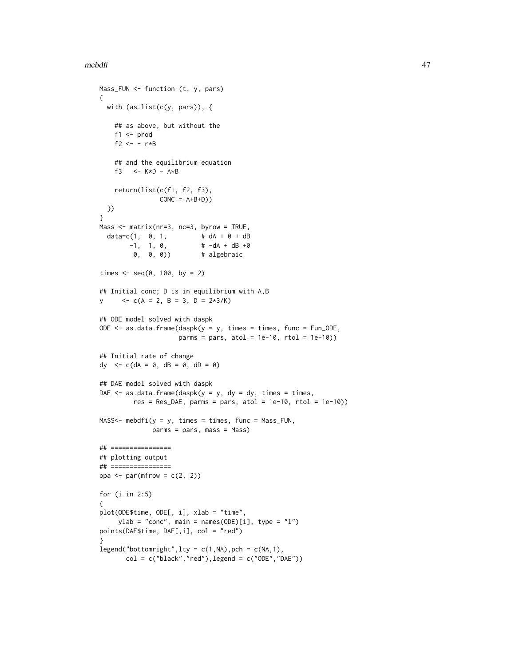```
mebdfi and a state of the state of the state of the state of the state of the state of the state of the state of the state of the state of the state of the state of the state of the state of the state of the state of the s
```

```
Mass_FUN <- function (t, y, pars)
{
 with (as.list(c(y, pars)), {
   ## as above, but without the
   f1 <- prod
   f2 <- - r*B## and the equilibrium equation
    f3 <-K*D - A*Breturn(list(c(f1, f2, f3),
                CONC = A+B+D)})
}
Mass <- matrix(nr=3, nc=3, byrow = TRUE,
  data = c(1, 0, 1,  # dA + 0 + dB)-1, 1, 0, # -dA + dB +00, 0, 0)) # algebraic
times \leq - seq(0, 100, by = 2)
## Initial conc; D is in equilibrium with A,B
y \langle -c(A = 2, B = 3, D = 2*3/K) \rangle## ODE model solved with daspk
ODE \leq as.data.frame(daspk(y = y, times = times, func = Fun_ODE,
                     params = pars, atol = 1e-10, rtol = 1e-10)## Initial rate of change
dy \langle -c(dA = 0, dB = 0, dD = 0) \rangle## DAE model solved with daspk
DAE \leq as.data.frame(daspk(y = y, dy = dy, times = times,
         res = Res\_DAE, parms = pars, atol = 1e-10, rtol = 1e-10))
MASS<- mebdfi(y = y, times = times, func = Mass_FUN,
              parms = pars, mass = Mass)
## ================
## plotting output
## ================
opa \leq par(mfrow = c(2, 2))
for (i in 2:5)
{
plot(ODE$time, ODE[, i], xlab = "time",
    ylab = "conc", main = names(ODE)[i], type = "l")
points(DAE$time, DAE[,i], col = "red")
}
legend("bottomright",lty = c(1, NA), pch = c(NA, 1),
       col = c("black", "red"), legend = c("ODE", "DAE"))
```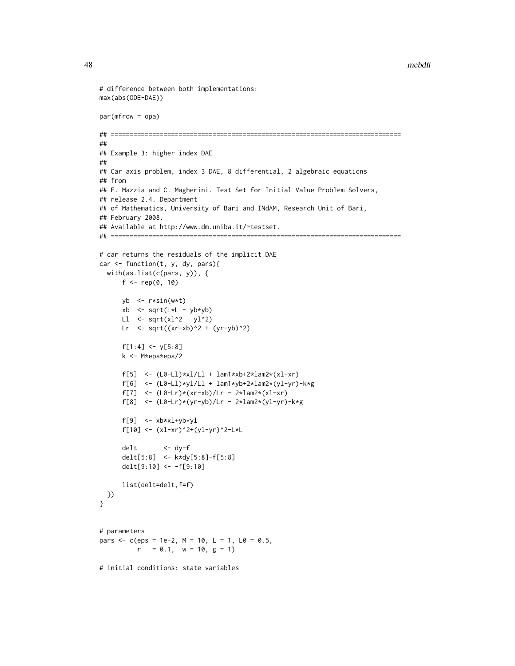#### 48 mebdfi

```
# difference between both implementations:
max(abs(ODE-DAE))
par(mfrow = opa)
## =============================================================================
##
## Example 3: higher index DAE
##
## Car axis problem, index 3 DAE, 8 differential, 2 algebraic equations
## from
## F. Mazzia and C. Magherini. Test Set for Initial Value Problem Solvers,
## release 2.4. Department
## of Mathematics, University of Bari and INdAM, Research Unit of Bari,
## February 2008.
## Available at http://www.dm.uniba.it/~testset.
## =============================================================================
# car returns the residuals of the implicit DAE
car <- function(t, y, dy, pars){
  with(as.list(c(pars, y)), {
      f \leq - rep(0, 10)yb <- r*sin(w*t)
      xb <- sqrt(L*L - yb*yb)
      Ll \le sqrt(xl^2 + yl^2)
      Lr \leq sqrt((xr-xb)^2 + (yr-yb)^2)
      f[1:4] < -y[5:8]k <- M*eps*eps/2
      f[5] <- (L0-Ll)*xl/Ll + lam1*xb+2*lam2*(xl-xr)
      f[6] <- (L0-Ll)*yl/Ll + lam1*yb+2*lam2*(yl-yr)-k*g
      f[7] <- (L0-Lr)*(xr-xb)/Lr - 2*lam2*(xl-xr)
      f[8] \leftarrow (L0-Lr)*(yr-yb)/Lr - 2*lam2*(yl-yr)-k*g
      f[9] \leftarrow x b \times x l + y b \times y lf[10] <- (xl-xr)^2+(yl-yr)^2-L*L
      delt <- dy-f
      delt[5:8] <- k*dy[5:8]-f[5:8]
      delt[9:10] <- -f[9:10]
      list(delt=delt,f=f)
 })
}
# parameters
pars \leq c(eps = 1e-2, M = 10, L = 1, L0 = 0.5,
          r = 0.1, w = 10, g = 1)
# initial conditions: state variables
```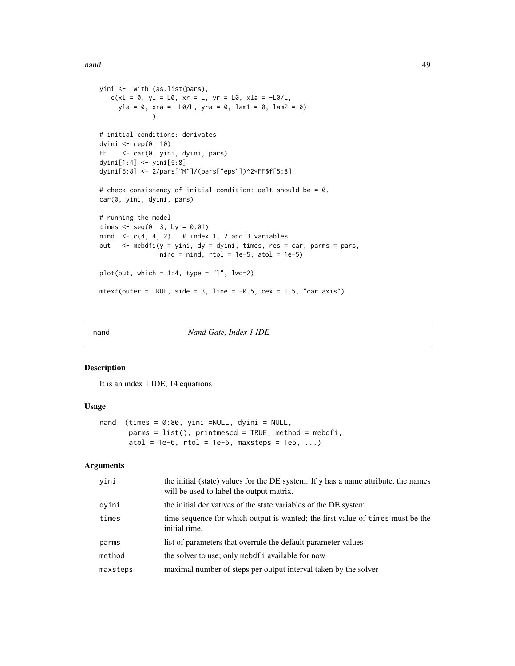<span id="page-48-0"></span>nand **49** 

```
yini <- with (as.list(pars),
  c(x1 = 0, y1 = L0, xr = L, yr = L0, x1a = -L0/L,yla = 0, xra = -L0/L, yra = 0, lam1 = 0, lam2 = 0)
              \lambda# initial conditions: derivates
dyini <- rep(0, 10)
FF <- car(0, yini, dyini, pars)
dyini[1:4] <- yini[5:8]
dyini[5:8] <- 2/pars["M"]/(pars["eps"])^2*FF$f[5:8]
# check consistency of initial condition: delt should be = 0.
car(0, yini, dyini, pars)
# running the model
times \leq seq(0, 3, by = 0.01)
nind \leq c(4, 4, 2) # index 1, 2 and 3 variables
out \leq mebdfi(y = yini, dy = dyini, times, res = car, parms = pars,
                nind = nind, rtol = 1e-5, atol = 1e-5)plot(out, which = 1:4, type = "l", lwd=2)mtext{text(outer = TRUE, side = 3, line = -0.5, cex = 1.5, "car axis")}
```
nand *Nand Gate, Index 1 IDE*

#### Description

It is an index 1 IDE, 14 equations

# Usage

```
nand (times = 0:80, yini =NULL, dyini = NULL,
      params = list(), printmescd = TRUE, method = mebdfi,atol = 1e-6, rtol = 1e-6, maxsteps = 1e5, ...)
```
# Arguments

| yini     | the initial (state) values for the DE system. If y has a name attribute, the names<br>will be used to label the output matrix. |
|----------|--------------------------------------------------------------------------------------------------------------------------------|
| dyini    | the initial derivatives of the state variables of the DE system.                                                               |
| times    | time sequence for which output is wanted; the first value of times must be the<br>initial time.                                |
| parms    | list of parameters that overrule the default parameter values                                                                  |
| method   | the solver to use; only mebdf i available for now                                                                              |
| maxsteps | maximal number of steps per output interval taken by the solver                                                                |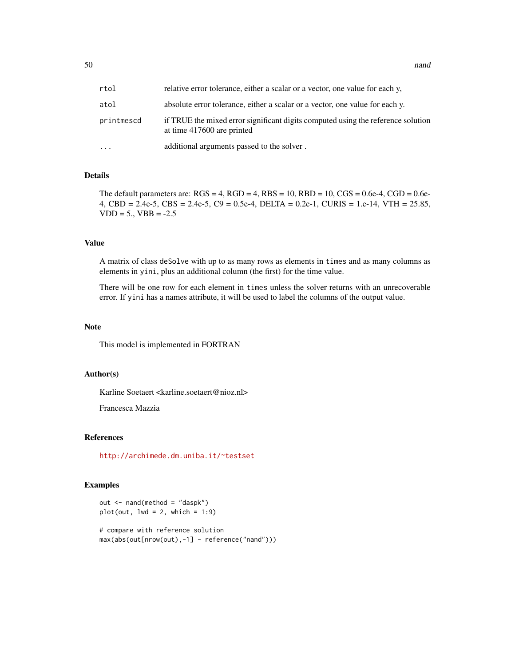50 nand 200 name of the state of the state of the state of the state of the state of the state of the state of the state of the state of the state of the state of the state of the state of the state of the state of the sta

| rtol       | relative error tolerance, either a scalar or a vector, one value for each y,                                   |
|------------|----------------------------------------------------------------------------------------------------------------|
| atol       | absolute error tolerance, either a scalar or a vector, one value for each y.                                   |
| printmescd | if TRUE the mixed error significant digits computed using the reference solution<br>at time 417600 are printed |
| $\ddotsc$  | additional arguments passed to the solver.                                                                     |

# Details

The default parameters are:  $RGS = 4$ ,  $RGD = 4$ ,  $RBS = 10$ ,  $RBD = 10$ ,  $CGS = 0.6e-4$ ,  $CGD = 0.6e-4$ 4, CBD = 2.4e-5, CBS = 2.4e-5, C9 = 0.5e-4, DELTA = 0.2e-1, CURIS = 1.e-14, VTH = 25.85,  $VDD = 5.$ ,  $VBB = -2.5$ 

# Value

A matrix of class deSolve with up to as many rows as elements in times and as many columns as elements in yini, plus an additional column (the first) for the time value.

There will be one row for each element in times unless the solver returns with an unrecoverable error. If yini has a names attribute, it will be used to label the columns of the output value.

#### Note

This model is implemented in FORTRAN

# Author(s)

Karline Soetaert <karline.soetaert@nioz.nl>

Francesca Mazzia

# References

<http://archimede.dm.uniba.it/~testset>

# Examples

```
out <- nand(method = "daspk")
plot(out, lwd = 2, which = 1:9)# compare with reference solution
max(abs(out[nrow(out),-1] - reference("nand")))
```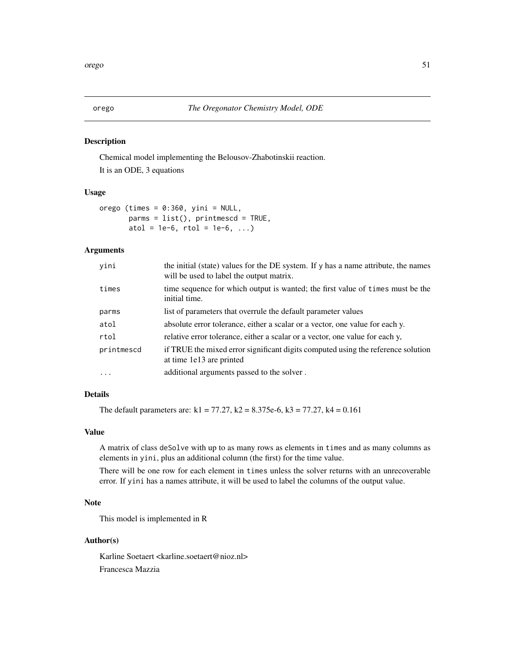# Description

Chemical model implementing the Belousov-Zhabotinskii reaction. It is an ODE, 3 equations

# Usage

orego (times =  $0:360$ , yini = NULL,  $params = list()$ ,  $printmescd = TRUE$ , atol = 1e-6,  $rtol = 1e-6$ , ...)

# Arguments

| yini       | the initial (state) values for the DE system. If y has a name attribute, the names<br>will be used to label the output matrix. |
|------------|--------------------------------------------------------------------------------------------------------------------------------|
| times      | time sequence for which output is wanted; the first value of times must be the<br>initial time.                                |
| parms      | list of parameters that overrule the default parameter values                                                                  |
| atol       | absolute error tolerance, either a scalar or a vector, one value for each y.                                                   |
| rtol       | relative error tolerance, either a scalar or a vector, one value for each y,                                                   |
| printmescd | if TRUE the mixed error significant digits computed using the reference solution<br>at time 1e13 are printed                   |
| $\cdots$   | additional arguments passed to the solver.                                                                                     |

# Details

The default parameters are:  $k1 = 77.27$ ,  $k2 = 8.375e-6$ ,  $k3 = 77.27$ ,  $k4 = 0.161$ 

# Value

A matrix of class deSolve with up to as many rows as elements in times and as many columns as elements in yini, plus an additional column (the first) for the time value.

There will be one row for each element in times unless the solver returns with an unrecoverable error. If yini has a names attribute, it will be used to label the columns of the output value.

# Note

This model is implemented in R

# Author(s)

Karline Soetaert <karline.soetaert@nioz.nl> Francesca Mazzia

<span id="page-50-0"></span>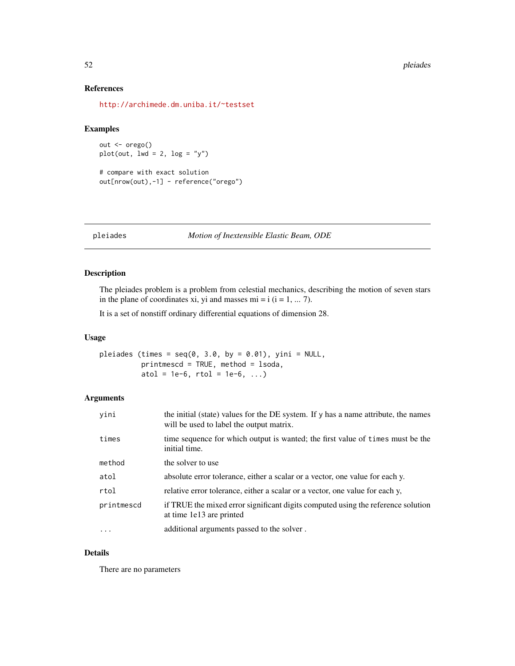#### <span id="page-51-0"></span>52 pleiades et al. et al. et al. et al. et al. et al. et al. et al. et al. et al. et al. et al. et al. et al. e

# References

<http://archimede.dm.uniba.it/~testset>

# Examples

```
out <- orego()
plot(out, lwd = 2, log = "y")# compare with exact solution
```

```
out[nrow(out),-1] - reference("orego")
```
pleiades *Motion of Inextensible Elastic Beam, ODE*

# Description

The pleiades problem is a problem from celestial mechanics, describing the motion of seven stars in the plane of coordinates xi, yi and masses  $mi = i$  ( $i = 1, \dots 7$ ).

It is a set of nonstiff ordinary differential equations of dimension 28.

# Usage

pleiades (times =  $seq(0, 3.0, by = 0.01)$ , yini = NULL, printmescd = TRUE, method = lsoda, atol = 1e-6,  $rtol = 1e-6$ , ...)

# Arguments

| yini       | the initial (state) values for the DE system. If y has a name attribute, the names<br>will be used to label the output matrix. |
|------------|--------------------------------------------------------------------------------------------------------------------------------|
| times      | time sequence for which output is wanted; the first value of times must be the<br>initial time.                                |
| method     | the solver to use                                                                                                              |
| atol       | absolute error tolerance, either a scalar or a vector, one value for each y.                                                   |
| rtol       | relative error tolerance, either a scalar or a vector, one value for each y,                                                   |
| printmescd | if TRUE the mixed error significant digits computed using the reference solution<br>at time 1e13 are printed                   |
| $\cdots$   | additional arguments passed to the solver.                                                                                     |

# Details

There are no parameters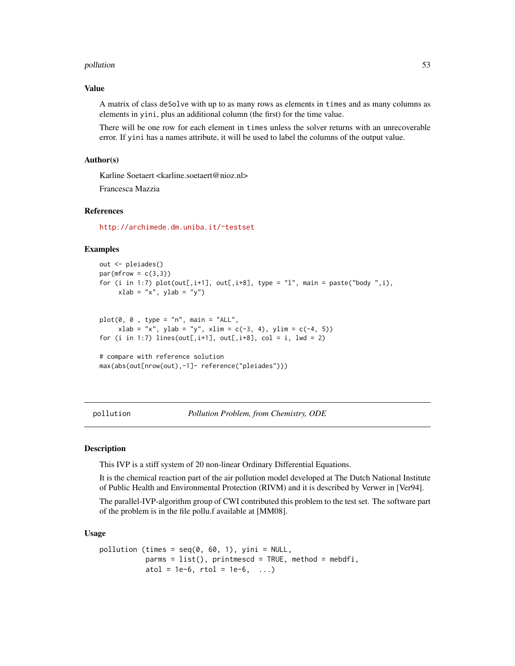#### <span id="page-52-0"></span>pollution 53

# Value

A matrix of class deSolve with up to as many rows as elements in times and as many columns as elements in yini, plus an additional column (the first) for the time value.

There will be one row for each element in times unless the solver returns with an unrecoverable error. If yini has a names attribute, it will be used to label the columns of the output value.

# Author(s)

Karline Soetaert <karline.soetaert@nioz.nl>

Francesca Mazzia

# References

<http://archimede.dm.uniba.it/~testset>

# Examples

```
out <- pleiades()
par(mfrow = c(3,3))for (i in 1:7) plot(out[,i+1], out[,i+8], type = "l", main = paste("body", i),xlab = "x", ylab = "y")
```

```
plot(0, 0, type = "n", main = "ALL",xlab = "x", ylab = "y", xlim = c(-3, 4), ylim = c(-4, 5))for (i in 1:7) lines(out[,i+1], out[,i+8], col = i, lwd = 2)
```

```
# compare with reference solution
max(abs(out[nrow(out),-1]- reference("pleiades")))
```
pollution *Pollution Problem, from Chemistry, ODE*

# **Description**

This IVP is a stiff system of 20 non-linear Ordinary Differential Equations.

It is the chemical reaction part of the air pollution model developed at The Dutch National Institute of Public Health and Environmental Protection (RIVM) and it is described by Verwer in [Ver94].

The parallel-IVP-algorithm group of CWI contributed this problem to the test set. The software part of the problem is in the file pollu.f available at [MM08].

#### Usage

```
pollution (times = seq(0, 60, 1), yini = NULL,
           params = list(), printmescd = TRUE, method = mebdfi,
           atol = 1e-6, rtol = 1e-6, ...)
```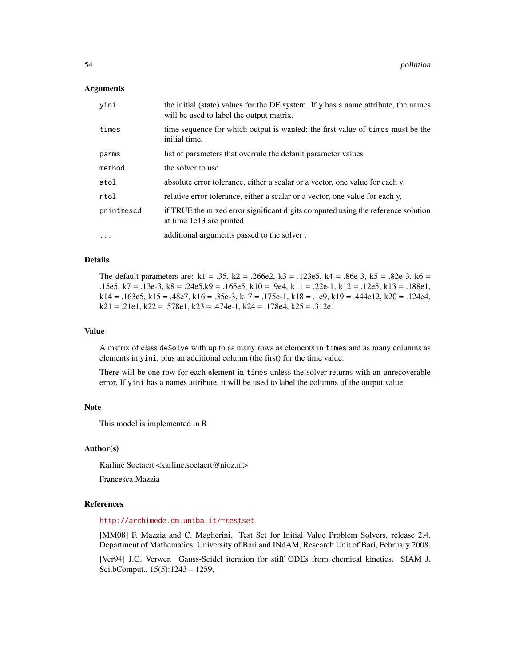# **Arguments**

| yini       | the initial (state) values for the DE system. If y has a name attribute, the names<br>will be used to label the output matrix. |
|------------|--------------------------------------------------------------------------------------------------------------------------------|
| times      | time sequence for which output is wanted; the first value of times must be the<br>initial time.                                |
| parms      | list of parameters that overrule the default parameter values                                                                  |
| method     | the solver to use                                                                                                              |
| atol       | absolute error tolerance, either a scalar or a vector, one value for each y.                                                   |
| rtol       | relative error tolerance, either a scalar or a vector, one value for each y,                                                   |
| printmescd | if TRUE the mixed error significant digits computed using the reference solution<br>at time 1e13 are printed                   |
| $\cdots$   | additional arguments passed to the solver.                                                                                     |

# Details

The default parameters are:  $k1 = .35$ ,  $k2 = .266e2$ ,  $k3 = .123e5$ ,  $k4 = .86e-3$ ,  $k5 = .82e-3$ ,  $k6 = .82e-3$ .15e5, k7 = .13e-3, k8 = .24e5,k9 = .165e5, k10 = .9e4, k11 = .22e-1, k12 = .12e5, k13 = .188e1,  $k14 = .163e5, k15 = .48e7, k16 = .35e-3, k17 = .175e-1, k18 = .1e9, k19 = .444e12, k20 = .124e4,$  $k21 = .21e1$ ,  $k22 = .578e1$ ,  $k23 = .474e-1$ ,  $k24 = .178e4$ ,  $k25 = .312e1$ 

#### Value

A matrix of class deSolve with up to as many rows as elements in times and as many columns as elements in yini, plus an additional column (the first) for the time value.

There will be one row for each element in times unless the solver returns with an unrecoverable error. If yini has a names attribute, it will be used to label the columns of the output value.

# Note

This model is implemented in R

# Author(s)

Karline Soetaert <karline.soetaert@nioz.nl>

Francesca Mazzia

# References

# <http://archimede.dm.uniba.it/~testset>

[MM08] F. Mazzia and C. Magherini. Test Set for Initial Value Problem Solvers, release 2.4. Department of Mathematics, University of Bari and INdAM, Research Unit of Bari, February 2008.

[Ver94] J.G. Verwer. Gauss-Seidel iteration for stiff ODEs from chemical kinetics. SIAM J. Sci.bComput., 15(5):1243 – 1259,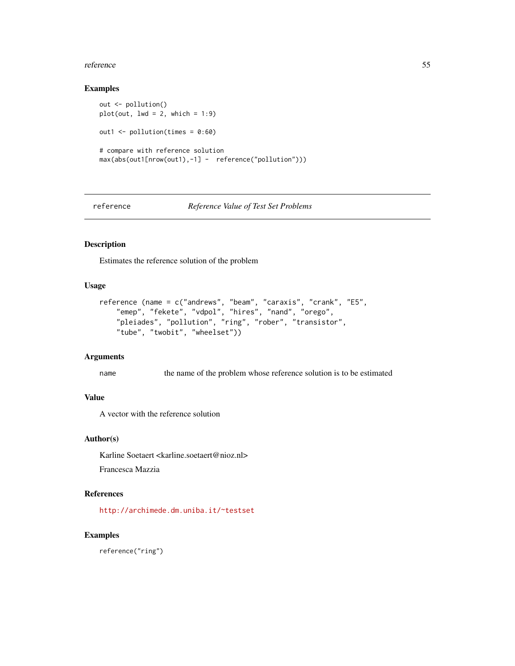#### <span id="page-54-0"></span>reference 55

# Examples

```
out <- pollution()
plot(out, lwd = 2, which = 1:9)out1 <- pollution(times = 0:60)
# compare with reference solution
max(abs(out1[nrow(out1),-1] - reference("pollution")))
```
reference *Reference Value of Test Set Problems*

# Description

Estimates the reference solution of the problem

# Usage

```
reference (name = c("andrews", "beam", "caraxis", "crank", "E5",
    "emep", "fekete", "vdpol", "hires", "nand", "orego",
   "pleiades", "pollution", "ring", "rober", "transistor",
   "tube", "twobit", "wheelset"))
```
# Arguments

name the name of the problem whose reference solution is to be estimated

# Value

A vector with the reference solution

# Author(s)

Karline Soetaert <karline.soetaert@nioz.nl>

Francesca Mazzia

# References

<http://archimede.dm.uniba.it/~testset>

#### Examples

reference("ring")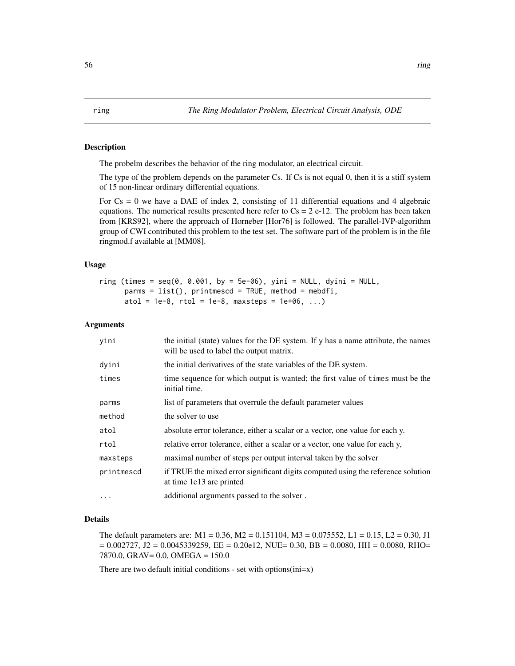# <span id="page-55-0"></span>Description

The probelm describes the behavior of the ring modulator, an electrical circuit.

The type of the problem depends on the parameter Cs. If Cs is not equal 0, then it is a stiff system of 15 non-linear ordinary differential equations.

For  $Cs = 0$  we have a DAE of index 2, consisting of 11 differential equations and 4 algebraic equations. The numerical results presented here refer to  $Cs = 2e-12$ . The problem has been taken from [KRS92], where the approach of Horneber [Hor76] is followed. The parallel-IVP-algorithm group of CWI contributed this problem to the test set. The software part of the problem is in the file ringmod.f available at [MM08].

# Usage

ring (times =  $seq(0, 0.001, by = 5e-06)$ , yini = NULL, dyini = NULL,  $params = list(), printmescd = TRUE, method = mebdfi,$ atol = 1e-8,  $rtol = 1e-8$ , maxsteps = 1e+06, ...)

# Arguments

| yini       | the initial (state) values for the DE system. If y has a name attribute, the names<br>will be used to label the output matrix. |
|------------|--------------------------------------------------------------------------------------------------------------------------------|
| dyini      | the initial derivatives of the state variables of the DE system.                                                               |
| times      | time sequence for which output is wanted; the first value of times must be the<br>initial time.                                |
| parms      | list of parameters that overrule the default parameter values                                                                  |
| method     | the solver to use                                                                                                              |
| atol       | absolute error tolerance, either a scalar or a vector, one value for each y.                                                   |
| rtol       | relative error tolerance, either a scalar or a vector, one value for each y,                                                   |
| maxsteps   | maximal number of steps per output interval taken by the solver                                                                |
| printmescd | if TRUE the mixed error significant digits computed using the reference solution<br>at time 1e13 are printed                   |
| $\cdots$   | additional arguments passed to the solver.                                                                                     |

# Details

The default parameters are: M1 = 0.36, M2 = 0.151104, M3 = 0.075552, L1 = 0.15, L2 = 0.30, J1  $= 0.002727$ , J2 = 0.0045339259, EE = 0.20e12, NUE= 0.30, BB = 0.0080, HH = 0.0080, RHO= 7870.0, GRAV= 0.0, OMEGA = 150.0

There are two default initial conditions - set with options(ini=x)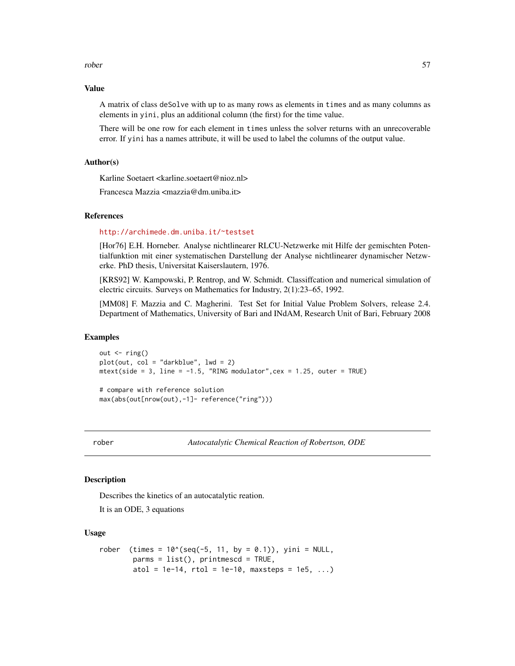#### <span id="page-56-0"></span>rober 57

#### Value

A matrix of class deSolve with up to as many rows as elements in times and as many columns as elements in yini, plus an additional column (the first) for the time value.

There will be one row for each element in times unless the solver returns with an unrecoverable error. If yini has a names attribute, it will be used to label the columns of the output value.

# Author(s)

Karline Soetaert <karline.soetaert@nioz.nl>

Francesca Mazzia <mazzia@dm.uniba.it>

# References

#### <http://archimede.dm.uniba.it/~testset>

[Hor76] E.H. Horneber. Analyse nichtlinearer RLCU-Netzwerke mit Hilfe der gemischten Potentialfunktion mit einer systematischen Darstellung der Analyse nichtlinearer dynamischer Netzwerke. PhD thesis, Universitat Kaiserslautern, 1976.

[KRS92] W. Kampowski, P. Rentrop, and W. Schmidt. Classiffcation and numerical simulation of electric circuits. Surveys on Mathematics for Industry, 2(1):23–65, 1992.

[MM08] F. Mazzia and C. Magherini. Test Set for Initial Value Problem Solvers, release 2.4. Department of Mathematics, University of Bari and INdAM, Research Unit of Bari, February 2008

# Examples

out  $\leftarrow$  ring()  $plot(out, col = "darkblue", lw = 2)$  $mtext{text(side = 3, line = -1.5, "RING modulator", cex = 1.25, outer = TRUE)}$ 

# compare with reference solution max(abs(out[nrow(out),-1]- reference("ring")))

rober *Autocatalytic Chemical Reaction of Robertson, ODE*

# Description

Describes the kinetics of an autocatalytic reation.

It is an ODE, 3 equations

#### Usage

```
rober (times = 10^{6}(seq(-5, 11, by = 0.1)), yini = NULL,
       params = list(), printmescd = TRUE,
       atol = 1e-14, rtol = 1e-10, maxsteps = 1e5, ...)
```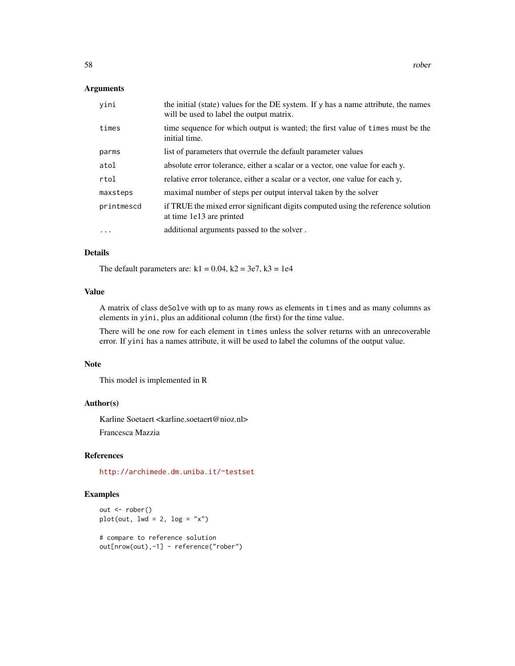# Arguments

| yini       | the initial (state) values for the DE system. If y has a name attribute, the names<br>will be used to label the output matrix. |
|------------|--------------------------------------------------------------------------------------------------------------------------------|
| times      | time sequence for which output is wanted; the first value of times must be the<br>initial time.                                |
| parms      | list of parameters that overrule the default parameter values                                                                  |
| atol       | absolute error tolerance, either a scalar or a vector, one value for each y.                                                   |
| rtol       | relative error tolerance, either a scalar or a vector, one value for each y,                                                   |
| maxsteps   | maximal number of steps per output interval taken by the solver                                                                |
| printmescd | if TRUE the mixed error significant digits computed using the reference solution<br>at time 1e13 are printed                   |
| $\cdot$    | additional arguments passed to the solver.                                                                                     |

# Details

The default parameters are:  $k1 = 0.04$ ,  $k2 = 3e7$ ,  $k3 = 1e4$ 

# Value

A matrix of class deSolve with up to as many rows as elements in times and as many columns as elements in yini, plus an additional column (the first) for the time value.

There will be one row for each element in times unless the solver returns with an unrecoverable error. If yini has a names attribute, it will be used to label the columns of the output value.

#### Note

This model is implemented in R

#### Author(s)

Karline Soetaert <karline.soetaert@nioz.nl> Francesca Mazzia

# References

<http://archimede.dm.uniba.it/~testset>

# Examples

```
out <- rober()
plot(out, 1wd = 2, log = "x")# compare to reference solution
out[nrow(out),-1] - reference("rober")
```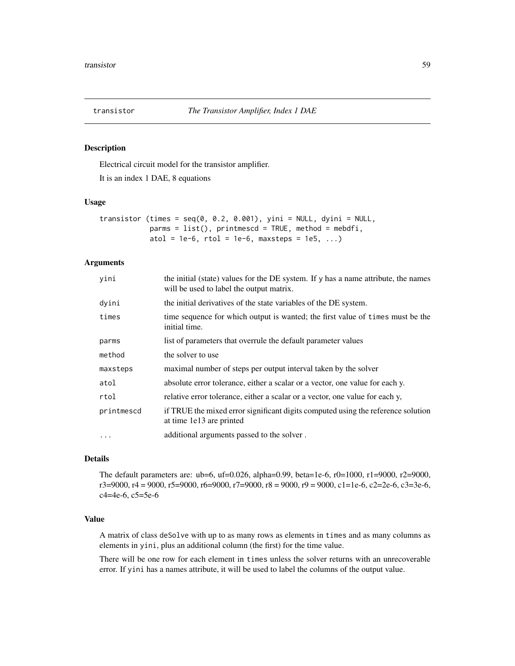<span id="page-58-0"></span>

# Description

Electrical circuit model for the transistor amplifier.

It is an index 1 DAE, 8 equations

#### Usage

transistor (times =  $seq(0, 0.2, 0.001)$ , yini = NULL, dyini = NULL,  $params = list(), printmescd = TRUE, method = mebdfi,$ atol = 1e-6,  $rtol = 1e-6$ , maxsteps = 1e5, ...)

# Arguments

| yini       | the initial (state) values for the DE system. If y has a name attribute, the names<br>will be used to label the output matrix. |
|------------|--------------------------------------------------------------------------------------------------------------------------------|
| dyini      | the initial derivatives of the state variables of the DE system.                                                               |
| times      | time sequence for which output is wanted; the first value of times must be the<br>initial time.                                |
| parms      | list of parameters that overrule the default parameter values                                                                  |
| method     | the solver to use                                                                                                              |
| maxsteps   | maximal number of steps per output interval taken by the solver                                                                |
| atol       | absolute error tolerance, either a scalar or a vector, one value for each y.                                                   |
| rtol       | relative error tolerance, either a scalar or a vector, one value for each y,                                                   |
| printmescd | if TRUE the mixed error significant digits computed using the reference solution<br>at time 1e13 are printed                   |
| $\ddotsc$  | additional arguments passed to the solver.                                                                                     |

# Details

The default parameters are: ub=6, uf=0.026, alpha=0.99, beta=1e-6, r0=1000, r1=9000, r2=9000,  $r3=9000$ ,  $r4 = 9000$ ,  $r5=9000$ ,  $r6=9000$ ,  $r7=9000$ ,  $r8 = 9000$ ,  $r9 = 9000$ ,  $c1=1e-6$ ,  $c2=2e-6$ ,  $c3=3e-6$ , c4=4e-6, c5=5e-6

# Value

A matrix of class deSolve with up to as many rows as elements in times and as many columns as elements in yini, plus an additional column (the first) for the time value.

There will be one row for each element in times unless the solver returns with an unrecoverable error. If yini has a names attribute, it will be used to label the columns of the output value.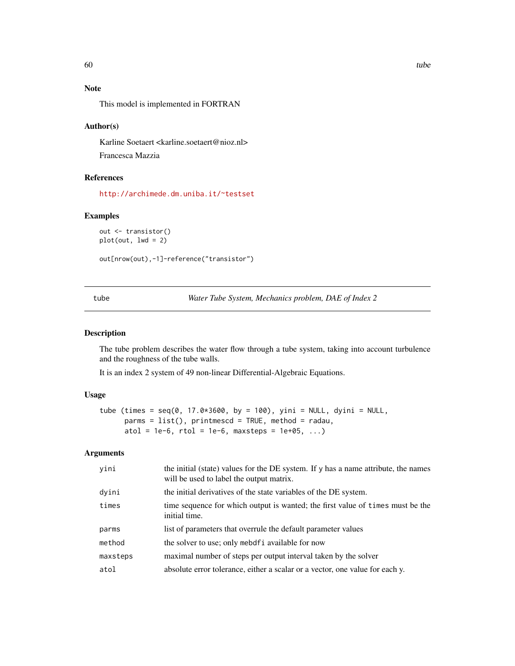# Note

This model is implemented in FORTRAN

# Author(s)

Karline Soetaert <karline.soetaert@nioz.nl> Francesca Mazzia

# References

<http://archimede.dm.uniba.it/~testset>

#### Examples

```
out <- transistor()
plot(out, lwd = 2)
```
out[nrow(out),-1]-reference("transistor")

tube *Water Tube System, Mechanics problem, DAE of Index 2*

# Description

The tube problem describes the water flow through a tube system, taking into account turbulence and the roughness of the tube walls.

It is an index 2 system of 49 non-linear Differential-Algebraic Equations.

# Usage

```
tube (times = seq(0, 17.0*3600, by = 100), yini = NULL, dyini = NULL,
     params = list(), printmescd = TRUE, method = radau,
     atol = 1e-6, rtol = 1e-6, maxsteps = 1e+05, ...)
```
# Arguments

| yini     | the initial (state) values for the DE system. If y has a name attribute, the names<br>will be used to label the output matrix. |
|----------|--------------------------------------------------------------------------------------------------------------------------------|
| dyini    | the initial derivatives of the state variables of the DE system.                                                               |
| times    | time sequence for which output is wanted; the first value of times must be the<br>initial time.                                |
| parms    | list of parameters that overrule the default parameter values                                                                  |
| method   | the solver to use; only mebdf i available for now                                                                              |
| maxsteps | maximal number of steps per output interval taken by the solver                                                                |
| atol     | absolute error tolerance, either a scalar or a vector, one value for each y.                                                   |
|          |                                                                                                                                |

<span id="page-59-0"></span>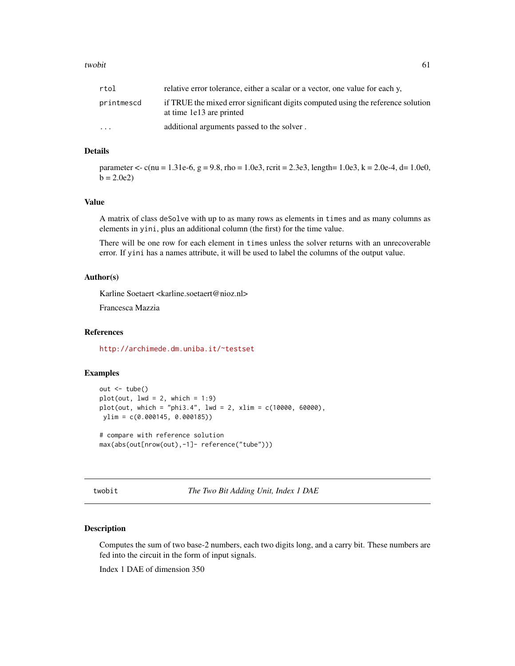#### <span id="page-60-0"></span>twobit 61

| rtol                    | relative error tolerance, either a scalar or a vector, one value for each y,                                 |
|-------------------------|--------------------------------------------------------------------------------------------------------------|
| printmescd              | if TRUE the mixed error significant digits computed using the reference solution<br>at time 1e13 are printed |
| $\cdot$ $\cdot$ $\cdot$ | additional arguments passed to the solver.                                                                   |

#### Details

parameter <- c(nu = 1.31e-6, g = 9.8, rho = 1.0e3, rcrit = 2.3e3, length= 1.0e3, k = 2.0e-4, d= 1.0e0,  $b = 2.0e2$ 

#### Value

A matrix of class deSolve with up to as many rows as elements in times and as many columns as elements in yini, plus an additional column (the first) for the time value.

There will be one row for each element in times unless the solver returns with an unrecoverable error. If yini has a names attribute, it will be used to label the columns of the output value.

# Author(s)

Karline Soetaert <karline.soetaert@nioz.nl>

Francesca Mazzia

# References

<http://archimede.dm.uniba.it/~testset>

# Examples

```
out <- tube()
plot(out, lwd = 2, which = 1:9)plot(out, which = "phi3.4", lwd = 2, xlim = c(10000, 60000),ylim = c(0.000145, 0.000185))
# compare with reference solution
max(abs(out[nrow(out),-1]- reference("tube")))
```
twobit *The Two Bit Adding Unit, Index 1 DAE*

# Description

Computes the sum of two base-2 numbers, each two digits long, and a carry bit. These numbers are fed into the circuit in the form of input signals.

Index 1 DAE of dimension 350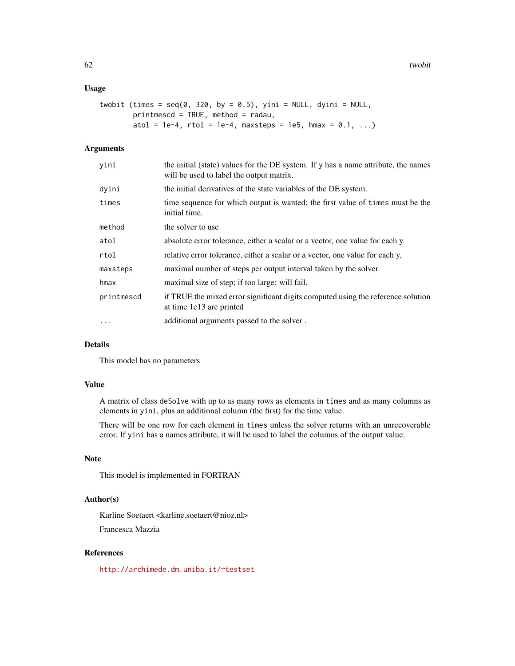# Usage

```
twobit (times = seq(0, 320, by = 0.5), yini = NULL, dyini = NULL,
       printmescd = TRUE, method = radau,
       atol = 1e-4, rtol = 1e-4, maxsteps = 1e5, hmax = 0.1, ...)
```
# Arguments

| yini       | the initial (state) values for the DE system. If y has a name attribute, the names<br>will be used to label the output matrix. |
|------------|--------------------------------------------------------------------------------------------------------------------------------|
| dyini      | the initial derivatives of the state variables of the DE system.                                                               |
| times      | time sequence for which output is wanted; the first value of times must be the<br>initial time.                                |
| method     | the solver to use                                                                                                              |
| atol       | absolute error tolerance, either a scalar or a vector, one value for each y.                                                   |
| rtol       | relative error tolerance, either a scalar or a vector, one value for each y,                                                   |
| maxsteps   | maximal number of steps per output interval taken by the solver                                                                |
| hmax       | maximal size of step; if too large: will fail.                                                                                 |
| printmescd | if TRUE the mixed error significant digits computed using the reference solution<br>at time 1e13 are printed                   |
| $\ddots$   | additional arguments passed to the solver.                                                                                     |
|            |                                                                                                                                |

# Details

This model has no parameters

# Value

A matrix of class deSolve with up to as many rows as elements in times and as many columns as elements in yini, plus an additional column (the first) for the time value.

There will be one row for each element in times unless the solver returns with an unrecoverable error. If yini has a names attribute, it will be used to label the columns of the output value.

# Note

This model is implemented in FORTRAN

# Author(s)

Karline Soetaert <karline.soetaert@nioz.nl> Francesca Mazzia

# References

<http://archimede.dm.uniba.it/~testset>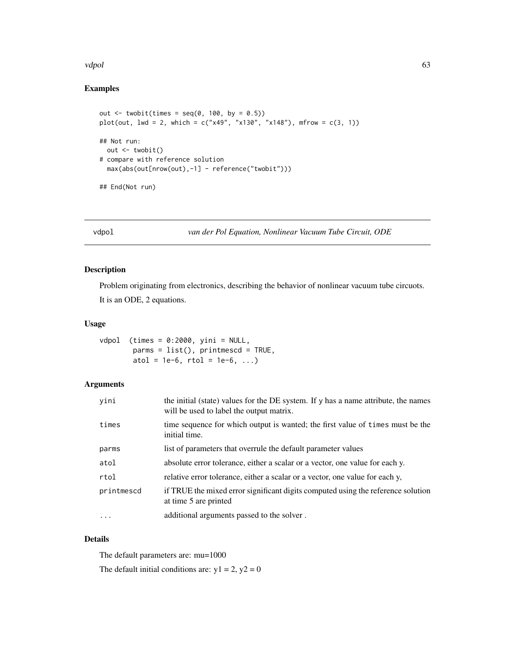#### <span id="page-62-0"></span>vdpol 63 april 1986 and 1987 and 1988 and 1988 and 1988 and 1988 and 1988 and 1988 and 1988 and 1988 and 1988

# Examples

```
out \le twobit(times = seq(0, 100, by = 0.5))
plot(out, 1wd = 2, which = c("x49", "x130", "x148"), mfrow = c(3, 1))
## Not run:
  out <- twobit()
# compare with reference solution
  max(abs(out[nrow(out),-1] - reference("twobit")))
## End(Not run)
```
vdpol *van der Pol Equation, Nonlinear Vacuum Tube Circuit, ODE*

# Description

Problem originating from electronics, describing the behavior of nonlinear vacuum tube circuots.

It is an ODE, 2 equations.

# Usage

```
vdpol (times = 0:2000, yini = NULL,
        parms = list(), printmescd = TRUE,
        atol = 1e-6, rtol = 1e-6, ...)
```
# Arguments

| yini       | the initial (state) values for the DE system. If y has a name attribute, the names<br>will be used to label the output matrix. |
|------------|--------------------------------------------------------------------------------------------------------------------------------|
| times      | time sequence for which output is wanted; the first value of times must be the<br>initial time.                                |
| parms      | list of parameters that overrule the default parameter values                                                                  |
| atol       | absolute error tolerance, either a scalar or a vector, one value for each y.                                                   |
| rtol       | relative error tolerance, either a scalar or a vector, one value for each y,                                                   |
| printmescd | if TRUE the mixed error significant digits computed using the reference solution<br>at time 5 are printed                      |
| $\ddots$   | additional arguments passed to the solver.                                                                                     |

# Details

The default parameters are: mu=1000

The default initial conditions are:  $y1 = 2$ ,  $y2 = 0$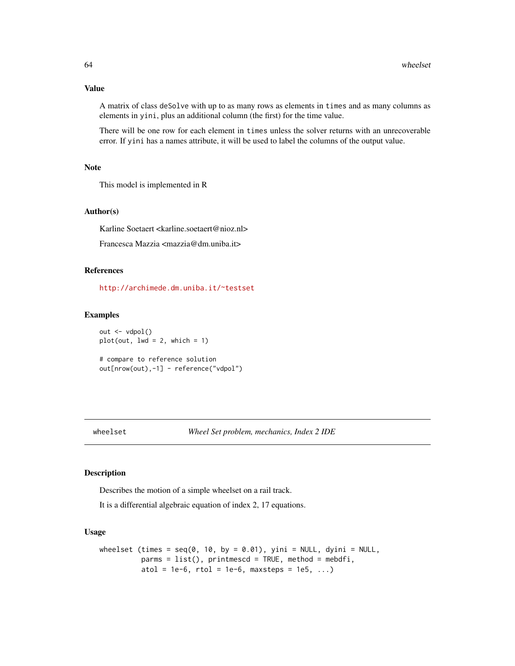A matrix of class deSolve with up to as many rows as elements in times and as many columns as elements in yini, plus an additional column (the first) for the time value.

There will be one row for each element in times unless the solver returns with an unrecoverable error. If yini has a names attribute, it will be used to label the columns of the output value.

# Note

This model is implemented in R

# Author(s)

Karline Soetaert <karline.soetaert@nioz.nl>

Francesca Mazzia <mazzia@dm.uniba.it>

# References

<http://archimede.dm.uniba.it/~testset>

#### Examples

out <- vdpol()  $plot(out, lwd = 2, which = 1)$ 

# compare to reference solution out[nrow(out),-1] - reference("vdpol")

wheelset *Wheel Set problem, mechanics, Index 2 IDE*

#### Description

Describes the motion of a simple wheelset on a rail track.

It is a differential algebraic equation of index 2, 17 equations.

# Usage

```
wheelset (times = seq(0, 10, by = 0.01), yini = NULL, dyini = NULL,
         params = list(), printmescd = TRUE, method = mebdfi,atol = 1e-6, rtol = 1e-6, maxsteps = 1e5, ...)
```
<span id="page-63-0"></span>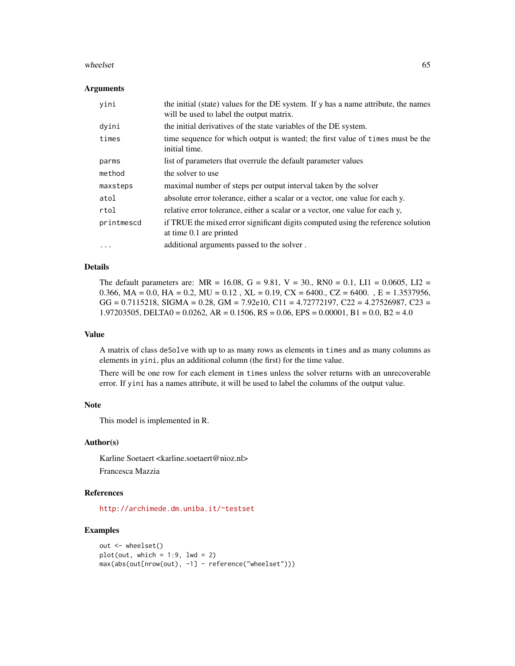#### wheelset 65

#### **Arguments**

| yini       | the initial (state) values for the DE system. If y has a name attribute, the names<br>will be used to label the output matrix. |
|------------|--------------------------------------------------------------------------------------------------------------------------------|
| dyini      | the initial derivatives of the state variables of the DE system.                                                               |
| times      | time sequence for which output is wanted; the first value of times must be the<br>initial time.                                |
| parms      | list of parameters that overrule the default parameter values                                                                  |
| method     | the solver to use                                                                                                              |
| maxsteps   | maximal number of steps per output interval taken by the solver                                                                |
| atol       | absolute error tolerance, either a scalar or a vector, one value for each y.                                                   |
| rtol       | relative error tolerance, either a scalar or a vector, one value for each y,                                                   |
| printmescd | if TRUE the mixed error significant digits computed using the reference solution<br>at time 0.1 are printed                    |
| $\cdots$   | additional arguments passed to the solver.                                                                                     |

# Details

The default parameters are:  $MR = 16.08$ ,  $G = 9.81$ ,  $V = 30$ .,  $RN0 = 0.1$ , LI1 = 0.0605, LI2 = 0.366, MA = 0.0, HA = 0.2, MU = 0.12, XL = 0.19, CX = 6400, CZ = 6400.  $E = 1.3537956$ ,  $GG = 0.7115218$ , SIGMA = 0.28, GM = 7.92e10, C11 = 4.72772197, C22 = 4.27526987, C23 = 1.97203505, DELTA0 = 0.0262, AR = 0.1506, RS = 0.06, EPS = 0.00001, B1 = 0.0, B2 = 4.0

#### Value

A matrix of class deSolve with up to as many rows as elements in times and as many columns as elements in yini, plus an additional column (the first) for the time value.

There will be one row for each element in times unless the solver returns with an unrecoverable error. If yini has a names attribute, it will be used to label the columns of the output value.

# Note

This model is implemented in R.

# Author(s)

Karline Soetaert <karline.soetaert@nioz.nl> Francesca Mazzia

# References

<http://archimede.dm.uniba.it/~testset>

# Examples

```
out <- wheelset()
plot(out, which = 1:9, lwd = 2)max(abs(out[nrow(out), -1] - reference("wheelset")))
```